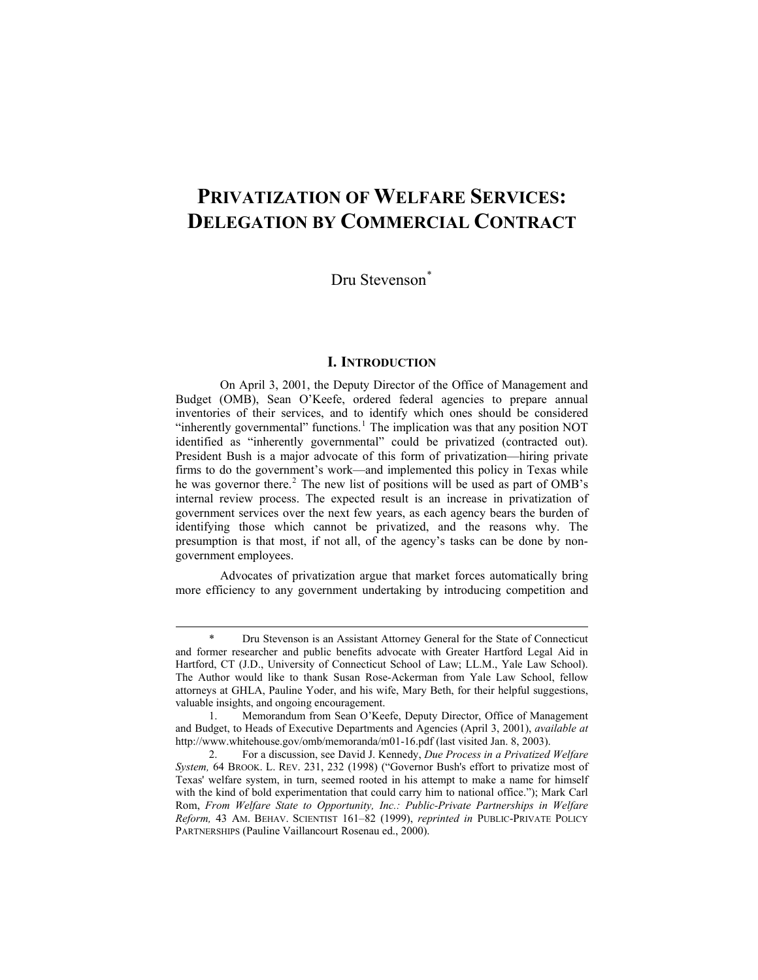# **PRIVATIZATION OF WELFARE SERVICES: DELEGATION BY COMMERCIAL CONTRACT**

Dru Stevenson<sup>[\\*](#page-0-0)</sup>

## **I. INTRODUCTION**

On April 3, 2001, the Deputy Director of the Office of Management and Budget (OMB), Sean O'Keefe, ordered federal agencies to prepare annual inventories of their services, and to identify which ones should be considered "inherently governmental" functions.<sup>[1](#page-0-1)</sup> The implication was that any position NOT identified as "inherently governmental" could be privatized (contracted out). President Bush is a major advocate of this form of privatization—hiring private firms to do the government's work—and implemented this policy in Texas while he was governor there.<sup>[2](#page-0-2)</sup> The new list of positions will be used as part of OMB's internal review process. The expected result is an increase in privatization of government services over the next few years, as each agency bears the burden of identifying those which cannot be privatized, and the reasons why. The presumption is that most, if not all, of the agency's tasks can be done by nongovernment employees.

Advocates of privatization argue that market forces automatically bring more efficiency to any government undertaking by introducing competition and

<span id="page-0-0"></span> <sup>\*</sup> Dru Stevenson is an Assistant Attorney General for the State of Connecticut and former researcher and public benefits advocate with Greater Hartford Legal Aid in Hartford, CT (J.D., University of Connecticut School of Law; LL.M., Yale Law School). The Author would like to thank Susan Rose-Ackerman from Yale Law School, fellow attorneys at GHLA, Pauline Yoder, and his wife, Mary Beth, for their helpful suggestions, valuable insights, and ongoing encouragement.

<span id="page-0-1"></span> <sup>1.</sup> Memorandum from Sean O'Keefe, Deputy Director, Office of Management and Budget, to Heads of Executive Departments and Agencies (April 3, 2001), *available at* http://www.whitehouse.gov/omb/memoranda/m01-16.pdf (last visited Jan. 8, 2003).

<span id="page-0-2"></span> <sup>2.</sup> For a discussion, see David J. Kennedy, *Due Process in a Privatized Welfare System,* 64 BROOK. L. REV. 231, 232 (1998) ("Governor Bush's effort to privatize most of Texas' welfare system, in turn, seemed rooted in his attempt to make a name for himself with the kind of bold experimentation that could carry him to national office."); Mark Carl Rom, *From Welfare State to Opportunity, Inc.: Public-Private Partnerships in Welfare Reform,* 43 AM. BEHAV. SCIENTIST 161–82 (1999), *reprinted in* PUBLIC-PRIVATE POLICY PARTNERSHIPS (Pauline Vaillancourt Rosenau ed., 2000).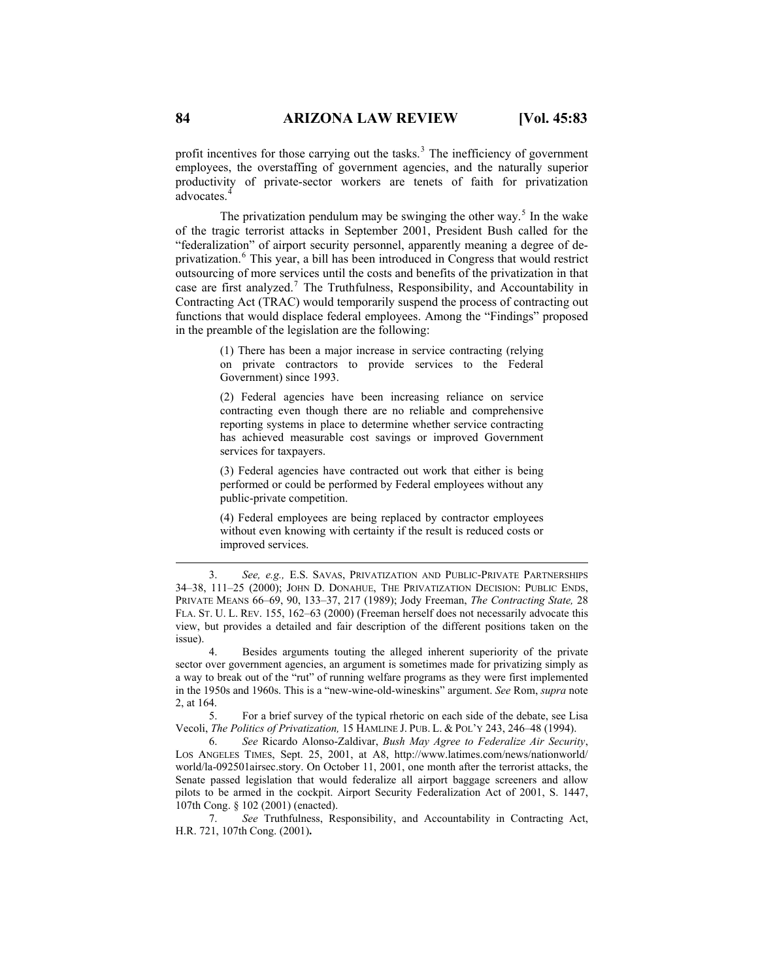profit incentives for those carrying out the tasks.<sup>[3](#page-1-0)</sup> The inefficiency of government employees, the overstaffing of government agencies, and the naturally superior productivity of private-sector workers are tenets of faith for privatization advocates.

The privatization pendulum may be swinging the other way.<sup>[5](#page-1-2)</sup> In the wake of the tragic terrorist attacks in September 2001, President Bush called for the "federalization" of airport security personnel, apparently meaning a degree of de-privatization.<sup>[6](#page-1-3)</sup> This year, a bill has been introduced in Congress that would restrict outsourcing of more services until the costs and benefits of the privatization in that case are first analyzed.<sup>[7](#page-1-4)</sup> The Truthfulness, Responsibility, and Accountability in Contracting Act (TRAC) would temporarily suspend the process of contracting out functions that would displace federal employees. Among the "Findings" proposed in the preamble of the legislation are the following:

> (1) There has been a major increase in service contracting (relying on private contractors to provide services to the Federal Government) since 1993.

> (2) Federal agencies have been increasing reliance on service contracting even though there are no reliable and comprehensive reporting systems in place to determine whether service contracting has achieved measurable cost savings or improved Government services for taxpayers.

> (3) Federal agencies have contracted out work that either is being performed or could be performed by Federal employees without any public-private competition.

> (4) Federal employees are being replaced by contractor employees without even knowing with certainty if the result is reduced costs or improved services.

<span id="page-1-1"></span> 4. Besides arguments touting the alleged inherent superiority of the private sector over government agencies, an argument is sometimes made for privatizing simply as a way to break out of the "rut" of running welfare programs as they were first implemented in the 1950s and 1960s. This is a "new-wine-old-wineskins" argument. *See* Rom, *supra* note 2, at 164.

<span id="page-1-2"></span> 5. For a brief survey of the typical rhetoric on each side of the debate, see Lisa Vecoli, *The Politics of Privatization,* 15 HAMLINE J. PUB. L. & POL'Y 243, 246–48 (1994).

<span id="page-1-3"></span> 6. *See* Ricardo Alonso-Zaldivar, *Bush May Agree to Federalize Air Security*, LOS ANGELES TIMES, Sept. 25, 2001, at A8, http://www.latimes.com/news/nationworld/ world/la-092501airsec.story. On October 11, 2001, one month after the terrorist attacks, the Senate passed legislation that would federalize all airport baggage screeners and allow pilots to be armed in the cockpit. Airport Security Federalization Act of 2001, S. 1447, 107th Cong. § 102 (2001) (enacted).

<span id="page-1-4"></span> 7. *See* Truthfulness, Responsibility, and Accountability in Contracting Act, H.R. 721, 107th Cong. (2001)**.**

<span id="page-1-0"></span> <sup>3.</sup> *See, e.g.,* E.S. SAVAS, PRIVATIZATION AND PUBLIC-PRIVATE PARTNERSHIPS 34–38, 111–25 (2000); JOHN D. DONAHUE, THE PRIVATIZATION DECISION: PUBLIC ENDS, PRIVATE MEANS 66–69, 90, 133–37, 217 (1989); Jody Freeman, *The Contracting State,* 28 FLA. ST. U. L. REV. 155, 162–63 (2000) (Freeman herself does not necessarily advocate this view, but provides a detailed and fair description of the different positions taken on the issue).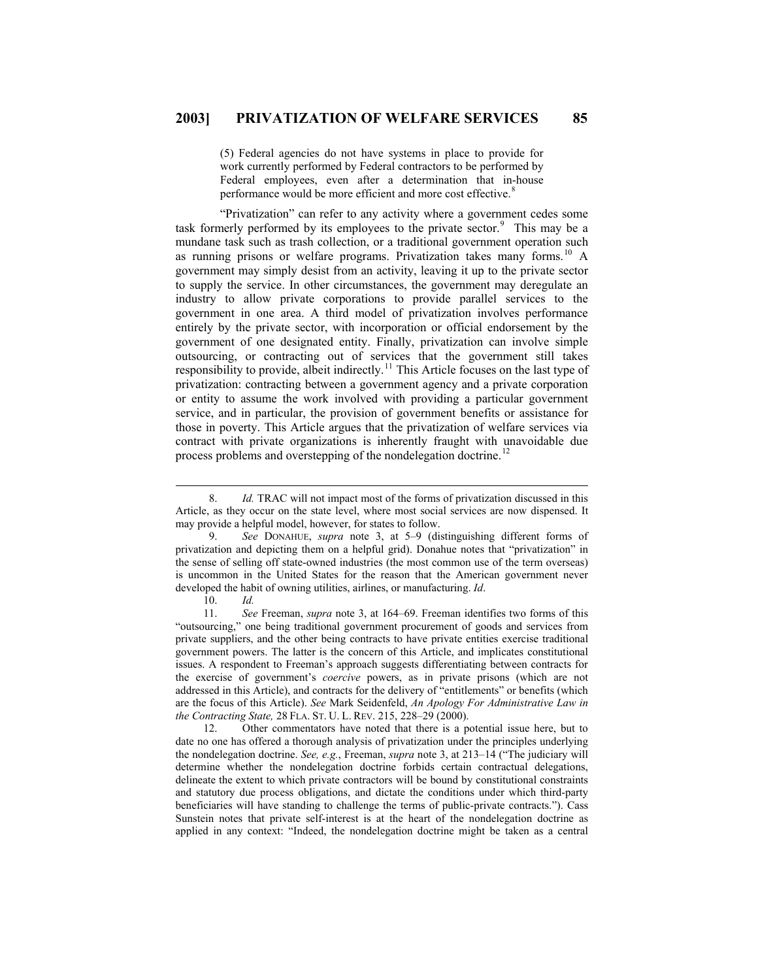(5) Federal agencies do not have systems in place to provide for work currently performed by Federal contractors to be performed by Federal employees, even after a determination that in-house performance would be more efficient and more cost effective.<sup>[8](#page-2-0)</sup>

"Privatization" can refer to any activity where a government cedes some task formerly performed by its employees to the private sector.<sup>[9](#page-2-1)</sup> This may be a mundane task such as trash collection, or a traditional government operation such as running prisons or welfare programs. Privatization takes many forms.<sup>[10](#page-2-2)</sup> A government may simply desist from an activity, leaving it up to the private sector to supply the service. In other circumstances, the government may deregulate an industry to allow private corporations to provide parallel services to the government in one area. A third model of privatization involves performance entirely by the private sector, with incorporation or official endorsement by the government of one designated entity. Finally, privatization can involve simple outsourcing, or contracting out of services that the government still takes responsibility to provide, albeit indirectly.<sup>[11](#page-2-3)</sup> This Article focuses on the last type of privatization: contracting between a government agency and a private corporation or entity to assume the work involved with providing a particular government service, and in particular, the provision of government benefits or assistance for those in poverty. This Article argues that the privatization of welfare services via contract with private organizations is inherently fraught with unavoidable due process problems and overstepping of the nondelegation doctrine.<sup>[12](#page-2-4)</sup>

10. *Id.*

 $\overline{\phantom{a}}$ 

<span id="page-2-3"></span><span id="page-2-2"></span> 11. *See* Freeman, *supra* note 3, at 164–69. Freeman identifies two forms of this "outsourcing," one being traditional government procurement of goods and services from private suppliers, and the other being contracts to have private entities exercise traditional government powers. The latter is the concern of this Article, and implicates constitutional issues. A respondent to Freeman's approach suggests differentiating between contracts for the exercise of government's *coercive* powers, as in private prisons (which are not addressed in this Article), and contracts for the delivery of "entitlements" or benefits (which are the focus of this Article). *See* Mark Seidenfeld, *An Apology For Administrative Law in the Contracting State,* 28 FLA. ST. U. L. REV. 215, 228–29 (2000).

<span id="page-2-4"></span> 12. Other commentators have noted that there is a potential issue here, but to date no one has offered a thorough analysis of privatization under the principles underlying the nondelegation doctrine. *See, e.g.*, Freeman, *supra* note 3, at 213–14 ("The judiciary will determine whether the nondelegation doctrine forbids certain contractual delegations, delineate the extent to which private contractors will be bound by constitutional constraints and statutory due process obligations, and dictate the conditions under which third-party beneficiaries will have standing to challenge the terms of public-private contracts."). Cass Sunstein notes that private self-interest is at the heart of the nondelegation doctrine as applied in any context: "Indeed, the nondelegation doctrine might be taken as a central

<span id="page-2-0"></span> <sup>8.</sup> *Id.* TRAC will not impact most of the forms of privatization discussed in this Article, as they occur on the state level, where most social services are now dispensed. It may provide a helpful model, however, for states to follow.

<span id="page-2-1"></span> <sup>9.</sup> *See* DONAHUE, *supra* note 3, at 5–9 (distinguishing different forms of privatization and depicting them on a helpful grid). Donahue notes that "privatization" in the sense of selling off state-owned industries (the most common use of the term overseas) is uncommon in the United States for the reason that the American government never developed the habit of owning utilities, airlines, or manufacturing. *Id*.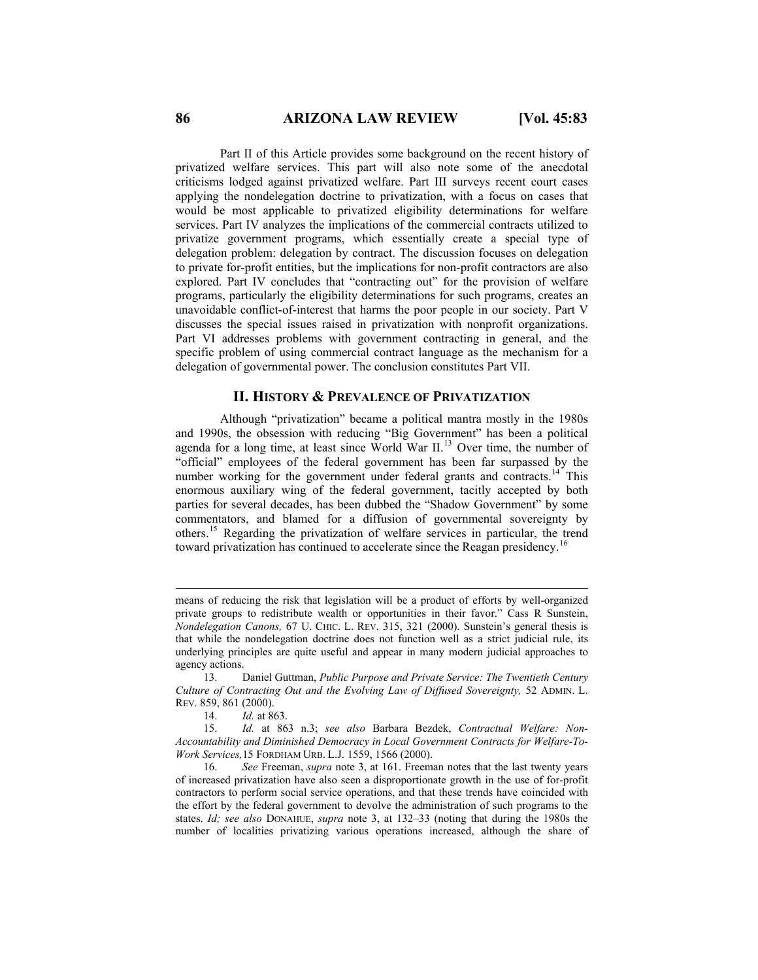Part II of this Article provides some background on the recent history of privatized welfare services. This part will also note some of the anecdotal criticisms lodged against privatized welfare. Part III surveys recent court cases applying the nondelegation doctrine to privatization, with a focus on cases that would be most applicable to privatized eligibility determinations for welfare services. Part IV analyzes the implications of the commercial contracts utilized to privatize government programs, which essentially create a special type of delegation problem: delegation by contract. The discussion focuses on delegation to private for-profit entities, but the implications for non-profit contractors are also explored. Part IV concludes that "contracting out" for the provision of welfare programs, particularly the eligibility determinations for such programs, creates an unavoidable conflict-of-interest that harms the poor people in our society. Part V discusses the special issues raised in privatization with nonprofit organizations. Part VI addresses problems with government contracting in general, and the specific problem of using commercial contract language as the mechanism for a delegation of governmental power. The conclusion constitutes Part VII.

# **II. HISTORY & PREVALENCE OF PRIVATIZATION**

Although "privatization" became a political mantra mostly in the 1980s and 1990s, the obsession with reducing "Big Government" has been a political agenda for a long time, at least since World War  $II$ .<sup>[13](#page-3-0)</sup> Over time, the number of "official" employees of the federal government has been far surpassed by the number working for the government under federal grants and contracts.<sup>[14](#page-3-1)</sup> This enormous auxiliary wing of the federal government, tacitly accepted by both parties for several decades, has been dubbed the "Shadow Government" by some commentators, and blamed for a diffusion of governmental sovereignty by others.[15](#page-3-2) Regarding the privatization of welfare services in particular, the trend toward privatization has continued to accelerate since the Reagan presidency.<sup>[16](#page-3-3)</sup>

14. *Id.* at 863.

 $\overline{\phantom{a}}$ 

<span id="page-3-2"></span><span id="page-3-1"></span> 15. *Id.* at 863 n.3; *see also* Barbara Bezdek, *Contractual Welfare: Non-Accountability and Diminished Democracy in Local Government Contracts for Welfare-To-Work Services,*15 FORDHAM URB. L.J. 1559, 1566 (2000).

<span id="page-3-3"></span> 16. *See* Freeman, *supra* note 3, at 161. Freeman notes that the last twenty years of increased privatization have also seen a disproportionate growth in the use of for-profit contractors to perform social service operations, and that these trends have coincided with the effort by the federal government to devolve the administration of such programs to the states. *Id; see also* DONAHUE, *supra* note 3, at 132–33 (noting that during the 1980s the number of localities privatizing various operations increased, although the share of

means of reducing the risk that legislation will be a product of efforts by well-organized private groups to redistribute wealth or opportunities in their favor." Cass R Sunstein, *Nondelegation Canons,* 67 U. CHIC. L. REV. 315, 321 (2000). Sunstein's general thesis is that while the nondelegation doctrine does not function well as a strict judicial rule, its underlying principles are quite useful and appear in many modern judicial approaches to agency actions.

<span id="page-3-0"></span> <sup>13.</sup> Daniel Guttman, *Public Purpose and Private Service: The Twentieth Century Culture of Contracting Out and the Evolving Law of Diffused Sovereignty,* 52 ADMIN. L. REV. 859, 861 (2000).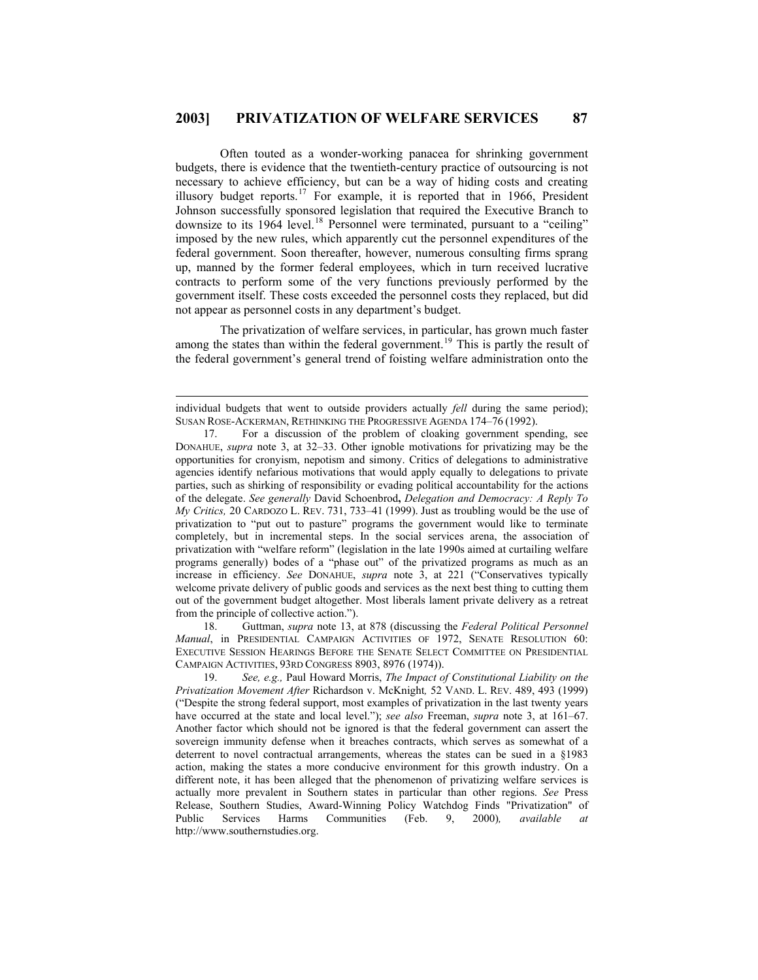Often touted as a wonder-working panacea for shrinking government budgets, there is evidence that the twentieth-century practice of outsourcing is not necessary to achieve efficiency, but can be a way of hiding costs and creating illusory budget reports.[17](#page-4-0) For example, it is reported that in 1966, President Johnson successfully sponsored legislation that required the Executive Branch to downsize to its 1964 level.<sup>[18](#page-4-1)</sup> Personnel were terminated, pursuant to a "ceiling" imposed by the new rules, which apparently cut the personnel expenditures of the federal government. Soon thereafter, however, numerous consulting firms sprang up, manned by the former federal employees, which in turn received lucrative contracts to perform some of the very functions previously performed by the government itself. These costs exceeded the personnel costs they replaced, but did not appear as personnel costs in any department's budget.

The privatization of welfare services, in particular, has grown much faster among the states than within the federal government.<sup>[19](#page-4-2)</sup> This is partly the result of the federal government's general trend of foisting welfare administration onto the

 $\overline{\phantom{a}}$ 

<span id="page-4-1"></span> 18. Guttman, *supra* note 13, at 878 (discussing the *Federal Political Personnel Manual*, in PRESIDENTIAL CAMPAIGN ACTIVITIES OF 1972, SENATE RESOLUTION 60: EXECUTIVE SESSION HEARINGS BEFORE THE SENATE SELECT COMMITTEE ON PRESIDENTIAL CAMPAIGN ACTIVITIES, 93RD CONGRESS 8903, 8976 (1974)).

<span id="page-4-2"></span> 19. *See, e.g.,* Paul Howard Morris, *The Impact of Constitutional Liability on the Privatization Movement After* Richardson v. McKnight*,* 52 VAND. L. REV. 489, 493 (1999) ("Despite the strong federal support, most examples of privatization in the last twenty years have occurred at the state and local level."); *see also* Freeman, *supra* note 3, at 161–67. Another factor which should not be ignored is that the federal government can assert the sovereign immunity defense when it breaches contracts, which serves as somewhat of a deterrent to novel contractual arrangements, whereas the states can be sued in a §1983 action, making the states a more conducive environment for this growth industry. On a different note, it has been alleged that the phenomenon of privatizing welfare services is actually more prevalent in Southern states in particular than other regions. *See* Press Release, Southern Studies, Award-Winning Policy Watchdog Finds "Privatization" of Public Services Harms Communities (Feb. 9, 2000)*, available at* http://www.southernstudies.org.

individual budgets that went to outside providers actually *fell* during the same period); SUSAN ROSE-ACKERMAN, RETHINKING THE PROGRESSIVE AGENDA 174–76 (1992).

<span id="page-4-0"></span> <sup>17.</sup> For a discussion of the problem of cloaking government spending, see DONAHUE, *supra* note 3, at 32–33. Other ignoble motivations for privatizing may be the opportunities for cronyism, nepotism and simony. Critics of delegations to administrative agencies identify nefarious motivations that would apply equally to delegations to private parties, such as shirking of responsibility or evading political accountability for the actions of the delegate. *See generally* David Schoenbrod**,** *Delegation and Democracy: A Reply To My Critics,* 20 CARDOZO L. REV. 731, 733–41 (1999). Just as troubling would be the use of privatization to "put out to pasture" programs the government would like to terminate completely, but in incremental steps. In the social services arena, the association of privatization with "welfare reform" (legislation in the late 1990s aimed at curtailing welfare programs generally) bodes of a "phase out" of the privatized programs as much as an increase in efficiency. *See* DONAHUE, *supra* note 3, at 221 ("Conservatives typically welcome private delivery of public goods and services as the next best thing to cutting them out of the government budget altogether. Most liberals lament private delivery as a retreat from the principle of collective action.").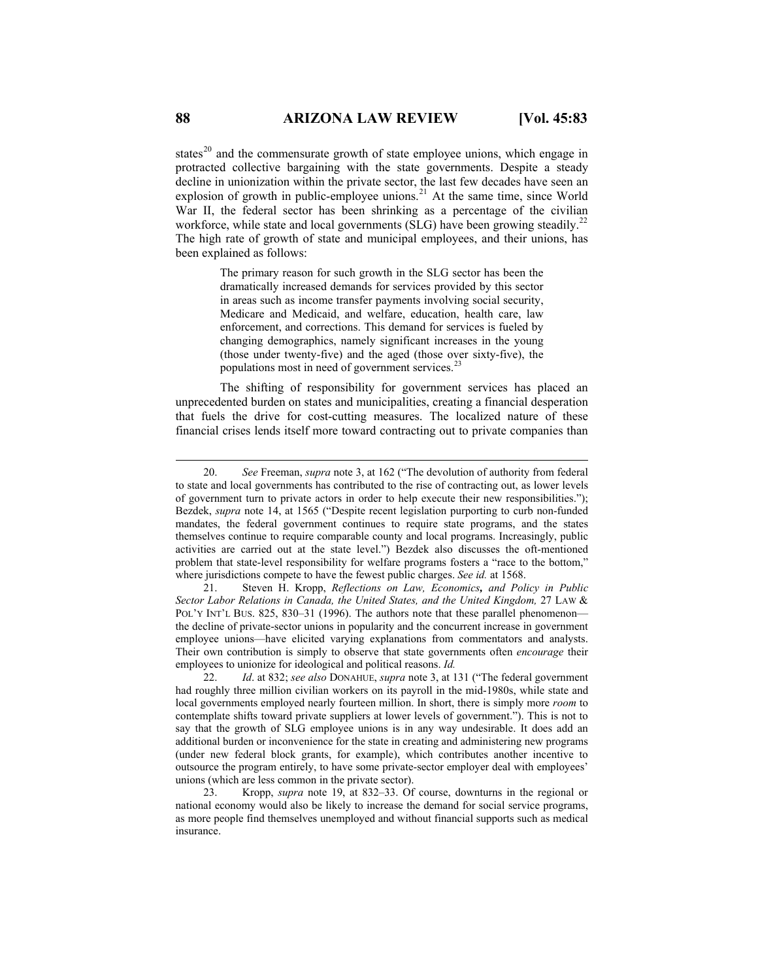states<sup>[20](#page-5-0)</sup> and the commensurate growth of state employee unions, which engage in protracted collective bargaining with the state governments. Despite a steady decline in unionization within the private sector, the last few decades have seen an explosion of growth in public-employee unions.<sup>[21](#page-5-1)</sup> At the same time, since World War II, the federal sector has been shrinking as a percentage of the civilian workforce, while state and local governments (SLG) have been growing steadily.<sup>[22](#page-5-2)</sup> The high rate of growth of state and municipal employees, and their unions, has been explained as follows:

> The primary reason for such growth in the SLG sector has been the dramatically increased demands for services provided by this sector in areas such as income transfer payments involving social security, Medicare and Medicaid, and welfare, education, health care, law enforcement, and corrections. This demand for services is fueled by changing demographics, namely significant increases in the young (those under twenty-five) and the aged (those over sixty-five), the populations most in need of government services.<sup>2</sup>

The shifting of responsibility for government services has placed an unprecedented burden on states and municipalities, creating a financial desperation that fuels the drive for cost-cutting measures. The localized nature of these financial crises lends itself more toward contracting out to private companies than

<span id="page-5-0"></span> <sup>20.</sup> *See* Freeman, *supra* note 3, at 162 ("The devolution of authority from federal to state and local governments has contributed to the rise of contracting out, as lower levels of government turn to private actors in order to help execute their new responsibilities."); Bezdek, *supra* note 14, at 1565 ("Despite recent legislation purporting to curb non-funded mandates, the federal government continues to require state programs, and the states themselves continue to require comparable county and local programs. Increasingly, public activities are carried out at the state level.") Bezdek also discusses the oft-mentioned problem that state-level responsibility for welfare programs fosters a "race to the bottom," where jurisdictions compete to have the fewest public charges. *See id.* at 1568.

<span id="page-5-1"></span> <sup>21.</sup> Steven H. Kropp, *Reflections on Law, Economics, and Policy in Public Sector Labor Relations in Canada, the United States, and the United Kingdom,* 27 LAW & POL'Y INT'L BUS. 825, 830–31 (1996). The authors note that these parallel phenomenon the decline of private-sector unions in popularity and the concurrent increase in government employee unions—have elicited varying explanations from commentators and analysts. Their own contribution is simply to observe that state governments often *encourage* their employees to unionize for ideological and political reasons. *Id.*

<span id="page-5-2"></span> <sup>22.</sup> *Id*. at 832; *see also* DONAHUE, *supra* note 3, at 131 ("The federal government had roughly three million civilian workers on its payroll in the mid-1980s, while state and local governments employed nearly fourteen million. In short, there is simply more *room* to contemplate shifts toward private suppliers at lower levels of government."). This is not to say that the growth of SLG employee unions is in any way undesirable. It does add an additional burden or inconvenience for the state in creating and administering new programs (under new federal block grants, for example), which contributes another incentive to outsource the program entirely, to have some private-sector employer deal with employees' unions (which are less common in the private sector).

<span id="page-5-3"></span> <sup>23.</sup> Kropp, *supra* note 19, at 832–33. Of course, downturns in the regional or national economy would also be likely to increase the demand for social service programs, as more people find themselves unemployed and without financial supports such as medical insurance.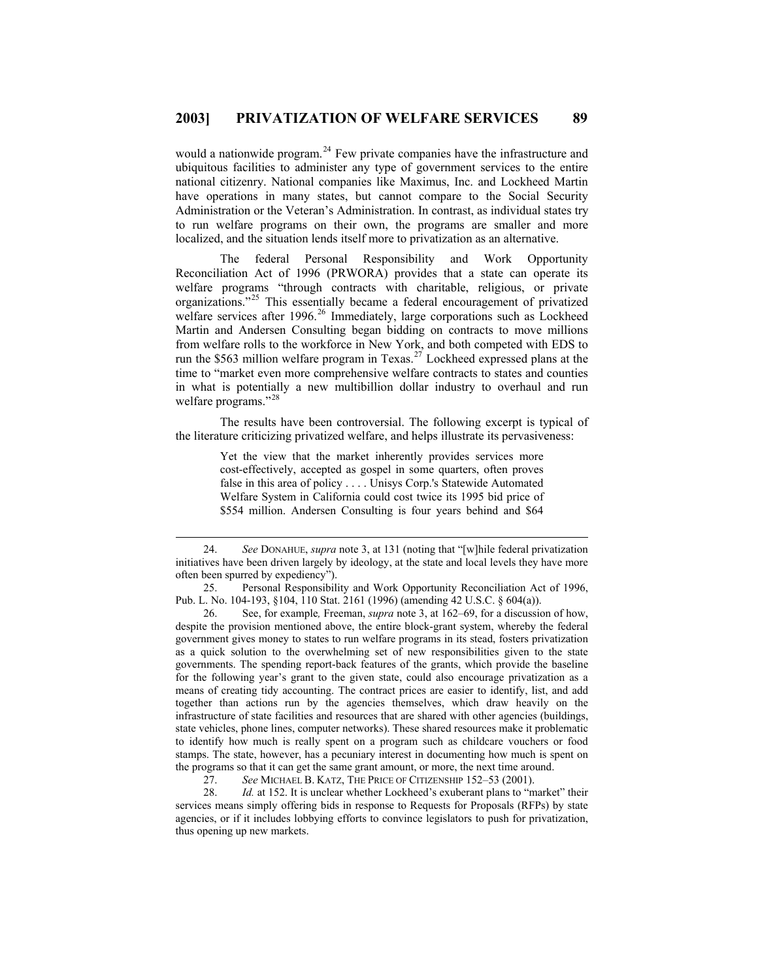would a nationwide program.<sup>[24](#page-6-0)</sup> Few private companies have the infrastructure and ubiquitous facilities to administer any type of government services to the entire national citizenry. National companies like Maximus, Inc. and Lockheed Martin have operations in many states, but cannot compare to the Social Security Administration or the Veteran's Administration. In contrast, as individual states try to run welfare programs on their own, the programs are smaller and more localized, and the situation lends itself more to privatization as an alternative.

The federal Personal Responsibility and Work Opportunity Reconciliation Act of 1996 (PRWORA) provides that a state can operate its welfare programs "through contracts with charitable, religious, or private organizations."[25](#page-6-1) This essentially became a federal encouragement of privatized welfare services after 1996.<sup>[26](#page-6-2)</sup> Immediately, large corporations such as Lockheed Martin and Andersen Consulting began bidding on contracts to move millions from welfare rolls to the workforce in New York, and both competed with EDS to run the \$563 million welfare program in Texas.<sup>[27](#page-6-3)</sup> Lockheed expressed plans at the time to "market even more comprehensive welfare contracts to states and counties in what is potentially a new multibillion dollar industry to overhaul and run welfare programs."<sup>[28](#page-6-4)</sup>

The results have been controversial. The following excerpt is typical of the literature criticizing privatized welfare, and helps illustrate its pervasiveness:

> Yet the view that the market inherently provides services more cost-effectively, accepted as gospel in some quarters, often proves false in this area of policy . . . . Unisys Corp.'s Statewide Automated Welfare System in California could cost twice its 1995 bid price of \$554 million. Andersen Consulting is four years behind and \$64

 $\overline{\phantom{a}}$ 

27. *See* MICHAEL B. KATZ, THE PRICE OF CITIZENSHIP 152–53 (2001).

<span id="page-6-4"></span><span id="page-6-3"></span> 28. *Id.* at 152. It is unclear whether Lockheed's exuberant plans to "market" their services means simply offering bids in response to Requests for Proposals (RFPs) by state agencies, or if it includes lobbying efforts to convince legislators to push for privatization, thus opening up new markets.

<span id="page-6-0"></span> <sup>24.</sup> *See* DONAHUE, *supra* note 3, at 131 (noting that "[w]hile federal privatization initiatives have been driven largely by ideology, at the state and local levels they have more often been spurred by expediency").

<span id="page-6-1"></span> <sup>25.</sup> Personal Responsibility and Work Opportunity Reconciliation Act of 1996, Pub. L. No. 104-193, §104, 110 Stat. 2161 (1996) (amending 42 U.S.C. § 604(a)).

<span id="page-6-2"></span> <sup>26.</sup> See, for example*,* Freeman, *supra* note 3, at 162–69, for a discussion of how, despite the provision mentioned above, the entire block-grant system, whereby the federal government gives money to states to run welfare programs in its stead, fosters privatization as a quick solution to the overwhelming set of new responsibilities given to the state governments. The spending report-back features of the grants, which provide the baseline for the following year's grant to the given state, could also encourage privatization as a means of creating tidy accounting. The contract prices are easier to identify, list, and add together than actions run by the agencies themselves, which draw heavily on the infrastructure of state facilities and resources that are shared with other agencies (buildings, state vehicles, phone lines, computer networks). These shared resources make it problematic to identify how much is really spent on a program such as childcare vouchers or food stamps. The state, however, has a pecuniary interest in documenting how much is spent on the programs so that it can get the same grant amount, or more, the next time around.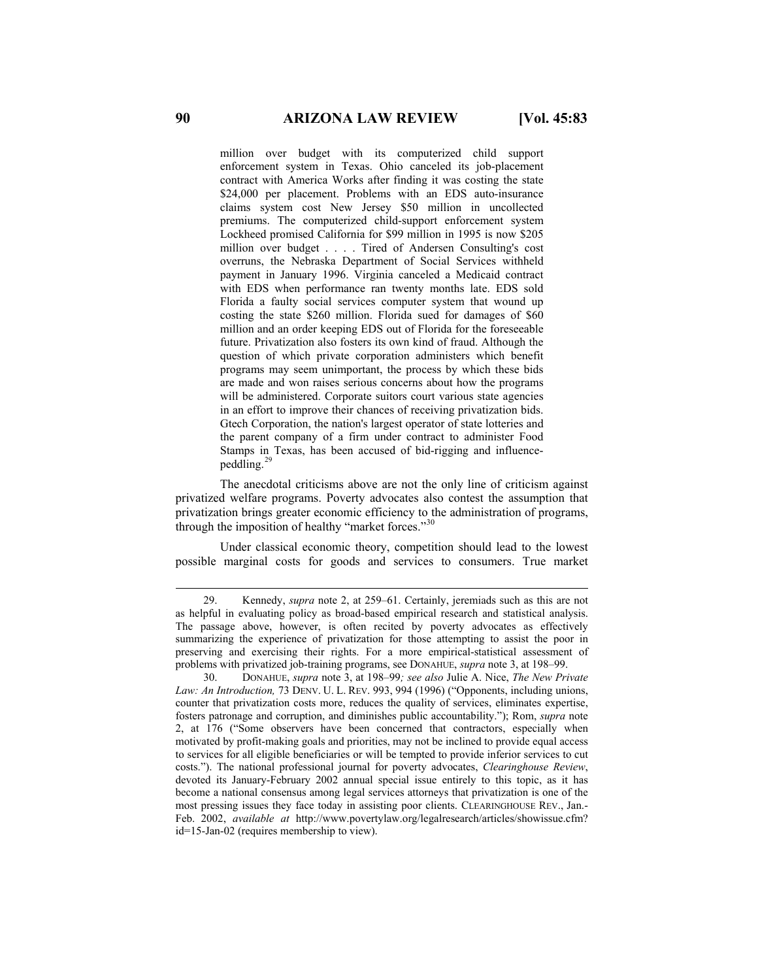million over budget with its computerized child support enforcement system in Texas. Ohio canceled its job-placement contract with America Works after finding it was costing the state \$24,000 per placement. Problems with an EDS auto-insurance claims system cost New Jersey \$50 million in uncollected premiums. The computerized child-support enforcement system Lockheed promised California for \$99 million in 1995 is now \$205 million over budget . . . . Tired of Andersen Consulting's cost overruns, the Nebraska Department of Social Services withheld payment in January 1996. Virginia canceled a Medicaid contract with EDS when performance ran twenty months late. EDS sold Florida a faulty social services computer system that wound up costing the state \$260 million. Florida sued for damages of \$60 million and an order keeping EDS out of Florida for the foreseeable future. Privatization also fosters its own kind of fraud. Although the question of which private corporation administers which benefit programs may seem unimportant, the process by which these bids are made and won raises serious concerns about how the programs will be administered. Corporate suitors court various state agencies in an effort to improve their chances of receiving privatization bids. Gtech Corporation, the nation's largest operator of state lotteries and the parent company of a firm under contract to administer Food Stamps in Texas, has been accused of bid-rigging and influence-peddling.<sup>[29](#page-7-0)</sup>

The anecdotal criticisms above are not the only line of criticism against privatized welfare programs. Poverty advocates also contest the assumption that privatization brings greater economic efficiency to the administration of programs, through the imposition of healthy "market forces."<sup>[30](#page-7-1)</sup>

Under classical economic theory, competition should lead to the lowest possible marginal costs for goods and services to consumers. True market

<span id="page-7-0"></span> <sup>29.</sup> Kennedy, *supra* note 2, at 259–61. Certainly, jeremiads such as this are not as helpful in evaluating policy as broad-based empirical research and statistical analysis. The passage above, however, is often recited by poverty advocates as effectively summarizing the experience of privatization for those attempting to assist the poor in preserving and exercising their rights. For a more empirical-statistical assessment of problems with privatized job-training programs, see DONAHUE, *supra* note 3, at 198–99.

<span id="page-7-1"></span> <sup>30.</sup> DONAHUE, *supra* note 3, at 198–99*; see also* Julie A. Nice, *The New Private Law: An Introduction,* 73 DENV. U. L. REV. 993, 994 (1996) ("Opponents, including unions, counter that privatization costs more, reduces the quality of services, eliminates expertise, fosters patronage and corruption, and diminishes public accountability."); Rom, *supra* note 2, at 176 ("Some observers have been concerned that contractors, especially when motivated by profit-making goals and priorities, may not be inclined to provide equal access to services for all eligible beneficiaries or will be tempted to provide inferior services to cut costs."). The national professional journal for poverty advocates, *Clearinghouse Review*, devoted its January-February 2002 annual special issue entirely to this topic, as it has become a national consensus among legal services attorneys that privatization is one of the most pressing issues they face today in assisting poor clients. CLEARINGHOUSE REV., Jan.- Feb. 2002, *available at* http://www.povertylaw.org/legalresearch/articles/showissue.cfm? id=15-Jan-02 (requires membership to view).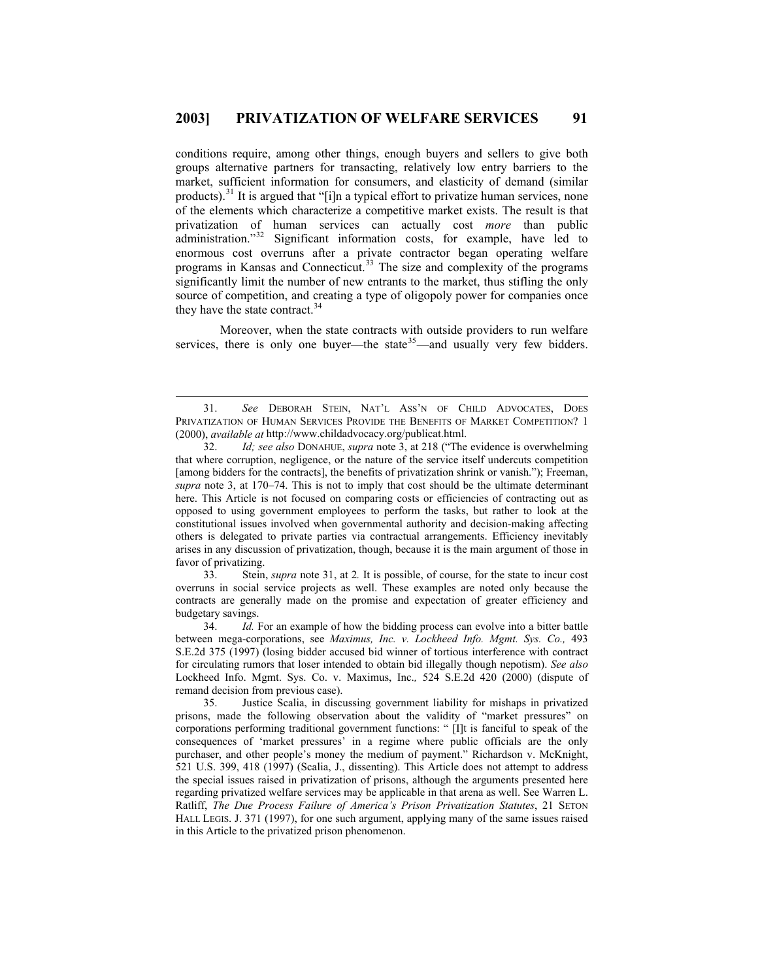conditions require, among other things, enough buyers and sellers to give both groups alternative partners for transacting, relatively low entry barriers to the market, sufficient information for consumers, and elasticity of demand (similar products).<sup>[31](#page-8-0)</sup> It is argued that "[i]n a typical effort to privatize human services, none of the elements which characterize a competitive market exists. The result is that privatization of human services can actually cost *more* than public administration."<sup>[32](#page-8-1)</sup> Significant information costs, for example, have led to enormous cost overruns after a private contractor began operating welfare programs in Kansas and Connecticut.<sup>[33](#page-8-2)</sup> The size and complexity of the programs significantly limit the number of new entrants to the market, thus stifling the only source of competition, and creating a type of oligopoly power for companies once they have the state contract.<sup>[34](#page-8-3)</sup>

Moreover, when the state contracts with outside providers to run welfare services, there is only one buyer—the state<sup>[35](#page-8-4)</sup>—and usually very few bidders.

 $\overline{\phantom{a}}$ 

<span id="page-8-2"></span> 33. Stein, *supra* note 31, at 2*.* It is possible, of course, for the state to incur cost overruns in social service projects as well. These examples are noted only because the contracts are generally made on the promise and expectation of greater efficiency and budgetary savings.

<span id="page-8-3"></span> 34. *Id.* For an example of how the bidding process can evolve into a bitter battle between mega-corporations, see *Maximus, Inc. v. Lockheed Info. Mgmt. Sys. Co.,* 493 S.E.2d 375 (1997) (losing bidder accused bid winner of tortious interference with contract for circulating rumors that loser intended to obtain bid illegally though nepotism). *See also*  Lockheed Info. Mgmt. Sys. Co. v. Maximus, Inc.*,* 524 S.E.2d 420 (2000) (dispute of remand decision from previous case).

<span id="page-8-4"></span> 35. Justice Scalia, in discussing government liability for mishaps in privatized prisons, made the following observation about the validity of "market pressures" on corporations performing traditional government functions: " [I]t is fanciful to speak of the consequences of 'market pressures' in a regime where public officials are the only purchaser, and other people's money the medium of payment." Richardson v. McKnight, 521 U.S. 399, 418 (1997) (Scalia, J., dissenting). This Article does not attempt to address the special issues raised in privatization of prisons, although the arguments presented here regarding privatized welfare services may be applicable in that arena as well. See Warren L. Ratliff, *The Due Process Failure of America's Prison Privatization Statutes*, 21 SETON HALL LEGIS. J. 371 (1997), for one such argument, applying many of the same issues raised in this Article to the privatized prison phenomenon.

<span id="page-8-0"></span> <sup>31.</sup> *See* DEBORAH STEIN, NAT'L ASS'N OF CHILD ADVOCATES, DOES PRIVATIZATION OF HUMAN SERVICES PROVIDE THE BENEFITS OF MARKET COMPETITION? 1 (2000), *available at* http://www.childadvocacy.org/publicat.html.

<span id="page-8-1"></span> <sup>32.</sup> *Id; see also* DONAHUE, *supra* note 3, at 218 ("The evidence is overwhelming that where corruption, negligence, or the nature of the service itself undercuts competition [among bidders for the contracts], the benefits of privatization shrink or vanish."); Freeman, *supra* note 3, at 170–74. This is not to imply that cost should be the ultimate determinant here. This Article is not focused on comparing costs or efficiencies of contracting out as opposed to using government employees to perform the tasks, but rather to look at the constitutional issues involved when governmental authority and decision-making affecting others is delegated to private parties via contractual arrangements. Efficiency inevitably arises in any discussion of privatization, though, because it is the main argument of those in favor of privatizing.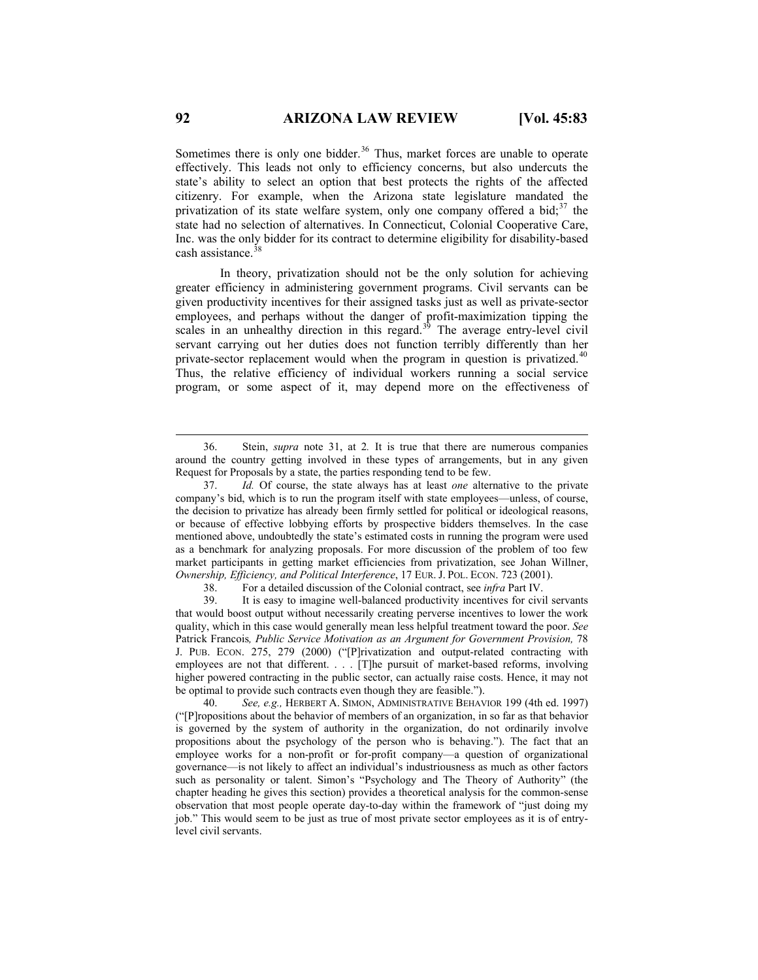Sometimes there is only one bidder.<sup>[36](#page-9-0)</sup> Thus, market forces are unable to operate effectively. This leads not only to efficiency concerns, but also undercuts the state's ability to select an option that best protects the rights of the affected citizenry. For example, when the Arizona state legislature mandated the privatization of its state welfare system, only one company offered a bid; $37$  the state had no selection of alternatives. In Connecticut, Colonial Cooperative Care, Inc. was the only bidder for its contract to determine eligibility for disability-based cash assistance. $3$ 

In theory, privatization should not be the only solution for achieving greater efficiency in administering government programs. Civil servants can be given productivity incentives for their assigned tasks just as well as private-sector employees, and perhaps without the danger of profit-maximization tipping the scales in an unhealthy direction in this regard.<sup>[39](#page-9-3)</sup> The average entry-level civil servant carrying out her duties does not function terribly differently than her private-sector replacement would when the program in question is privatized.<sup>[40](#page-9-4)</sup> Thus, the relative efficiency of individual workers running a social service program, or some aspect of it, may depend more on the effectiveness of

38. For a detailed discussion of the Colonial contract, see *infra* Part IV.

<span id="page-9-3"></span><span id="page-9-2"></span> 39. It is easy to imagine well-balanced productivity incentives for civil servants that would boost output without necessarily creating perverse incentives to lower the work quality, which in this case would generally mean less helpful treatment toward the poor. *See* Patrick Francois, Public Service Motivation as an Argument for Government Provision, 78 J. PUB. ECON. 275, 279 (2000) ("[P]rivatization and output-related contracting with employees are not that different. . . . [T]he pursuit of market-based reforms, involving higher powered contracting in the public sector, can actually raise costs. Hence, it may not be optimal to provide such contracts even though they are feasible.").

<span id="page-9-4"></span> 40. *See, e.g.,* HERBERT A. SIMON, ADMINISTRATIVE BEHAVIOR 199 (4th ed. 1997) ("[P]ropositions about the behavior of members of an organization, in so far as that behavior is governed by the system of authority in the organization, do not ordinarily involve propositions about the psychology of the person who is behaving."). The fact that an employee works for a non-profit or for-profit company—a question of organizational governance—is not likely to affect an individual's industriousness as much as other factors such as personality or talent. Simon's "Psychology and The Theory of Authority" (the chapter heading he gives this section) provides a theoretical analysis for the common-sense observation that most people operate day-to-day within the framework of "just doing my job." This would seem to be just as true of most private sector employees as it is of entrylevel civil servants.

<span id="page-9-0"></span> <sup>36.</sup> Stein, *supra* note 31, at 2*.* It is true that there are numerous companies around the country getting involved in these types of arrangements, but in any given Request for Proposals by a state, the parties responding tend to be few.

<span id="page-9-1"></span> <sup>37.</sup> *Id.* Of course, the state always has at least *one* alternative to the private company's bid, which is to run the program itself with state employees—unless, of course, the decision to privatize has already been firmly settled for political or ideological reasons, or because of effective lobbying efforts by prospective bidders themselves. In the case mentioned above, undoubtedly the state's estimated costs in running the program were used as a benchmark for analyzing proposals. For more discussion of the problem of too few market participants in getting market efficiencies from privatization, see Johan Willner, *Ownership, Efficiency, and Political Interference*, 17 EUR. J. POL. ECON. 723 (2001).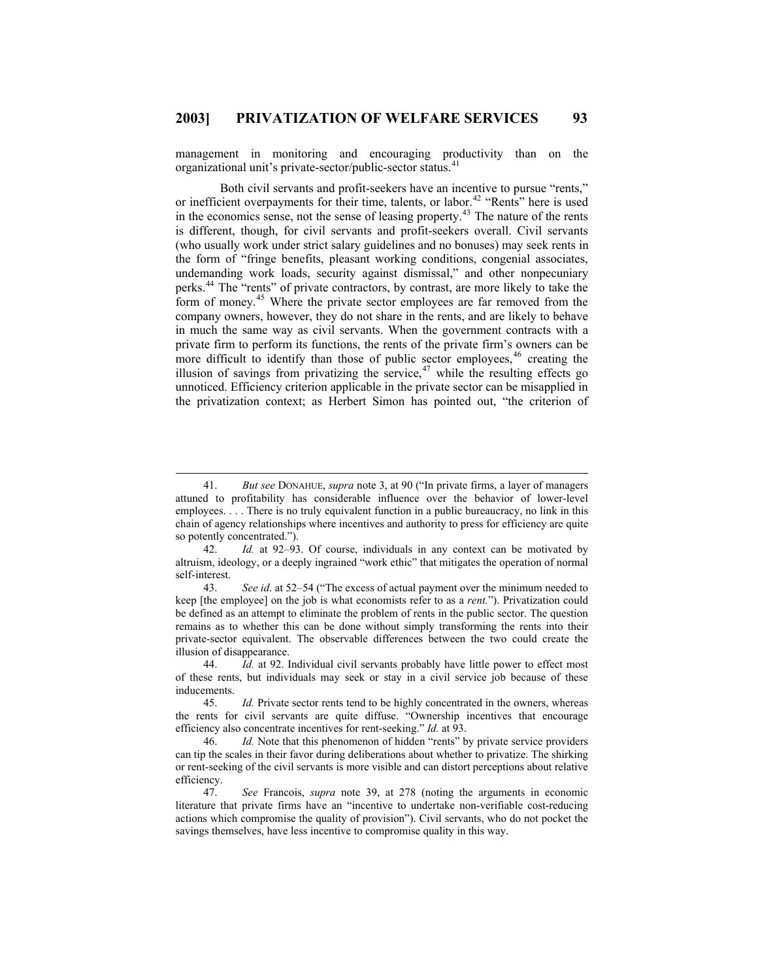management in monitoring and encouraging productivity than on the organizational unit's private-sector/public-sector status.[41](#page-10-0)

Both civil servants and profit-seekers have an incentive to pursue "rents," or inefficient overpayments for their time, talents, or labor.<sup>[42](#page-10-1)</sup> "Rents" here is used in the economics sense, not the sense of leasing property.<sup>[43](#page-10-2)</sup> The nature of the rents is different, though, for civil servants and profit-seekers overall. Civil servants (who usually work under strict salary guidelines and no bonuses) may seek rents in the form of "fringe benefits, pleasant working conditions, congenial associates, undemanding work loads, security against dismissal," and other nonpecuniary perks.[44](#page-10-3) The "rents" of private contractors, by contrast, are more likely to take the form of money.[45](#page-10-4) Where the private sector employees are far removed from the company owners, however, they do not share in the rents, and are likely to behave in much the same way as civil servants. When the government contracts with a private firm to perform its functions, the rents of the private firm's owners can be more difficult to identify than those of public sector employees,<sup>[46](#page-10-5)</sup> creating the illusion of savings from privatizing the service, $47$  while the resulting effects go unnoticed. Efficiency criterion applicable in the private sector can be misapplied in the privatization context; as Herbert Simon has pointed out, "the criterion of

<span id="page-10-0"></span> <sup>41.</sup> *But see* DONAHUE, *supra* note 3, at 90 ("In private firms, a layer of managers attuned to profitability has considerable influence over the behavior of lower-level employees. . . . There is no truly equivalent function in a public bureaucracy, no link in this chain of agency relationships where incentives and authority to press for efficiency are quite so potently concentrated.").

<span id="page-10-1"></span> <sup>42.</sup> *Id.* at 92–93. Of course, individuals in any context can be motivated by altruism, ideology, or a deeply ingrained "work ethic" that mitigates the operation of normal self-interest.

<span id="page-10-2"></span> <sup>43.</sup> *See id*. at 52–54 ("The excess of actual payment over the minimum needed to keep [the employee] on the job is what economists refer to as a *rent.*"). Privatization could be defined as an attempt to eliminate the problem of rents in the public sector. The question remains as to whether this can be done without simply transforming the rents into their private-sector equivalent. The observable differences between the two could create the illusion of disappearance.

<span id="page-10-3"></span> <sup>44.</sup> *Id.* at 92. Individual civil servants probably have little power to effect most of these rents, but individuals may seek or stay in a civil service job because of these inducements.

<span id="page-10-4"></span> <sup>45.</sup> *Id.* Private sector rents tend to be highly concentrated in the owners, whereas the rents for civil servants are quite diffuse. "Ownership incentives that encourage efficiency also concentrate incentives for rent-seeking." *Id.* at 93.

<span id="page-10-5"></span> <sup>46.</sup> *Id.* Note that this phenomenon of hidden "rents" by private service providers can tip the scales in their favor during deliberations about whether to privatize. The shirking or rent-seeking of the civil servants is more visible and can distort perceptions about relative efficiency.

<span id="page-10-6"></span> <sup>47.</sup> *See* Francois, *supra* note 39, at 278 (noting the arguments in economic literature that private firms have an "incentive to undertake non-verifiable cost-reducing actions which compromise the quality of provision"). Civil servants, who do not pocket the savings themselves, have less incentive to compromise quality in this way.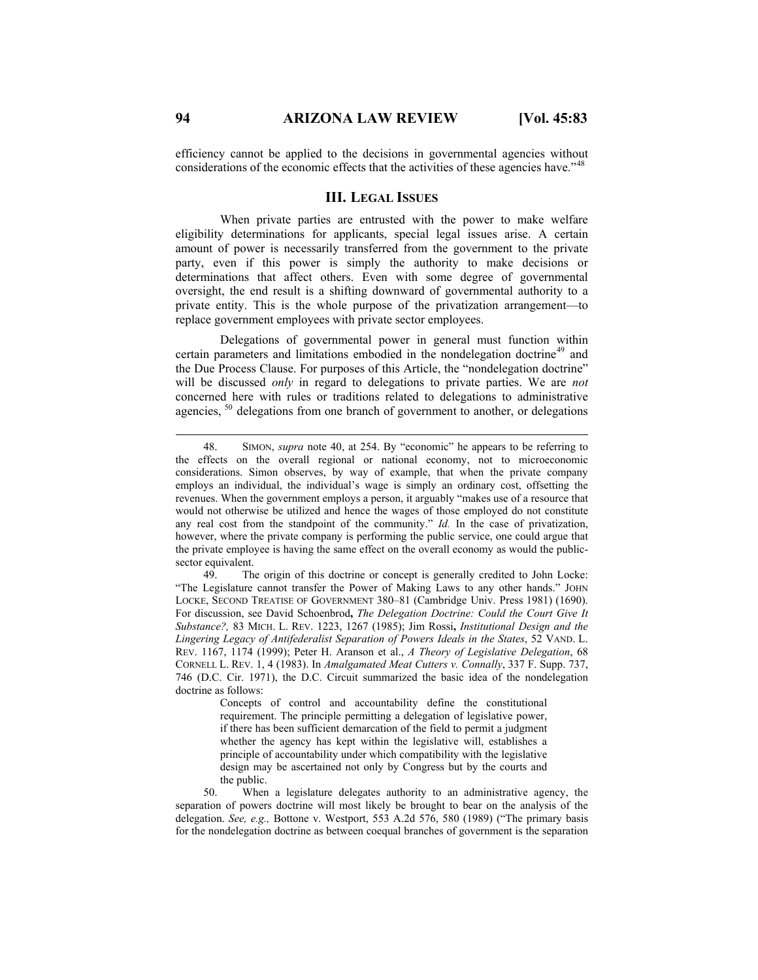efficiency cannot be applied to the decisions in governmental agencies without considerations of the economic effects that the activities of these agencies have."<sup>[48](#page-11-0)</sup>

## **III. LEGAL ISSUES**

When private parties are entrusted with the power to make welfare eligibility determinations for applicants, special legal issues arise. A certain amount of power is necessarily transferred from the government to the private party, even if this power is simply the authority to make decisions or determinations that affect others. Even with some degree of governmental oversight, the end result is a shifting downward of governmental authority to a private entity. This is the whole purpose of the privatization arrangement—to replace government employees with private sector employees.

Delegations of governmental power in general must function within certain parameters and limitations embodied in the nondelegation doctrine<sup>[49](#page-11-1)</sup> and the Due Process Clause. For purposes of this Article, the "nondelegation doctrine" will be discussed *only* in regard to delegations to private parties. We are *not* concerned here with rules or traditions related to delegations to administrative agencies, <sup>[50](#page-11-2)</sup> delegations from one branch of government to another, or delegations

<span id="page-11-1"></span> 49. The origin of this doctrine or concept is generally credited to John Locke: "The Legislature cannot transfer the Power of Making Laws to any other hands." JOHN LOCKE, SECOND TREATISE OF GOVERNMENT 380–81 (Cambridge Univ. Press 1981) (1690). For discussion, see David Schoenbrod**,** *The Delegation Doctrine: Could the Court Give It Substance?,* 83 MICH. L. REV. 1223, 1267 (1985); Jim Rossi**,** *Institutional Design and the Lingering Legacy of Antifederalist Separation of Powers Ideals in the States*, 52 VAND. L. REV. 1167, 1174 (1999); Peter H. Aranson et al., *A Theory of Legislative Delegation*, 68 CORNELL L. REV. 1, 4 (1983). In *Amalgamated Meat Cutters v. Connally*, 337 F. Supp. 737, 746 (D.C. Cir. 1971), the D.C. Circuit summarized the basic idea of the nondelegation doctrine as follows:

> Concepts of control and accountability define the constitutional requirement. The principle permitting a delegation of legislative power, if there has been sufficient demarcation of the field to permit a judgment whether the agency has kept within the legislative will, establishes a principle of accountability under which compatibility with the legislative design may be ascertained not only by Congress but by the courts and the public.

<span id="page-11-2"></span> 50. When a legislature delegates authority to an administrative agency, the separation of powers doctrine will most likely be brought to bear on the analysis of the delegation. *See, e.g.,* Bottone v. Westport, 553 A.2d 576, 580 (1989) ("The primary basis for the nondelegation doctrine as between coequal branches of government is the separation

<span id="page-11-0"></span> <sup>48.</sup> SIMON, *supra* note 40, at 254. By "economic" he appears to be referring to the effects on the overall regional or national economy, not to microeconomic considerations. Simon observes, by way of example, that when the private company employs an individual, the individual's wage is simply an ordinary cost, offsetting the revenues. When the government employs a person, it arguably "makes use of a resource that would not otherwise be utilized and hence the wages of those employed do not constitute any real cost from the standpoint of the community." *Id.* In the case of privatization, however, where the private company is performing the public service, one could argue that the private employee is having the same effect on the overall economy as would the publicsector equivalent.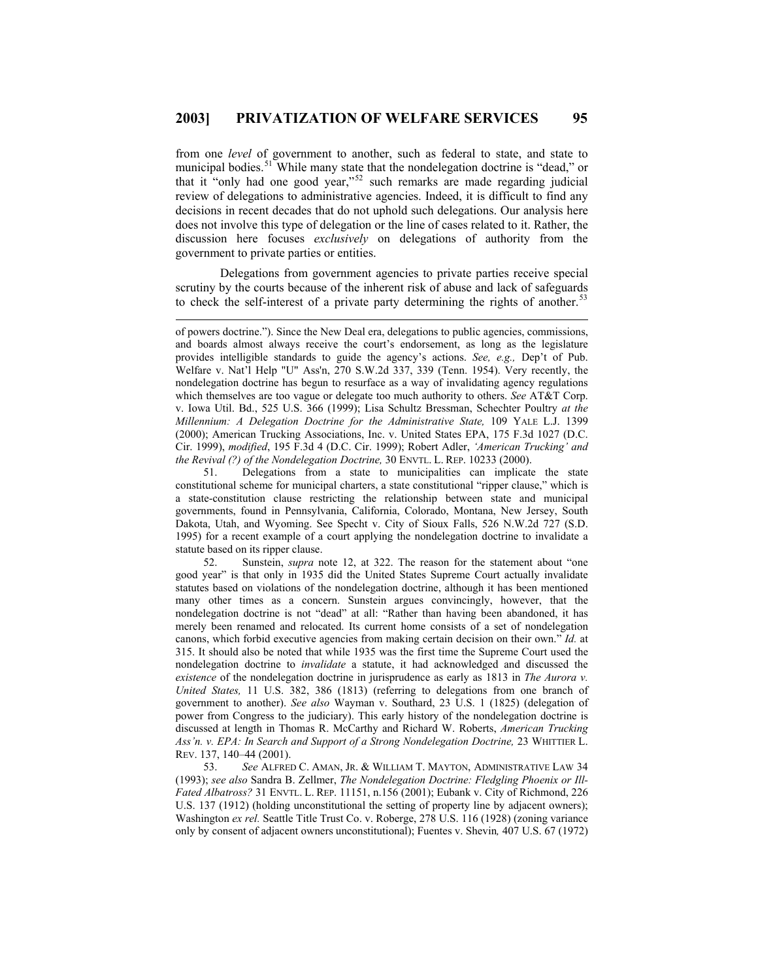from one *level* of government to another, such as federal to state, and state to municipal bodies.<sup>[51](#page-12-0)</sup> While many state that the nondelegation doctrine is "dead," or that it "only had one good year,"[52](#page-12-1) such remarks are made regarding judicial review of delegations to administrative agencies. Indeed, it is difficult to find any decisions in recent decades that do not uphold such delegations. Our analysis here does not involve this type of delegation or the line of cases related to it. Rather, the discussion here focuses *exclusively* on delegations of authority from the government to private parties or entities.

Delegations from government agencies to private parties receive special scrutiny by the courts because of the inherent risk of abuse and lack of safeguards to check the self-interest of a private party determining the rights of another.<sup>[53](#page-12-2)</sup>

of powers doctrine."). Since the New Deal era, delegations to public agencies, commissions, and boards almost always receive the court's endorsement, as long as the legislature provides intelligible standards to guide the agency's actions. *See, e.g.,* Dep't of Pub. Welfare v. Nat'l Help "U" Ass'n, 270 S.W.2d 337, 339 (Tenn. 1954). Very recently, the nondelegation doctrine has begun to resurface as a way of invalidating agency regulations which themselves are too vague or delegate too much authority to others. *See* AT&T Corp. v. Iowa Util. Bd., 525 U.S. 366 (1999); Lisa Schultz Bressman, Schechter Poultry *at the Millennium: A Delegation Doctrine for the Administrative State,* 109 YALE L.J. 1399 (2000); American Trucking Associations, Inc. v. United States EPA, 175 F.3d 1027 (D.C. Cir. 1999), *modified*, 195 F.3d 4 (D.C. Cir. 1999); Robert Adler, *'American Trucking' and the Revival (?) of the Nondelegation Doctrine,* 30 ENVTL. L. REP. 10233 (2000).

<span id="page-12-0"></span> <sup>51.</sup> Delegations from a state to municipalities can implicate the state constitutional scheme for municipal charters, a state constitutional "ripper clause," which is a state-constitution clause restricting the relationship between state and municipal governments, found in Pennsylvania, California, Colorado, Montana, New Jersey, South Dakota, Utah, and Wyoming. See Specht v. City of Sioux Falls, 526 N.W.2d 727 (S.D. 1995) for a recent example of a court applying the nondelegation doctrine to invalidate a statute based on its ripper clause.

<span id="page-12-1"></span> <sup>52.</sup> Sunstein, *supra* note 12, at 322. The reason for the statement about "one good year" is that only in 1935 did the United States Supreme Court actually invalidate statutes based on violations of the nondelegation doctrine, although it has been mentioned many other times as a concern. Sunstein argues convincingly, however, that the nondelegation doctrine is not "dead" at all: "Rather than having been abandoned, it has merely been renamed and relocated. Its current home consists of a set of nondelegation canons, which forbid executive agencies from making certain decision on their own." *Id.* at 315. It should also be noted that while 1935 was the first time the Supreme Court used the nondelegation doctrine to *invalidate* a statute, it had acknowledged and discussed the *existence* of the nondelegation doctrine in jurisprudence as early as 1813 in *The Aurora v. United States,* 11 U.S. 382, 386 (1813) (referring to delegations from one branch of government to another). *See also* Wayman v. Southard, 23 U.S. 1 (1825) (delegation of power from Congress to the judiciary). This early history of the nondelegation doctrine is discussed at length in Thomas R. McCarthy and Richard W. Roberts, *American Trucking Ass'n. v. EPA: In Search and Support of a Strong Nondelegation Doctrine,* 23 WHITTIER L. REV. 137, 140–44 (2001).

<span id="page-12-2"></span> <sup>53.</sup> *See* ALFRED C. AMAN, JR. & WILLIAM T. MAYTON, ADMINISTRATIVE LAW 34 (1993); *see also* Sandra B. Zellmer, *The Nondelegation Doctrine: Fledgling Phoenix or Ill-Fated Albatross?* 31 ENVTL. L. REP. 11151, n.156 (2001); Eubank v. City of Richmond, 226 U.S. 137 (1912) (holding unconstitutional the setting of property line by adjacent owners); Washington *ex rel.* Seattle Title Trust Co. v. Roberge, 278 U.S. 116 (1928) (zoning variance only by consent of adjacent owners unconstitutional); Fuentes v. Shevin*,* 407 U.S. 67 (1972)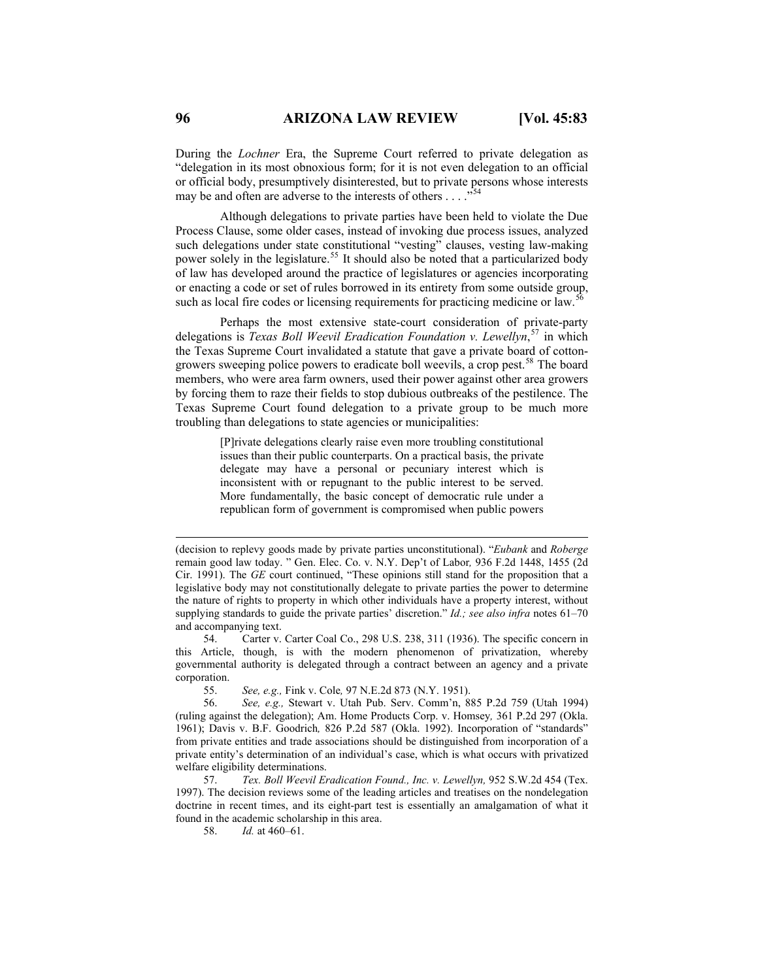During the *Lochner* Era, the Supreme Court referred to private delegation as "delegation in its most obnoxious form; for it is not even delegation to an official or official body, presumptively disinterested, but to private persons whose interests may be and often are adverse to the interests of others . . . .<sup>5[54](#page-13-0)</sup>

Although delegations to private parties have been held to violate the Due Process Clause, some older cases, instead of invoking due process issues, analyzed such delegations under state constitutional "vesting" clauses, vesting law-making power solely in the legislature.<sup>[55](#page-13-1)</sup> It should also be noted that a particularized body of law has developed around the practice of legislatures or agencies incorporating or enacting a code or set of rules borrowed in its entirety from some outside group, such as local fire codes or licensing requirements for practicing medicine or law.<sup>[56](#page-13-2)</sup>

Perhaps the most extensive state-court consideration of private-party delegations is *Texas Boll Weevil Eradication Foundation v. Lewellyn*, [57](#page-13-3) in which the Texas Supreme Court invalidated a statute that gave a private board of cotton-growers sweeping police powers to eradicate boll weevils, a crop pest.<sup>[58](#page-13-4)</sup> The board members, who were area farm owners, used their power against other area growers by forcing them to raze their fields to stop dubious outbreaks of the pestilence. The Texas Supreme Court found delegation to a private group to be much more troubling than delegations to state agencies or municipalities:

> [P]rivate delegations clearly raise even more troubling constitutional issues than their public counterparts. On a practical basis, the private delegate may have a personal or pecuniary interest which is inconsistent with or repugnant to the public interest to be served. More fundamentally, the basic concept of democratic rule under a republican form of government is compromised when public powers

55. *See, e.g.,* Fink v. Cole*,* 97 N.E.2d 873 (N.Y. 1951).

58. *Id.* at 460–61.

<sup>(</sup>decision to replevy goods made by private parties unconstitutional). "*Eubank* and *Roberge*  remain good law today. " Gen. Elec. Co. v. N.Y. Dep't of Labor*,* 936 F.2d 1448, 1455 (2d Cir. 1991). The *GE* court continued, "These opinions still stand for the proposition that a legislative body may not constitutionally delegate to private parties the power to determine the nature of rights to property in which other individuals have a property interest, without supplying standards to guide the private parties' discretion." *Id.; see also infra* notes 61–70 and accompanying text.<br>54. Carter v.

<span id="page-13-0"></span>Carter v. Carter Coal Co., 298 U.S. 238, 311 (1936). The specific concern in this Article, though, is with the modern phenomenon of privatization, whereby governmental authority is delegated through a contract between an agency and a private corporation.

<span id="page-13-2"></span><span id="page-13-1"></span> <sup>56.</sup> *See, e.g.,* Stewart v. Utah Pub. Serv. Comm'n, 885 P.2d 759 (Utah 1994) (ruling against the delegation); Am. Home Products Corp. v. Homsey*,* 361 P.2d 297 (Okla. 1961); Davis v. B.F. Goodrich*,* 826 P.2d 587 (Okla. 1992). Incorporation of "standards" from private entities and trade associations should be distinguished from incorporation of a private entity's determination of an individual's case, which is what occurs with privatized welfare eligibility determinations.

<span id="page-13-4"></span><span id="page-13-3"></span> <sup>57.</sup> *Tex. Boll Weevil Eradication Found., Inc. v. Lewellyn,* 952 S.W.2d 454 (Tex. 1997). The decision reviews some of the leading articles and treatises on the nondelegation doctrine in recent times, and its eight-part test is essentially an amalgamation of what it found in the academic scholarship in this area.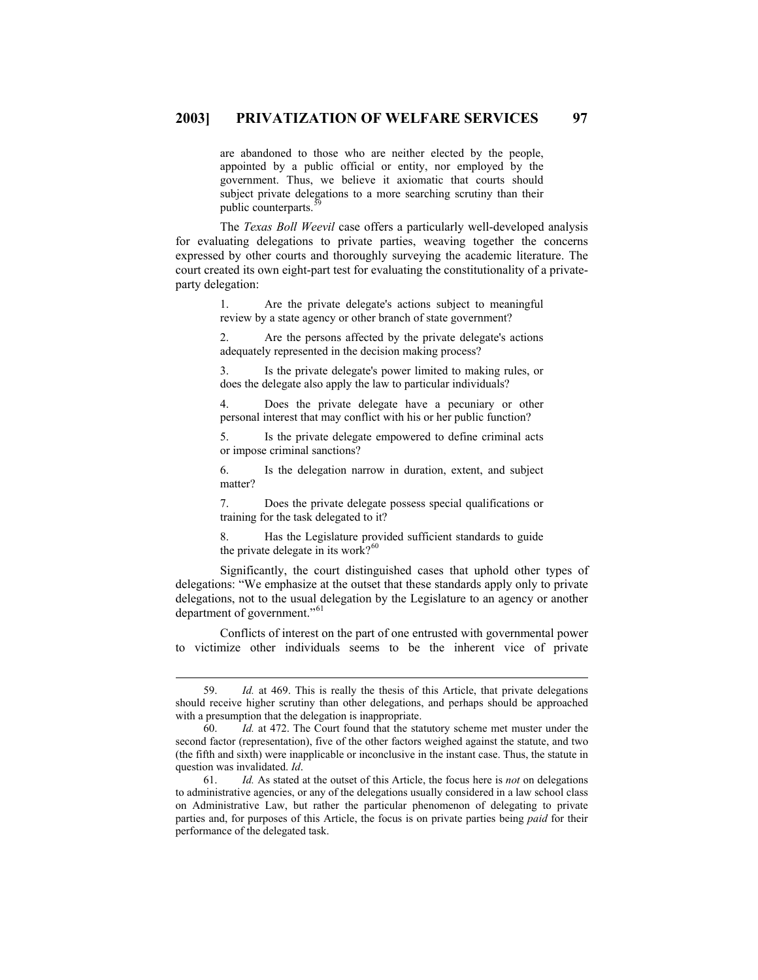are abandoned to those who are neither elected by the people, appointed by a public official or entity, nor employed by the government. Thus, we believe it axiomatic that courts should subject private delegations to a more searching scrutiny than their public counterparts.<sup>5</sup>

The *Texas Boll Weevil* case offers a particularly well-developed analysis for evaluating delegations to private parties, weaving together the concerns expressed by other courts and thoroughly surveying the academic literature. The court created its own eight-part test for evaluating the constitutionality of a privateparty delegation:

> 1. Are the private delegate's actions subject to meaningful review by a state agency or other branch of state government?

> 2. Are the persons affected by the private delegate's actions adequately represented in the decision making process?

> 3. Is the private delegate's power limited to making rules, or does the delegate also apply the law to particular individuals?

> 4. Does the private delegate have a pecuniary or other personal interest that may conflict with his or her public function?

> 5. Is the private delegate empowered to define criminal acts or impose criminal sanctions?

> 6. Is the delegation narrow in duration, extent, and subject matter?

> 7. Does the private delegate possess special qualifications or training for the task delegated to it?

> 8. Has the Legislature provided sufficient standards to guide the private delegate in its work? $60$

Significantly, the court distinguished cases that uphold other types of delegations: "We emphasize at the outset that these standards apply only to private delegations, not to the usual delegation by the Legislature to an agency or another department of government."<sup>[61](#page-14-2)</sup>

Conflicts of interest on the part of one entrusted with governmental power to victimize other individuals seems to be the inherent vice of private

<span id="page-14-0"></span> <sup>59.</sup> *Id.* at 469. This is really the thesis of this Article, that private delegations should receive higher scrutiny than other delegations, and perhaps should be approached with a presumption that the delegation is inappropriate.

<span id="page-14-1"></span> <sup>60.</sup> *Id.* at 472. The Court found that the statutory scheme met muster under the second factor (representation), five of the other factors weighed against the statute, and two (the fifth and sixth) were inapplicable or inconclusive in the instant case. Thus, the statute in question was invalidated. *Id*.

<span id="page-14-2"></span> <sup>61.</sup> *Id.* As stated at the outset of this Article, the focus here is *not* on delegations to administrative agencies, or any of the delegations usually considered in a law school class on Administrative Law, but rather the particular phenomenon of delegating to private parties and, for purposes of this Article, the focus is on private parties being *paid* for their performance of the delegated task.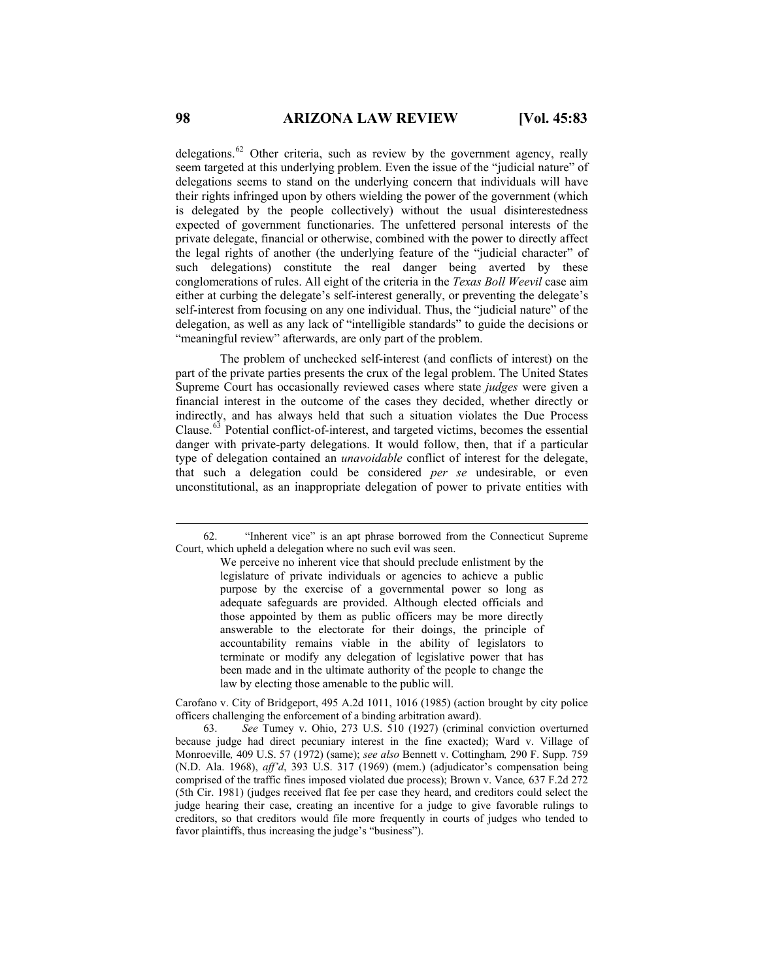delegations.<sup>[62](#page-15-0)</sup> Other criteria, such as review by the government agency, really seem targeted at this underlying problem. Even the issue of the "judicial nature" of delegations seems to stand on the underlying concern that individuals will have their rights infringed upon by others wielding the power of the government (which is delegated by the people collectively) without the usual disinterestedness expected of government functionaries. The unfettered personal interests of the private delegate, financial or otherwise, combined with the power to directly affect the legal rights of another (the underlying feature of the "judicial character" of such delegations) constitute the real danger being averted by these conglomerations of rules. All eight of the criteria in the *Texas Boll Weevil* case aim either at curbing the delegate's self-interest generally, or preventing the delegate's self-interest from focusing on any one individual. Thus, the "judicial nature" of the delegation, as well as any lack of "intelligible standards" to guide the decisions or "meaningful review" afterwards, are only part of the problem.

The problem of unchecked self-interest (and conflicts of interest) on the part of the private parties presents the crux of the legal problem. The United States Supreme Court has occasionally reviewed cases where state *judges* were given a financial interest in the outcome of the cases they decided, whether directly or indirectly, and has always held that such a situation violates the Due Process Clause.<sup>[63](#page-15-1)</sup> Potential conflict-of-interest, and targeted victims, becomes the essential danger with private-party delegations. It would follow, then, that if a particular type of delegation contained an *unavoidable* conflict of interest for the delegate, that such a delegation could be considered *per se* undesirable, or even unconstitutional, as an inappropriate delegation of power to private entities with

Carofano v. City of Bridgeport, 495 A.2d 1011, 1016 (1985) (action brought by city police officers challenging the enforcement of a binding arbitration award).

<span id="page-15-0"></span> <sup>62. &</sup>quot;Inherent vice" is an apt phrase borrowed from the Connecticut Supreme Court, which upheld a delegation where no such evil was seen.

We perceive no inherent vice that should preclude enlistment by the legislature of private individuals or agencies to achieve a public purpose by the exercise of a governmental power so long as adequate safeguards are provided. Although elected officials and those appointed by them as public officers may be more directly answerable to the electorate for their doings, the principle of accountability remains viable in the ability of legislators to terminate or modify any delegation of legislative power that has been made and in the ultimate authority of the people to change the law by electing those amenable to the public will.

<span id="page-15-1"></span> <sup>63.</sup> *See* Tumey v. Ohio, 273 U.S. 510 (1927) (criminal conviction overturned because judge had direct pecuniary interest in the fine exacted); Ward v. Village of Monroeville*,* 409 U.S. 57 (1972) (same); *see also* Bennett v. Cottingham*,* 290 F. Supp. 759 (N.D. Ala. 1968), *aff'd*, 393 U.S. 317 (1969) (mem.) (adjudicator's compensation being comprised of the traffic fines imposed violated due process); Brown v. Vance*,* 637 F.2d 272 (5th Cir. 1981) (judges received flat fee per case they heard, and creditors could select the judge hearing their case, creating an incentive for a judge to give favorable rulings to creditors, so that creditors would file more frequently in courts of judges who tended to favor plaintiffs, thus increasing the judge's "business").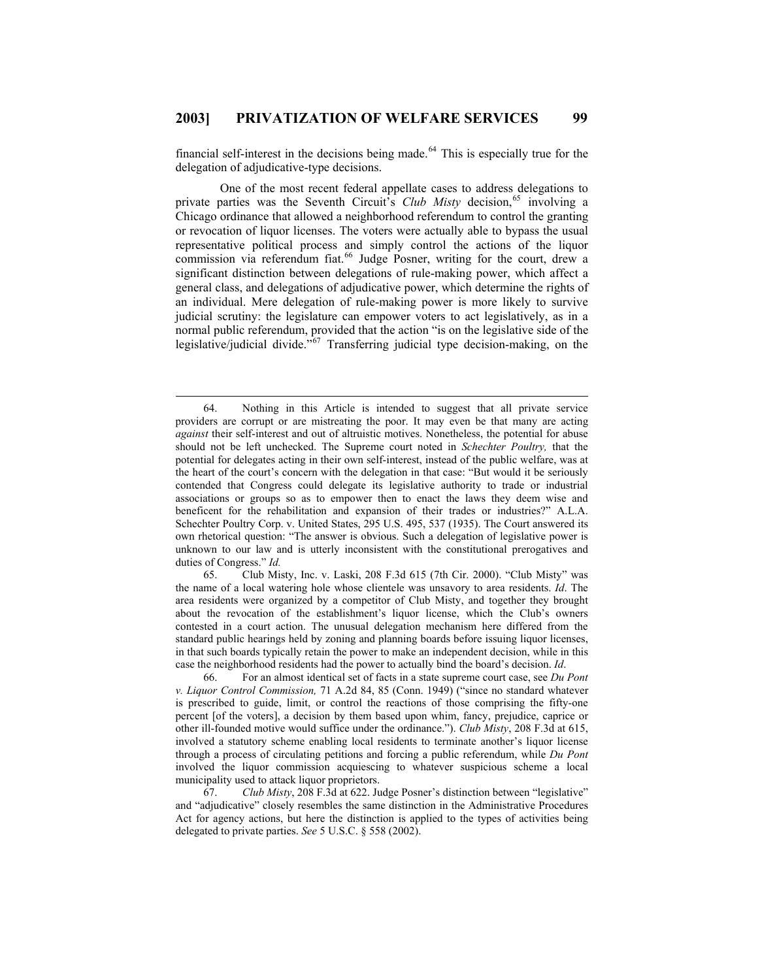financial self-interest in the decisions being made.<sup>[64](#page-16-0)</sup> This is especially true for the delegation of adjudicative-type decisions.

One of the most recent federal appellate cases to address delegations to private parties was the Seventh Circuit's *Club Misty* decision,<sup>[65](#page-16-1)</sup> involving a Chicago ordinance that allowed a neighborhood referendum to control the granting or revocation of liquor licenses. The voters were actually able to bypass the usual representative political process and simply control the actions of the liquor commission via referendum fiat.<sup>[66](#page-16-2)</sup> Judge Posner, writing for the court, drew a significant distinction between delegations of rule-making power, which affect a general class, and delegations of adjudicative power, which determine the rights of an individual. Mere delegation of rule-making power is more likely to survive judicial scrutiny: the legislature can empower voters to act legislatively, as in a normal public referendum, provided that the action "is on the legislative side of the legislative/judicial divide.<sup> $567$  $567$ </sup> Transferring judicial type decision-making, on the

 $\overline{\phantom{a}}$ 

<span id="page-16-1"></span> 65. Club Misty, Inc. v. Laski, 208 F.3d 615 (7th Cir. 2000). "Club Misty" was the name of a local watering hole whose clientele was unsavory to area residents. *Id*. The area residents were organized by a competitor of Club Misty, and together they brought about the revocation of the establishment's liquor license, which the Club's owners contested in a court action. The unusual delegation mechanism here differed from the standard public hearings held by zoning and planning boards before issuing liquor licenses, in that such boards typically retain the power to make an independent decision, while in this case the neighborhood residents had the power to actually bind the board's decision. *Id*.

<span id="page-16-2"></span> 66. For an almost identical set of facts in a state supreme court case, see *Du Pont v. Liquor Control Commission,* 71 A.2d 84, 85 (Conn. 1949) ("since no standard whatever is prescribed to guide, limit, or control the reactions of those comprising the fifty-one percent [of the voters], a decision by them based upon whim, fancy, prejudice, caprice or other ill-founded motive would suffice under the ordinance."). *Club Misty*, 208 F.3d at 615, involved a statutory scheme enabling local residents to terminate another's liquor license through a process of circulating petitions and forcing a public referendum, while *Du Pont* involved the liquor commission acquiescing to whatever suspicious scheme a local municipality used to attack liquor proprietors.

<span id="page-16-3"></span> 67. *Club Misty*, 208 F.3d at 622. Judge Posner's distinction between "legislative" and "adjudicative" closely resembles the same distinction in the Administrative Procedures Act for agency actions, but here the distinction is applied to the types of activities being delegated to private parties. *See* 5 U.S.C. § 558 (2002).

<span id="page-16-0"></span> <sup>64.</sup> Nothing in this Article is intended to suggest that all private service providers are corrupt or are mistreating the poor. It may even be that many are acting *against* their self-interest and out of altruistic motives. Nonetheless, the potential for abuse should not be left unchecked. The Supreme court noted in *Schechter Poultry,* that the potential for delegates acting in their own self-interest, instead of the public welfare, was at the heart of the court's concern with the delegation in that case: "But would it be seriously contended that Congress could delegate its legislative authority to trade or industrial associations or groups so as to empower then to enact the laws they deem wise and beneficent for the rehabilitation and expansion of their trades or industries?" A.L.A. Schechter Poultry Corp. v. United States, 295 U.S. 495, 537 (1935). The Court answered its own rhetorical question: "The answer is obvious. Such a delegation of legislative power is unknown to our law and is utterly inconsistent with the constitutional prerogatives and duties of Congress." *Id.*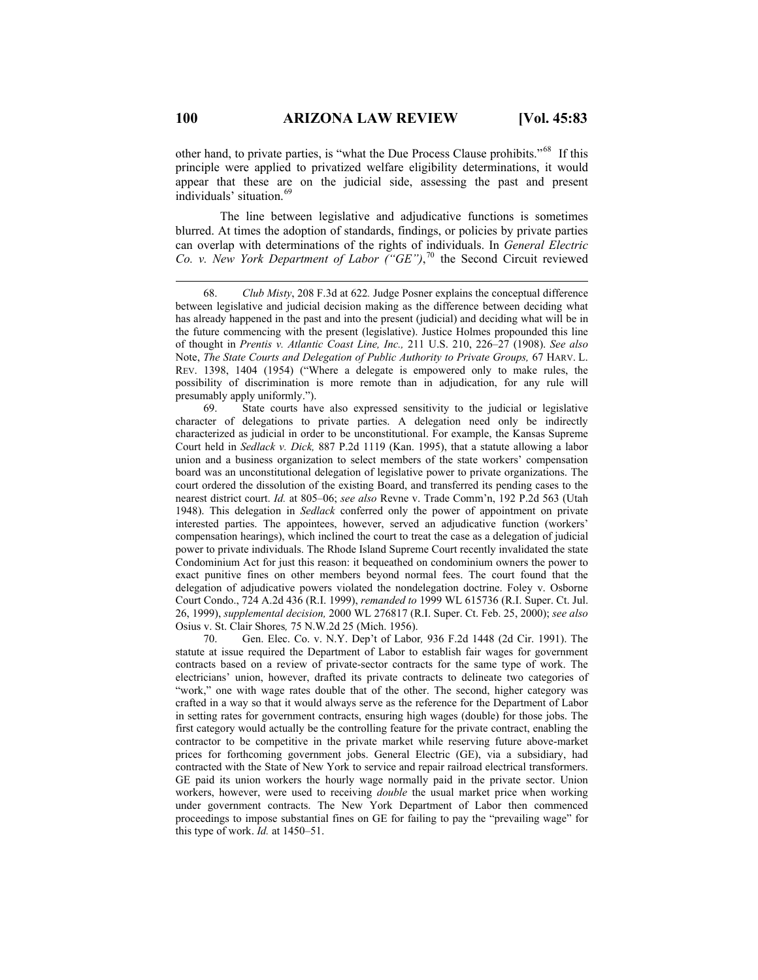other hand, to private parties, is "what the Due Process Clause prohibits."[68](#page-17-0) If this principle were applied to privatized welfare eligibility determinations, it would appear that these are on the judicial side, assessing the past and present individuals' situation.<sup>[69](#page-17-1)</sup>

The line between legislative and adjudicative functions is sometimes blurred. At times the adoption of standards, findings, or policies by private parties can overlap with determinations of the rights of individuals. In *General Electric Co. v. New York Department of Labor ("GE")*, [70](#page-17-2) the Second Circuit reviewed

<span id="page-17-1"></span> 69. State courts have also expressed sensitivity to the judicial or legislative character of delegations to private parties. A delegation need only be indirectly characterized as judicial in order to be unconstitutional. For example, the Kansas Supreme Court held in *Sedlack v. Dick,* 887 P.2d 1119 (Kan. 1995), that a statute allowing a labor union and a business organization to select members of the state workers' compensation board was an unconstitutional delegation of legislative power to private organizations. The court ordered the dissolution of the existing Board, and transferred its pending cases to the nearest district court. *Id.* at 805–06; *see also* Revne v. Trade Comm'n, 192 P.2d 563 (Utah 1948). This delegation in *Sedlack* conferred only the power of appointment on private interested parties. The appointees, however, served an adjudicative function (workers' compensation hearings), which inclined the court to treat the case as a delegation of judicial power to private individuals. The Rhode Island Supreme Court recently invalidated the state Condominium Act for just this reason: it bequeathed on condominium owners the power to exact punitive fines on other members beyond normal fees. The court found that the delegation of adjudicative powers violated the nondelegation doctrine. Foley v. Osborne Court Condo., 724 A.2d 436 (R.I. 1999), *remanded to* 1999 WL 615736 (R.I. Super. Ct. Jul. 26, 1999), *supplemental decision,* 2000 WL 276817 (R.I. Super. Ct. Feb. 25, 2000); *see also*  Osius v. St. Clair Shores*,* 75 N.W.2d 25 (Mich. 1956).

<span id="page-17-2"></span> 70. Gen. Elec. Co. v. N.Y. Dep't of Labor*,* 936 F.2d 1448 (2d Cir. 1991). The statute at issue required the Department of Labor to establish fair wages for government contracts based on a review of private-sector contracts for the same type of work. The electricians' union, however, drafted its private contracts to delineate two categories of "work," one with wage rates double that of the other. The second, higher category was crafted in a way so that it would always serve as the reference for the Department of Labor in setting rates for government contracts, ensuring high wages (double) for those jobs. The first category would actually be the controlling feature for the private contract, enabling the contractor to be competitive in the private market while reserving future above-market prices for forthcoming government jobs. General Electric (GE), via a subsidiary, had contracted with the State of New York to service and repair railroad electrical transformers. GE paid its union workers the hourly wage normally paid in the private sector. Union workers, however, were used to receiving *double* the usual market price when working under government contracts. The New York Department of Labor then commenced proceedings to impose substantial fines on GE for failing to pay the "prevailing wage" for this type of work. *Id.* at 1450–51.

<span id="page-17-0"></span> <sup>68.</sup> *Club Misty*, 208 F.3d at 622*.* Judge Posner explains the conceptual difference between legislative and judicial decision making as the difference between deciding what has already happened in the past and into the present (judicial) and deciding what will be in the future commencing with the present (legislative). Justice Holmes propounded this line of thought in *Prentis v. Atlantic Coast Line, Inc.,* 211 U.S. 210, 226–27 (1908). *See also*  Note, *The State Courts and Delegation of Public Authority to Private Groups,* 67 HARV. L. REV. 1398, 1404 (1954) ("Where a delegate is empowered only to make rules, the possibility of discrimination is more remote than in adjudication, for any rule will presumably apply uniformly.").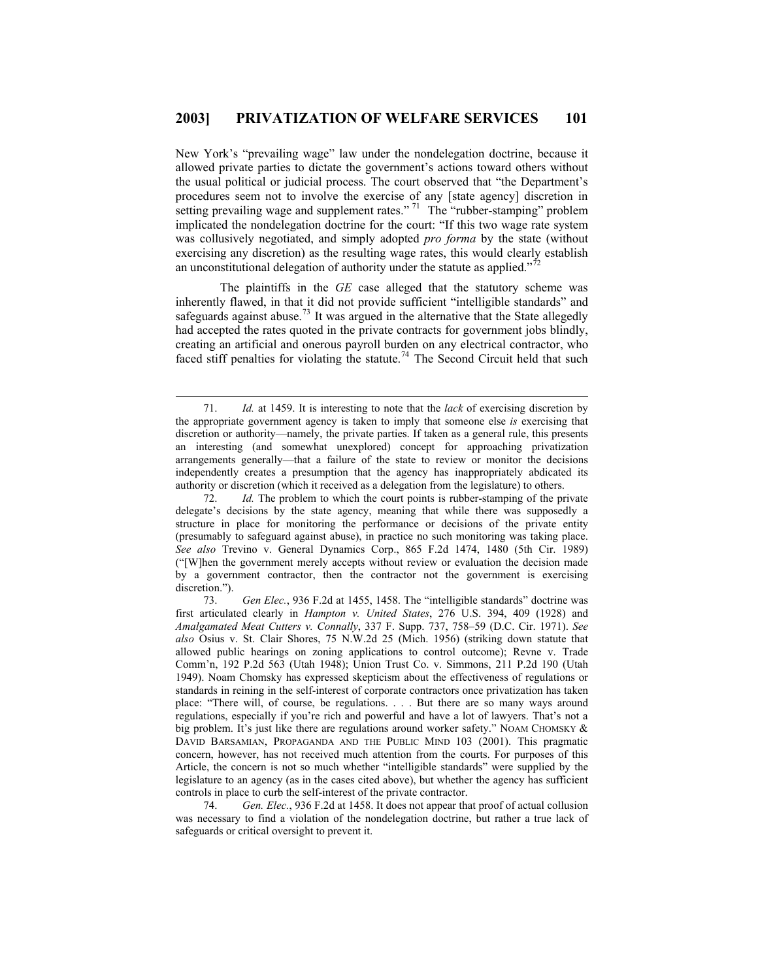New York's "prevailing wage" law under the nondelegation doctrine, because it allowed private parties to dictate the government's actions toward others without the usual political or judicial process. The court observed that "the Department's procedures seem not to involve the exercise of any [state agency] discretion in setting prevailing wage and supplement rates." <sup>[71](#page-18-0)</sup> The "rubber-stamping" problem implicated the nondelegation doctrine for the court: "If this two wage rate system was collusively negotiated, and simply adopted *pro forma* by the state (without exercising any discretion) as the resulting wage rates, this would clearly establish an unconstitutional delegation of authority under the statute as applied." $\frac{7}{2}$ 

The plaintiffs in the *GE* case alleged that the statutory scheme was inherently flawed, in that it did not provide sufficient "intelligible standards" and safeguards against abuse.<sup>[73](#page-18-2)</sup> It was argued in the alternative that the State allegedly had accepted the rates quoted in the private contracts for government jobs blindly, creating an artificial and onerous payroll burden on any electrical contractor, who faced stiff penalties for violating the statute.<sup>[74](#page-18-3)</sup> The Second Circuit held that such

 $\overline{\phantom{a}}$ 

<span id="page-18-1"></span> 72. *Id.* The problem to which the court points is rubber-stamping of the private delegate's decisions by the state agency, meaning that while there was supposedly a structure in place for monitoring the performance or decisions of the private entity (presumably to safeguard against abuse), in practice no such monitoring was taking place. *See also* Trevino v. General Dynamics Corp., 865 F.2d 1474, 1480 (5th Cir. 1989) ("[W]hen the government merely accepts without review or evaluation the decision made by a government contractor, then the contractor not the government is exercising discretion.").

<span id="page-18-3"></span> 74. *Gen. Elec.*, 936 F.2d at 1458. It does not appear that proof of actual collusion was necessary to find a violation of the nondelegation doctrine, but rather a true lack of safeguards or critical oversight to prevent it.

<span id="page-18-0"></span> <sup>71.</sup> *Id.* at 1459. It is interesting to note that the *lack* of exercising discretion by the appropriate government agency is taken to imply that someone else *is* exercising that discretion or authority—namely, the private parties. If taken as a general rule, this presents an interesting (and somewhat unexplored) concept for approaching privatization arrangements generally—that a failure of the state to review or monitor the decisions independently creates a presumption that the agency has inappropriately abdicated its authority or discretion (which it received as a delegation from the legislature) to others.

<span id="page-18-2"></span> <sup>73.</sup> *Gen Elec.*, 936 F.2d at 1455, 1458. The "intelligible standards" doctrine was first articulated clearly in *Hampton v. United States*, 276 U.S. 394, 409 (1928) and *Amalgamated Meat Cutters v. Connally*, 337 F. Supp. 737, 758–59 (D.C. Cir. 1971). *See also* Osius v. St. Clair Shores, 75 N.W.2d 25 (Mich. 1956) (striking down statute that allowed public hearings on zoning applications to control outcome); Revne v. Trade Comm'n, 192 P.2d 563 (Utah 1948); Union Trust Co. v. Simmons, 211 P.2d 190 (Utah 1949). Noam Chomsky has expressed skepticism about the effectiveness of regulations or standards in reining in the self-interest of corporate contractors once privatization has taken place: "There will, of course, be regulations. . . . But there are so many ways around regulations, especially if you're rich and powerful and have a lot of lawyers. That's not a big problem. It's just like there are regulations around worker safety." NOAM CHOMSKY  $\&$ DAVID BARSAMIAN, PROPAGANDA AND THE PUBLIC MIND 103 (2001). This pragmatic concern, however, has not received much attention from the courts. For purposes of this Article, the concern is not so much whether "intelligible standards" were supplied by the legislature to an agency (as in the cases cited above), but whether the agency has sufficient controls in place to curb the self-interest of the private contractor.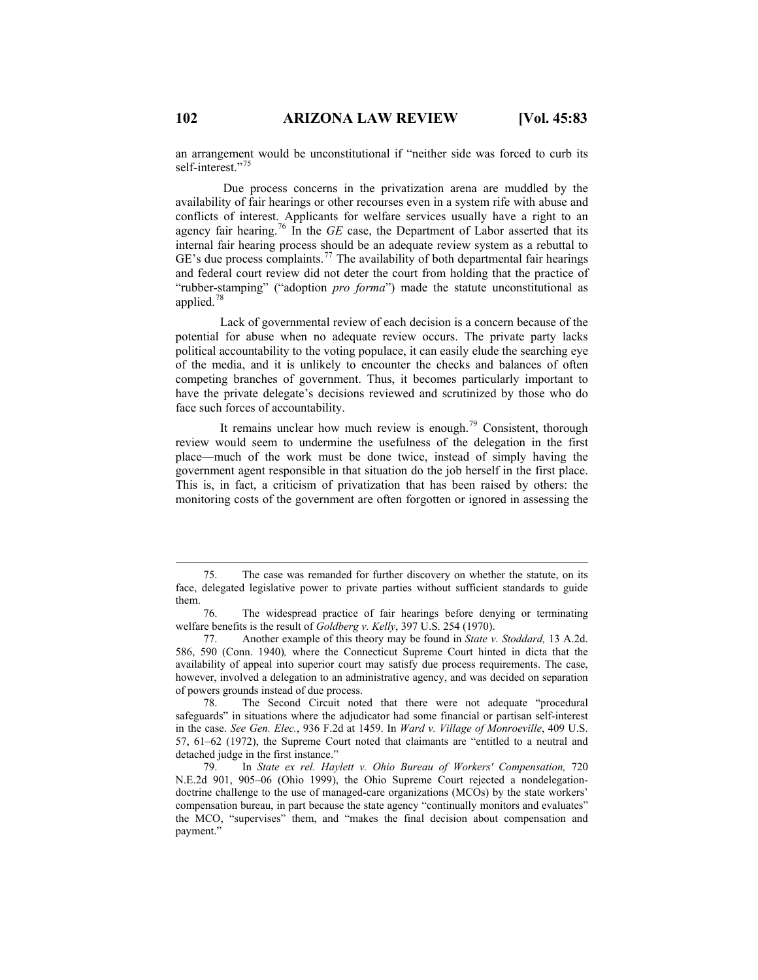an arrangement would be unconstitutional if "neither side was forced to curb its self-interest."<sup>[75](#page-19-0)</sup>

 Due process concerns in the privatization arena are muddled by the availability of fair hearings or other recourses even in a system rife with abuse and conflicts of interest. Applicants for welfare services usually have a right to an agency fair hearing.[76](#page-19-1) In the *GE* case, the Department of Labor asserted that its internal fair hearing process should be an adequate review system as a rebuttal to  $GE's$  due process complaints.<sup>[77](#page-19-2)</sup> The availability of both departmental fair hearings and federal court review did not deter the court from holding that the practice of "rubber-stamping" ("adoption *pro forma*") made the statute unconstitutional as applied.[78](#page-19-3)

Lack of governmental review of each decision is a concern because of the potential for abuse when no adequate review occurs. The private party lacks political accountability to the voting populace, it can easily elude the searching eye of the media, and it is unlikely to encounter the checks and balances of often competing branches of government. Thus, it becomes particularly important to have the private delegate's decisions reviewed and scrutinized by those who do face such forces of accountability.

It remains unclear how much review is enough.<sup>[79](#page-19-4)</sup> Consistent, thorough review would seem to undermine the usefulness of the delegation in the first place—much of the work must be done twice, instead of simply having the government agent responsible in that situation do the job herself in the first place. This is, in fact, a criticism of privatization that has been raised by others: the monitoring costs of the government are often forgotten or ignored in assessing the

<span id="page-19-0"></span> <sup>75.</sup> The case was remanded for further discovery on whether the statute, on its face, delegated legislative power to private parties without sufficient standards to guide them.

<span id="page-19-1"></span> <sup>76.</sup> The widespread practice of fair hearings before denying or terminating welfare benefits is the result of *Goldberg v. Kelly*, 397 U.S. 254 (1970).

<span id="page-19-2"></span> <sup>77.</sup> Another example of this theory may be found in *State v. Stoddard,* 13 A.2d. 586, 590 (Conn. 1940)*,* where the Connecticut Supreme Court hinted in dicta that the availability of appeal into superior court may satisfy due process requirements. The case, however, involved a delegation to an administrative agency, and was decided on separation of powers grounds instead of due process.

<span id="page-19-3"></span> <sup>78.</sup> The Second Circuit noted that there were not adequate "procedural safeguards" in situations where the adjudicator had some financial or partisan self-interest in the case. *See Gen. Elec.*, 936 F.2d at 1459. In *Ward v. Village of Monroeville*, 409 U.S. 57, 61–62 (1972), the Supreme Court noted that claimants are "entitled to a neutral and detached judge in the first instance."

<span id="page-19-4"></span> <sup>79.</sup> In *State ex rel. Haylett v. Ohio Bureau of Workers' Compensation,* 720 N.E.2d 901, 905–06 (Ohio 1999), the Ohio Supreme Court rejected a nondelegationdoctrine challenge to the use of managed-care organizations (MCOs) by the state workers' compensation bureau, in part because the state agency "continually monitors and evaluates" the MCO, "supervises" them, and "makes the final decision about compensation and payment."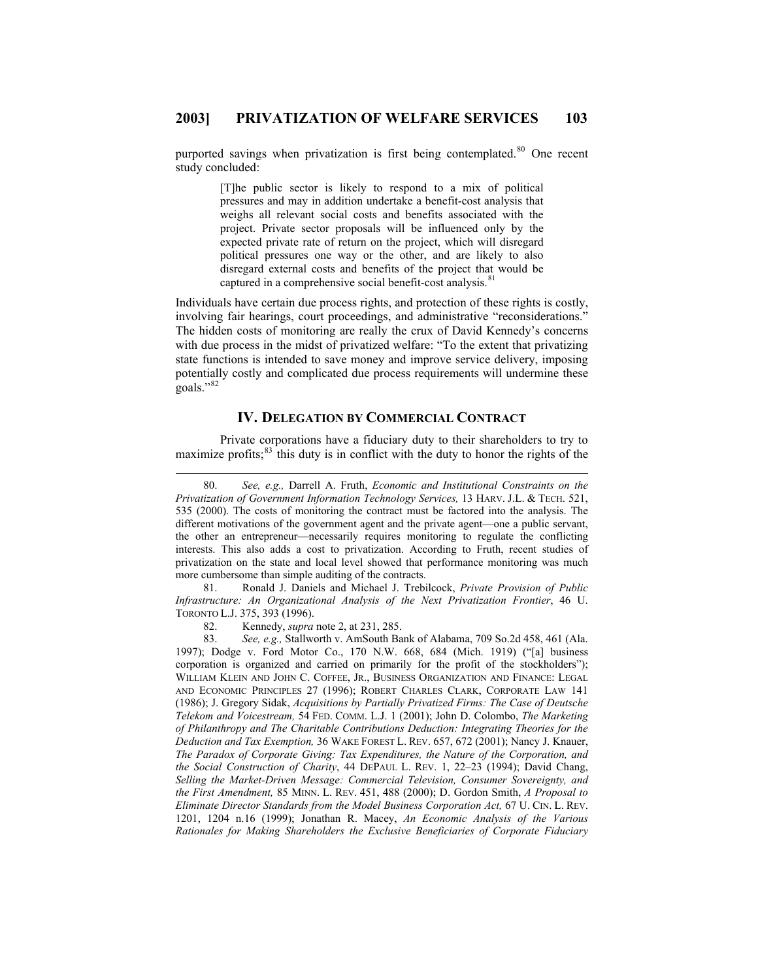purported savings when privatization is first being contemplated.<sup>[80](#page-20-0)</sup> One recent study concluded:

> [T]he public sector is likely to respond to a mix of political pressures and may in addition undertake a benefit-cost analysis that weighs all relevant social costs and benefits associated with the project. Private sector proposals will be influenced only by the expected private rate of return on the project, which will disregard political pressures one way or the other, and are likely to also disregard external costs and benefits of the project that would be captured in a comprehensive social benefit-cost analysis.<sup>8</sup>

Individuals have certain due process rights, and protection of these rights is costly, involving fair hearings, court proceedings, and administrative "reconsiderations." The hidden costs of monitoring are really the crux of David Kennedy's concerns with due process in the midst of privatized welfare: "To the extent that privatizing state functions is intended to save money and improve service delivery, imposing potentially costly and complicated due process requirements will undermine these  $g$ oals."<sup>[82](#page-20-2)</sup>

# **IV. DELEGATION BY COMMERCIAL CONTRACT**

Private corporations have a fiduciary duty to their shareholders to try to maximize profits; $^{83}$  $^{83}$  $^{83}$  this duty is in conflict with the duty to honor the rights of the

<span id="page-20-1"></span> 81. Ronald J. Daniels and Michael J. Trebilcock, *Private Provision of Public Infrastructure: An Organizational Analysis of the Next Privatization Frontier*, 46 U. TORONTO L.J. 375, 393 (1996).

82. Kennedy, *supra* note 2, at 231, 285.<br>83. See, e.g., Stallworth v. AmSouth Ba

 $\overline{\phantom{a}}$ 

<span id="page-20-3"></span><span id="page-20-2"></span>See, e.g., Stallworth v. AmSouth Bank of Alabama, 709 So.2d 458, 461 (Ala. 1997); Dodge v. Ford Motor Co., 170 N.W. 668, 684 (Mich. 1919) ("[a] business corporation is organized and carried on primarily for the profit of the stockholders"); WILLIAM KLEIN AND JOHN C. COFFEE, JR., BUSINESS ORGANIZATION AND FINANCE: LEGAL AND ECONOMIC PRINCIPLES 27 (1996); ROBERT CHARLES CLARK, CORPORATE LAW 141 (1986); J. Gregory Sidak, *Acquisitions by Partially Privatized Firms: The Case of Deutsche Telekom and Voicestream,* 54 FED. COMM. L.J. 1 (2001); John D. Colombo, *The Marketing of Philanthropy and The Charitable Contributions Deduction: Integrating Theories for the Deduction and Tax Exemption,* 36 WAKE FOREST L. REV. 657, 672 (2001); Nancy J. Knauer, *The Paradox of Corporate Giving: Tax Expenditures, the Nature of the Corporation, and the Social Construction of Charity*, 44 DEPAUL L. REV. 1, 22–23 (1994); David Chang, *Selling the Market-Driven Message: Commercial Television, Consumer Sovereignty, and the First Amendment,* 85 MINN. L. REV. 451, 488 (2000); D. Gordon Smith, *A Proposal to Eliminate Director Standards from the Model Business Corporation Act,* 67 U. CIN. L. REV. 1201, 1204 n.16 (1999); Jonathan R. Macey, *An Economic Analysis of the Various Rationales for Making Shareholders the Exclusive Beneficiaries of Corporate Fiduciary* 

<span id="page-20-0"></span> <sup>80.</sup> *See, e.g.,* Darrell A. Fruth, *Economic and Institutional Constraints on the Privatization of Government Information Technology Services,* 13 HARV. J.L. & TECH. 521, 535 (2000). The costs of monitoring the contract must be factored into the analysis. The different motivations of the government agent and the private agent—one a public servant, the other an entrepreneur—necessarily requires monitoring to regulate the conflicting interests. This also adds a cost to privatization. According to Fruth, recent studies of privatization on the state and local level showed that performance monitoring was much more cumbersome than simple auditing of the contracts.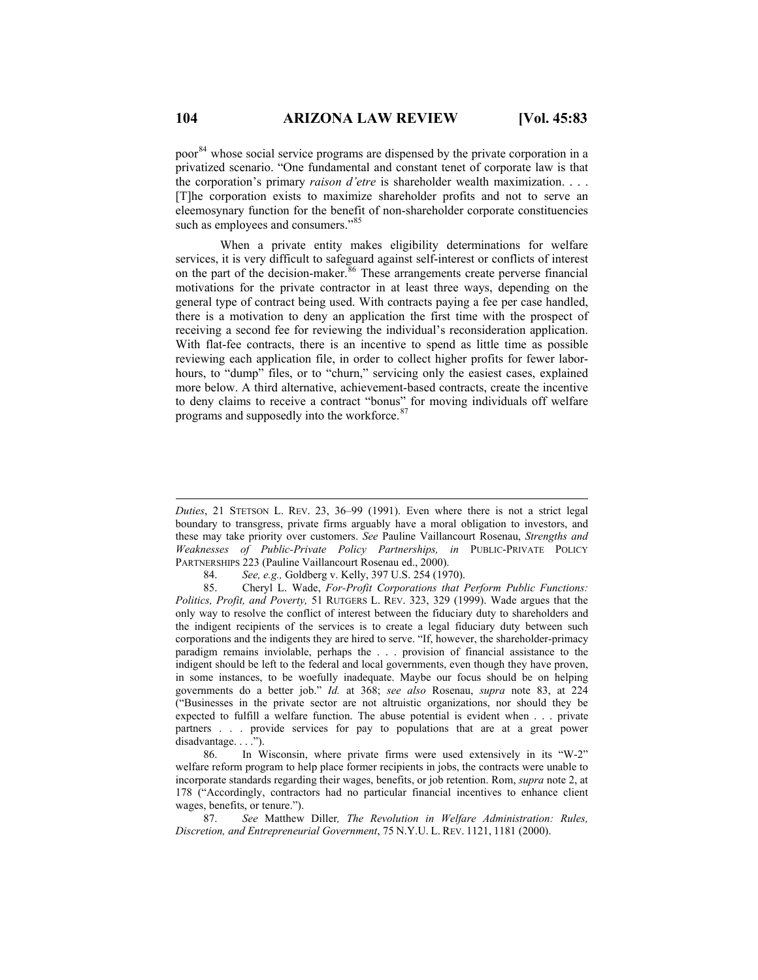poor<sup>[84](#page-21-0)</sup> whose social service programs are dispensed by the private corporation in a privatized scenario. "One fundamental and constant tenet of corporate law is that the corporation's primary *raison d'etre* is shareholder wealth maximization. . . . [T]he corporation exists to maximize shareholder profits and not to serve an eleemosynary function for the benefit of non-shareholder corporate constituencies such as employees and consumers."<sup>[85](#page-21-1)</sup>

When a private entity makes eligibility determinations for welfare services, it is very difficult to safeguard against self-interest or conflicts of interest on the part of the decision-maker.<sup>[86](#page-21-2)</sup> These arrangements create perverse financial motivations for the private contractor in at least three ways, depending on the general type of contract being used. With contracts paying a fee per case handled, there is a motivation to deny an application the first time with the prospect of receiving a second fee for reviewing the individual's reconsideration application. With flat-fee contracts, there is an incentive to spend as little time as possible reviewing each application file, in order to collect higher profits for fewer laborhours, to "dump" files, or to "churn," servicing only the easiest cases, explained more below. A third alternative, achievement-based contracts, create the incentive to deny claims to receive a contract "bonus" for moving individuals off welfare programs and supposedly into the workforce.<sup>[87](#page-21-3)</sup>

*Duties*, 21 STETSON L. REV. 23, 36–99 (1991). Even where there is not a strict legal boundary to transgress, private firms arguably have a moral obligation to investors, and these may take priority over customers. *See* Pauline Vaillancourt Rosenau, *Strengths and Weaknesses of Public-Private Policy Partnerships, in* PUBLIC-PRIVATE POLICY PARTNERSHIPS 223 (Pauline Vaillancourt Rosenau ed., 2000).

 <sup>84.</sup> *See, e.g.,* Goldberg v. Kelly, 397 U.S. 254 (1970).

<span id="page-21-1"></span><span id="page-21-0"></span> <sup>85.</sup> Cheryl L. Wade, *For-Profit Corporations that Perform Public Functions: Politics, Profit, and Poverty,* 51 RUTGERS L. REV. 323, 329 (1999). Wade argues that the only way to resolve the conflict of interest between the fiduciary duty to shareholders and the indigent recipients of the services is to create a legal fiduciary duty between such corporations and the indigents they are hired to serve. "If, however, the shareholder-primacy paradigm remains inviolable, perhaps the . . . provision of financial assistance to the indigent should be left to the federal and local governments, even though they have proven, in some instances, to be woefully inadequate. Maybe our focus should be on helping governments do a better job." *Id.* at 368; *see also* Rosenau, *supra* note 83, at 224 ("Businesses in the private sector are not altruistic organizations, nor should they be expected to fulfill a welfare function. The abuse potential is evident when . . . private partners . . . provide services for pay to populations that are at a great power disadvantage. . . .").

<span id="page-21-2"></span> <sup>86.</sup> In Wisconsin, where private firms were used extensively in its "W-2" welfare reform program to help place former recipients in jobs, the contracts were unable to incorporate standards regarding their wages, benefits, or job retention. Rom, *supra* note 2, at 178 ("Accordingly, contractors had no particular financial incentives to enhance client wages, benefits, or tenure.").

<span id="page-21-3"></span> <sup>87.</sup> *See* Matthew Diller*, The Revolution in Welfare Administration: Rules, Discretion, and Entrepreneurial Government*, 75 N.Y.U. L. REV. 1121, 1181 (2000).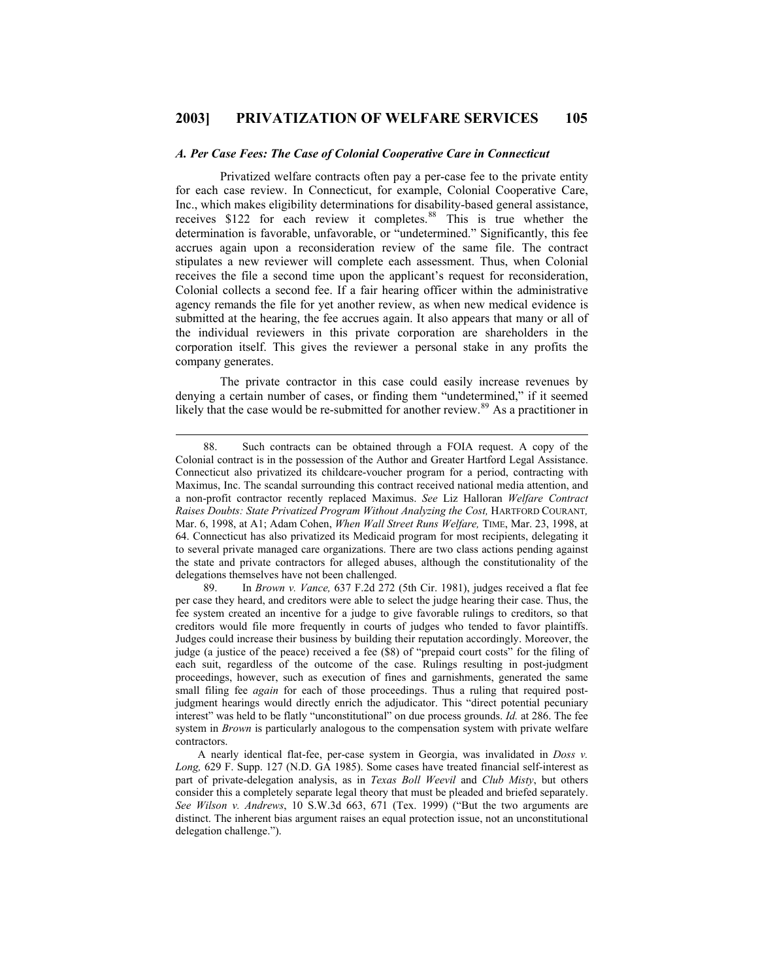#### *A. Per Case Fees: The Case of Colonial Cooperative Care in Connecticut*

Privatized welfare contracts often pay a per-case fee to the private entity for each case review. In Connecticut, for example, Colonial Cooperative Care, Inc., which makes eligibility determinations for disability-based general assistance, receives \$122 for each review it completes.<sup>[88](#page-22-0)</sup> This is true whether the determination is favorable, unfavorable, or "undetermined." Significantly, this fee accrues again upon a reconsideration review of the same file. The contract stipulates a new reviewer will complete each assessment. Thus, when Colonial receives the file a second time upon the applicant's request for reconsideration, Colonial collects a second fee. If a fair hearing officer within the administrative agency remands the file for yet another review, as when new medical evidence is submitted at the hearing, the fee accrues again. It also appears that many or all of the individual reviewers in this private corporation are shareholders in the corporation itself. This gives the reviewer a personal stake in any profits the company generates.

The private contractor in this case could easily increase revenues by denying a certain number of cases, or finding them "undetermined," if it seemed likely that the case would be re-submitted for another review.<sup>[89](#page-22-1)</sup> As a practitioner in

<span id="page-22-0"></span> <sup>88.</sup> Such contracts can be obtained through a FOIA request. A copy of the Colonial contract is in the possession of the Author and Greater Hartford Legal Assistance. Connecticut also privatized its childcare-voucher program for a period, contracting with Maximus, Inc. The scandal surrounding this contract received national media attention, and a non-profit contractor recently replaced Maximus. *See* Liz Halloran *Welfare Contract Raises Doubts: State Privatized Program Without Analyzing the Cost, HARTFORD COURANT,* Mar. 6, 1998, at A1; Adam Cohen, *When Wall Street Runs Welfare,* TIME, Mar. 23, 1998, at 64. Connecticut has also privatized its Medicaid program for most recipients, delegating it to several private managed care organizations. There are two class actions pending against the state and private contractors for alleged abuses, although the constitutionality of the delegations themselves have not been challenged.

<span id="page-22-1"></span> <sup>89.</sup> In *Brown v. Vance,* 637 F.2d 272 (5th Cir. 1981), judges received a flat fee per case they heard, and creditors were able to select the judge hearing their case. Thus, the fee system created an incentive for a judge to give favorable rulings to creditors, so that creditors would file more frequently in courts of judges who tended to favor plaintiffs. Judges could increase their business by building their reputation accordingly. Moreover, the judge (a justice of the peace) received a fee (\$8) of "prepaid court costs" for the filing of each suit, regardless of the outcome of the case. Rulings resulting in post-judgment proceedings, however, such as execution of fines and garnishments, generated the same small filing fee *again* for each of those proceedings. Thus a ruling that required postjudgment hearings would directly enrich the adjudicator. This "direct potential pecuniary interest" was held to be flatly "unconstitutional" on due process grounds. *Id.* at 286. The fee system in *Brown* is particularly analogous to the compensation system with private welfare contractors.

A nearly identical flat-fee, per-case system in Georgia, was invalidated in *Doss v. Long,* 629 F. Supp. 127 (N.D. GA 1985). Some cases have treated financial self-interest as part of private-delegation analysis, as in *Texas Boll Weevil* and *Club Misty*, but others consider this a completely separate legal theory that must be pleaded and briefed separately. *See Wilson v. Andrews*, 10 S.W.3d 663, 671 (Tex. 1999) ("But the two arguments are distinct. The inherent bias argument raises an equal protection issue, not an unconstitutional delegation challenge.").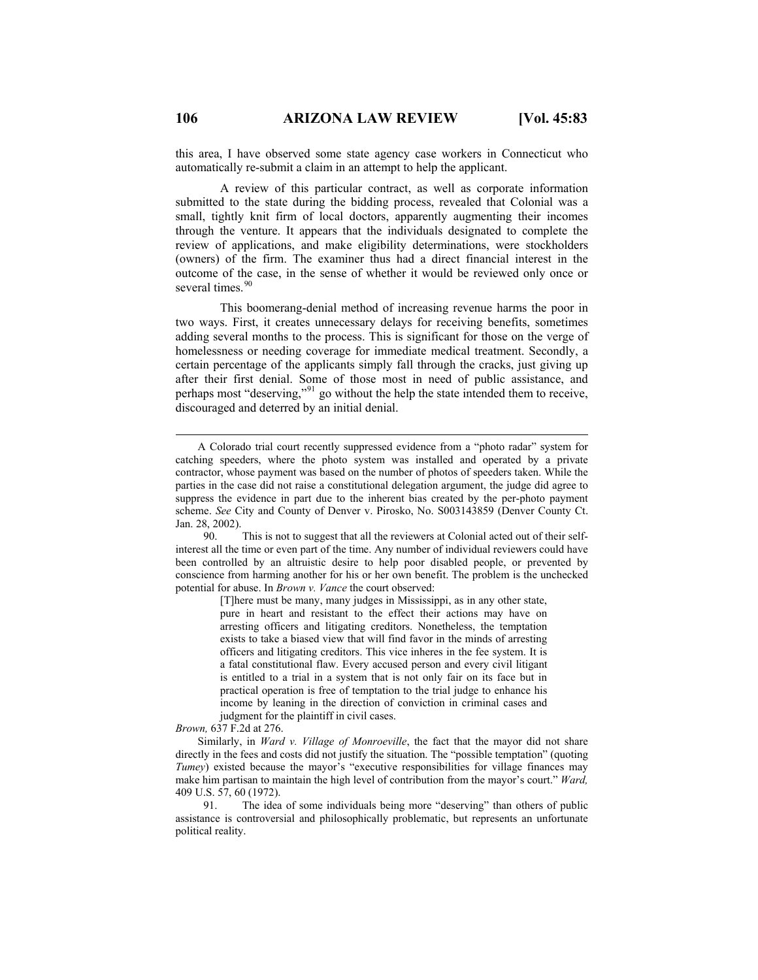this area, I have observed some state agency case workers in Connecticut who automatically re-submit a claim in an attempt to help the applicant.

A review of this particular contract, as well as corporate information submitted to the state during the bidding process, revealed that Colonial was a small, tightly knit firm of local doctors, apparently augmenting their incomes through the venture. It appears that the individuals designated to complete the review of applications, and make eligibility determinations, were stockholders (owners) of the firm. The examiner thus had a direct financial interest in the outcome of the case, in the sense of whether it would be reviewed only once or several times.<sup>[90](#page-23-0)</sup>

This boomerang-denial method of increasing revenue harms the poor in two ways. First, it creates unnecessary delays for receiving benefits, sometimes adding several months to the process. This is significant for those on the verge of homelessness or needing coverage for immediate medical treatment. Secondly, a certain percentage of the applicants simply fall through the cracks, just giving up after their first denial. Some of those most in need of public assistance, and perhaps most "deserving,"[91](#page-23-1) go without the help the state intended them to receive, discouraged and deterred by an initial denial.

[T]here must be many, many judges in Mississippi, as in any other state, pure in heart and resistant to the effect their actions may have on arresting officers and litigating creditors. Nonetheless, the temptation exists to take a biased view that will find favor in the minds of arresting officers and litigating creditors. This vice inheres in the fee system. It is a fatal constitutional flaw. Every accused person and every civil litigant is entitled to a trial in a system that is not only fair on its face but in practical operation is free of temptation to the trial judge to enhance his income by leaning in the direction of conviction in criminal cases and judgment for the plaintiff in civil cases.

*Brown,* 637 F.2d at 276.

Similarly, in *Ward v. Village of Monroeville*, the fact that the mayor did not share directly in the fees and costs did not justify the situation. The "possible temptation" (quoting *Tumey*) existed because the mayor's "executive responsibilities for village finances may make him partisan to maintain the high level of contribution from the mayor's court." *Ward,* 409 U.S. 57, 60 (1972).

<span id="page-23-1"></span> 91. The idea of some individuals being more "deserving" than others of public assistance is controversial and philosophically problematic, but represents an unfortunate political reality.

A Colorado trial court recently suppressed evidence from a "photo radar" system for catching speeders, where the photo system was installed and operated by a private contractor, whose payment was based on the number of photos of speeders taken. While the parties in the case did not raise a constitutional delegation argument, the judge did agree to suppress the evidence in part due to the inherent bias created by the per-photo payment scheme. *See* City and County of Denver v. Pirosko, No. S003143859 (Denver County Ct. Jan. 28, 2002).

<span id="page-23-0"></span> <sup>90.</sup> This is not to suggest that all the reviewers at Colonial acted out of their selfinterest all the time or even part of the time. Any number of individual reviewers could have been controlled by an altruistic desire to help poor disabled people, or prevented by conscience from harming another for his or her own benefit. The problem is the unchecked potential for abuse. In *Brown v. Vance* the court observed: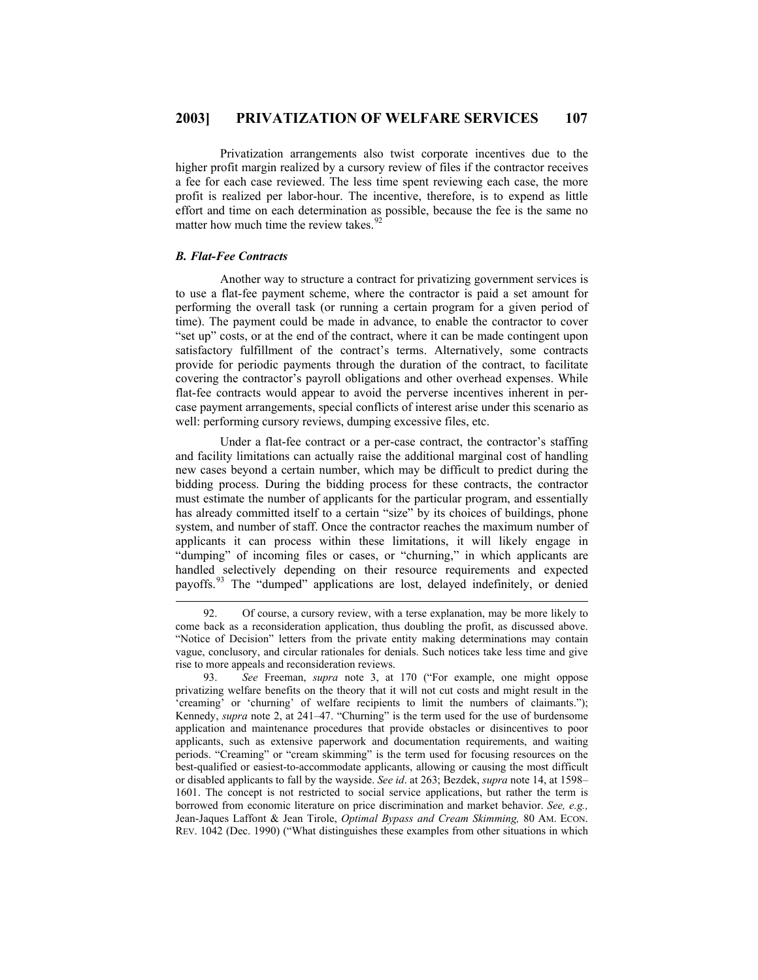Privatization arrangements also twist corporate incentives due to the higher profit margin realized by a cursory review of files if the contractor receives a fee for each case reviewed. The less time spent reviewing each case, the more profit is realized per labor-hour. The incentive, therefore, is to expend as little effort and time on each determination as possible, because the fee is the same no matter how much time the review takes. $92$ 

#### *B. Flat-Fee Contracts*

 $\overline{a}$ 

Another way to structure a contract for privatizing government services is to use a flat-fee payment scheme, where the contractor is paid a set amount for performing the overall task (or running a certain program for a given period of time). The payment could be made in advance, to enable the contractor to cover "set up" costs, or at the end of the contract, where it can be made contingent upon satisfactory fulfillment of the contract's terms. Alternatively, some contracts provide for periodic payments through the duration of the contract, to facilitate covering the contractor's payroll obligations and other overhead expenses. While flat-fee contracts would appear to avoid the perverse incentives inherent in percase payment arrangements, special conflicts of interest arise under this scenario as well: performing cursory reviews, dumping excessive files, etc.

Under a flat-fee contract or a per-case contract, the contractor's staffing and facility limitations can actually raise the additional marginal cost of handling new cases beyond a certain number, which may be difficult to predict during the bidding process. During the bidding process for these contracts, the contractor must estimate the number of applicants for the particular program, and essentially has already committed itself to a certain "size" by its choices of buildings, phone system, and number of staff. Once the contractor reaches the maximum number of applicants it can process within these limitations, it will likely engage in "dumping" of incoming files or cases, or "churning," in which applicants are handled selectively depending on their resource requirements and expected payoffs.[93](#page-24-1) The "dumped" applications are lost, delayed indefinitely, or denied

<span id="page-24-0"></span> <sup>92.</sup> Of course, a cursory review, with a terse explanation, may be more likely to come back as a reconsideration application, thus doubling the profit, as discussed above. "Notice of Decision" letters from the private entity making determinations may contain vague, conclusory, and circular rationales for denials. Such notices take less time and give rise to more appeals and reconsideration reviews.

<span id="page-24-1"></span> <sup>93.</sup> *See* Freeman, *supra* note 3, at 170 ("For example, one might oppose privatizing welfare benefits on the theory that it will not cut costs and might result in the 'creaming' or 'churning' of welfare recipients to limit the numbers of claimants."); Kennedy, *supra* note 2, at 241–47. "Churning" is the term used for the use of burdensome application and maintenance procedures that provide obstacles or disincentives to poor applicants, such as extensive paperwork and documentation requirements, and waiting periods. "Creaming" or "cream skimming" is the term used for focusing resources on the best-qualified or easiest-to-accommodate applicants, allowing or causing the most difficult or disabled applicants to fall by the wayside. *See id*. at 263; Bezdek, *supra* note 14, at 1598– 1601. The concept is not restricted to social service applications, but rather the term is borrowed from economic literature on price discrimination and market behavior. *See, e.g.,* Jean-Jaques Laffont & Jean Tirole, *Optimal Bypass and Cream Skimming,* 80 AM. ECON. REV. 1042 (Dec. 1990) ("What distinguishes these examples from other situations in which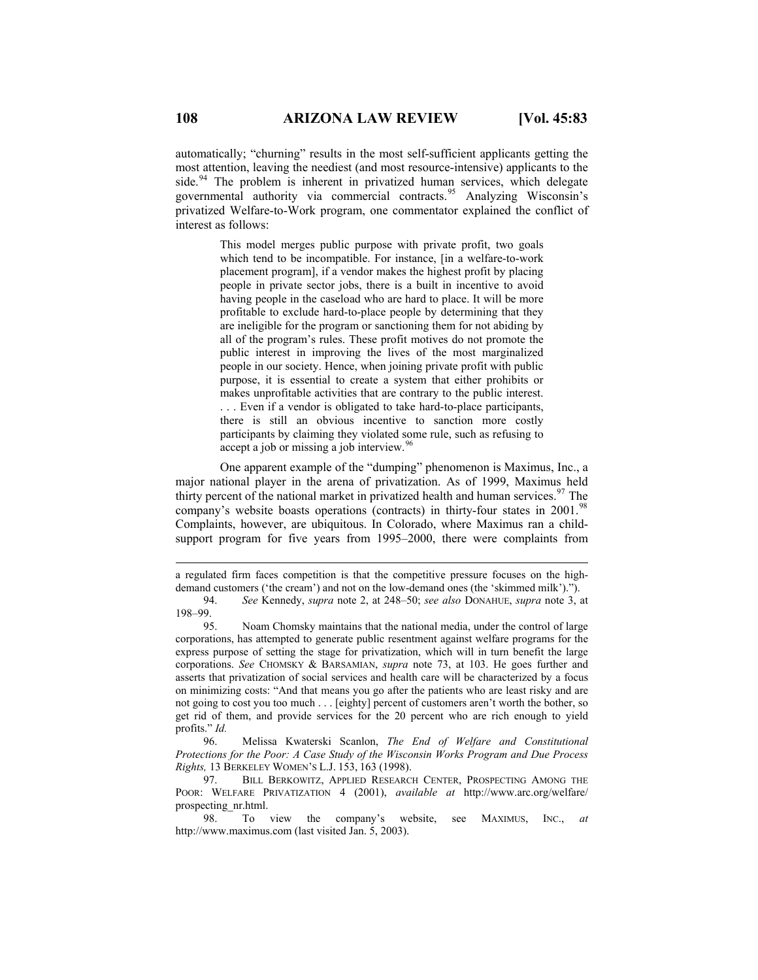automatically; "churning" results in the most self-sufficient applicants getting the most attention, leaving the neediest (and most resource-intensive) applicants to the side.<sup>[94](#page-25-0)</sup> The problem is inherent in privatized human services, which delegate governmental authority via commercial contracts.<sup>[95](#page-25-1)</sup> Analyzing Wisconsin's privatized Welfare-to-Work program, one commentator explained the conflict of interest as follows:

> This model merges public purpose with private profit, two goals which tend to be incompatible. For instance, [in a welfare-to-work placement program], if a vendor makes the highest profit by placing people in private sector jobs, there is a built in incentive to avoid having people in the caseload who are hard to place. It will be more profitable to exclude hard-to-place people by determining that they are ineligible for the program or sanctioning them for not abiding by all of the program's rules. These profit motives do not promote the public interest in improving the lives of the most marginalized people in our society. Hence, when joining private profit with public purpose, it is essential to create a system that either prohibits or makes unprofitable activities that are contrary to the public interest. . . . Even if a vendor is obligated to take hard-to-place participants, there is still an obvious incentive to sanction more costly participants by claiming they violated some rule, such as refusing to accept a job or missing a job interview.<sup>[96](#page-25-2)</sup>

One apparent example of the "dumping" phenomenon is Maximus, Inc., a major national player in the arena of privatization. As of 1999, Maximus held thirty percent of the national market in privatized health and human services.<sup>[97](#page-25-3)</sup> The company's website boasts operations (contracts) in thirty-four states in 2001.<sup>9</sup> Complaints, however, are ubiquitous. In Colorado, where Maximus ran a childsupport program for five years from 1995–2000, there were complaints from

<span id="page-25-2"></span> 96. Melissa Kwaterski Scanlon, *The End of Welfare and Constitutional Protections for the Poor: A Case Study of the Wisconsin Works Program and Due Process Rights,* 13 BERKELEY WOMEN'S L.J. 153, 163 (1998).

<span id="page-25-3"></span> 97. BILL BERKOWITZ, APPLIED RESEARCH CENTER, PROSPECTING AMONG THE POOR: WELFARE PRIVATIZATION 4 (2001), *available at* http://www.arc.org/welfare/ prospecting\_nr.html.

<span id="page-25-4"></span> 98. To view the company's website, see MAXIMUS, INC., *at* http://www.maximus.com (last visited Jan. 5, 2003).

a regulated firm faces competition is that the competitive pressure focuses on the highdemand customers ('the cream') and not on the low-demand ones (the 'skimmed milk').").

<span id="page-25-0"></span> <sup>94.</sup> *See* Kennedy, *supra* note 2, at 248–50; *see also* DONAHUE, *supra* note 3, at 198–99.

<span id="page-25-1"></span> <sup>95.</sup> Noam Chomsky maintains that the national media, under the control of large corporations, has attempted to generate public resentment against welfare programs for the express purpose of setting the stage for privatization, which will in turn benefit the large corporations. *See* CHOMSKY & BARSAMIAN, *supra* note 73, at 103. He goes further and asserts that privatization of social services and health care will be characterized by a focus on minimizing costs: "And that means you go after the patients who are least risky and are not going to cost you too much . . . [eighty] percent of customers aren't worth the bother, so get rid of them, and provide services for the 20 percent who are rich enough to yield profits." *Id.*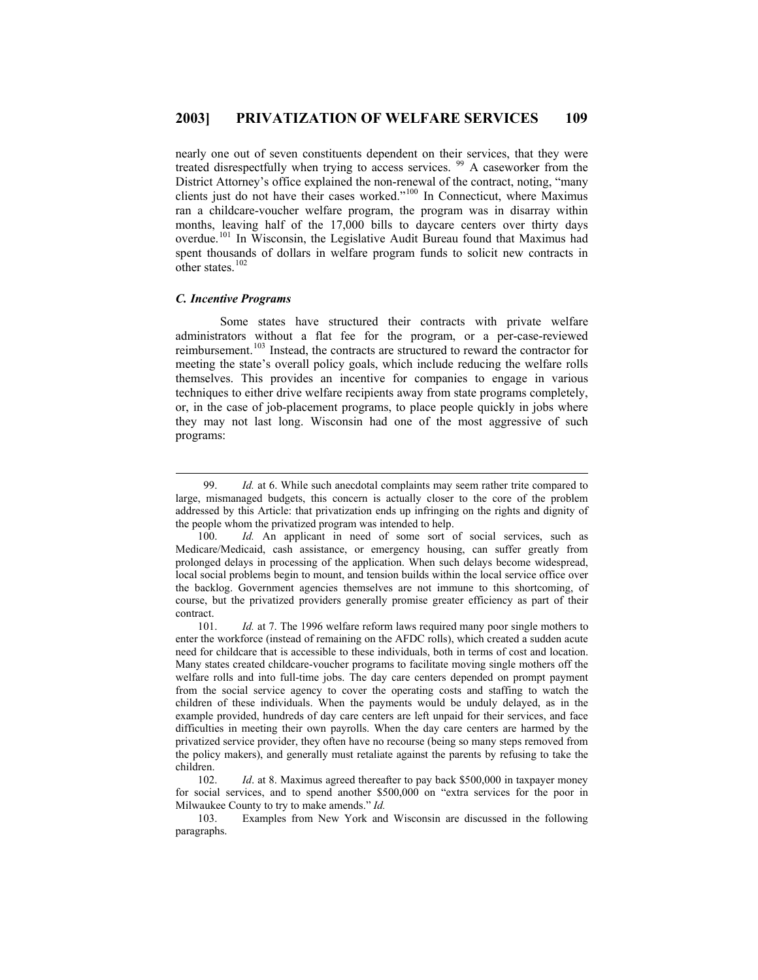nearly one out of seven constituents dependent on their services, that they were treated disrespectfully when trying to access services. <sup>[99](#page-26-0)</sup> A caseworker from the District Attorney's office explained the non-renewal of the contract, noting, "many clients just do not have their cases worked."[100](#page-26-1) In Connecticut, where Maximus ran a childcare-voucher welfare program, the program was in disarray within months, leaving half of the 17,000 bills to daycare centers over thirty days overdue.[101](#page-26-2) In Wisconsin, the Legislative Audit Bureau found that Maximus had spent thousands of dollars in welfare program funds to solicit new contracts in other states.<sup>[102](#page-26-3)</sup>

#### *C. Incentive Programs*

 $\overline{a}$ 

Some states have structured their contracts with private welfare administrators without a flat fee for the program, or a per-case-reviewed reimbursement.[103](#page-26-4) Instead, the contracts are structured to reward the contractor for meeting the state's overall policy goals, which include reducing the welfare rolls themselves. This provides an incentive for companies to engage in various techniques to either drive welfare recipients away from state programs completely, or, in the case of job-placement programs, to place people quickly in jobs where they may not last long. Wisconsin had one of the most aggressive of such programs:

<span id="page-26-0"></span> <sup>99.</sup> *Id.* at 6. While such anecdotal complaints may seem rather trite compared to large, mismanaged budgets, this concern is actually closer to the core of the problem addressed by this Article: that privatization ends up infringing on the rights and dignity of the people whom the privatized program was intended to help.

<span id="page-26-1"></span><sup>100.</sup> *Id.* An applicant in need of some sort of social services, such as Medicare/Medicaid, cash assistance, or emergency housing, can suffer greatly from prolonged delays in processing of the application. When such delays become widespread, local social problems begin to mount, and tension builds within the local service office over the backlog. Government agencies themselves are not immune to this shortcoming, of course, but the privatized providers generally promise greater efficiency as part of their contract.

<span id="page-26-2"></span><sup>101.</sup> *Id.* at 7. The 1996 welfare reform laws required many poor single mothers to enter the workforce (instead of remaining on the AFDC rolls), which created a sudden acute need for childcare that is accessible to these individuals, both in terms of cost and location. Many states created childcare-voucher programs to facilitate moving single mothers off the welfare rolls and into full-time jobs. The day care centers depended on prompt payment from the social service agency to cover the operating costs and staffing to watch the children of these individuals. When the payments would be unduly delayed, as in the example provided, hundreds of day care centers are left unpaid for their services, and face difficulties in meeting their own payrolls. When the day care centers are harmed by the privatized service provider, they often have no recourse (being so many steps removed from the policy makers), and generally must retaliate against the parents by refusing to take the children.

<span id="page-26-3"></span><sup>102.</sup> *Id*. at 8. Maximus agreed thereafter to pay back \$500,000 in taxpayer money for social services, and to spend another \$500,000 on "extra services for the poor in Milwaukee County to try to make amends." *Id.*

<span id="page-26-4"></span><sup>103.</sup> Examples from New York and Wisconsin are discussed in the following paragraphs.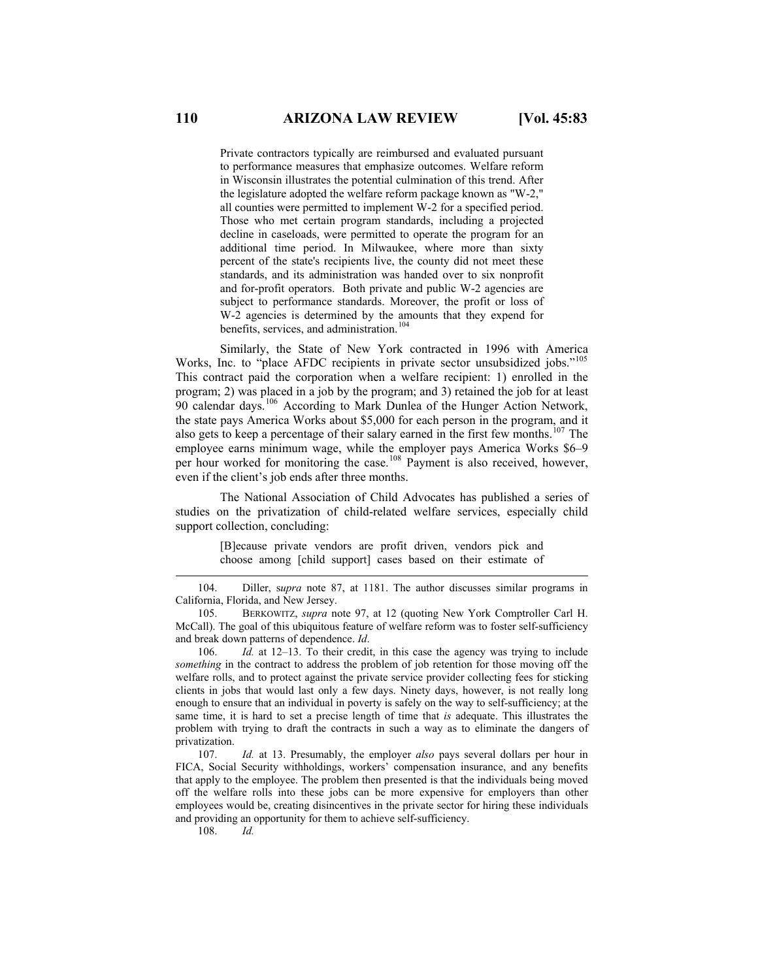Private contractors typically are reimbursed and evaluated pursuant to performance measures that emphasize outcomes. Welfare reform in Wisconsin illustrates the potential culmination of this trend. After the legislature adopted the welfare reform package known as "W-2," all counties were permitted to implement W-2 for a specified period. Those who met certain program standards, including a projected decline in caseloads, were permitted to operate the program for an additional time period. In Milwaukee, where more than sixty percent of the state's recipients live, the county did not meet these standards, and its administration was handed over to six nonprofit and for-profit operators. Both private and public W-2 agencies are subject to performance standards. Moreover, the profit or loss of W-2 agencies is determined by the amounts that they expend for benefits, services, and administration.<sup>[104](#page-27-0)</sup>

Similarly, the State of New York contracted in 1996 with America Works, Inc. to "place AFDC recipients in private sector unsubsidized jobs."[105](#page-27-1) This contract paid the corporation when a welfare recipient: 1) enrolled in the program; 2) was placed in a job by the program; and 3) retained the job for at least 90 calendar days.<sup>[106](#page-27-2)</sup> According to Mark Dunlea of the Hunger Action Network, the state pays America Works about \$5,000 for each person in the program, and it also gets to keep a percentage of their salary earned in the first few months.<sup>[107](#page-27-3)</sup> The employee earns minimum wage, while the employer pays America Works \$6–9 per hour worked for monitoring the case.<sup>[108](#page-27-4)</sup> Payment is also received, however, even if the client's job ends after three months.

The National Association of Child Advocates has published a series of studies on the privatization of child-related welfare services, especially child support collection, concluding:

> [B]ecause private vendors are profit driven, vendors pick and choose among [child support] cases based on their estimate of

<span id="page-27-2"></span>106. *Id.* at 12–13. To their credit, in this case the agency was trying to include *something* in the contract to address the problem of job retention for those moving off the welfare rolls, and to protect against the private service provider collecting fees for sticking clients in jobs that would last only a few days. Ninety days, however, is not really long enough to ensure that an individual in poverty is safely on the way to self-sufficiency; at the same time, it is hard to set a precise length of time that *is* adequate. This illustrates the problem with trying to draft the contracts in such a way as to eliminate the dangers of privatization.

<span id="page-27-4"></span><span id="page-27-3"></span>107. *Id.* at 13. Presumably, the employer *also* pays several dollars per hour in FICA, Social Security withholdings, workers' compensation insurance, and any benefits that apply to the employee. The problem then presented is that the individuals being moved off the welfare rolls into these jobs can be more expensive for employers than other employees would be, creating disincentives in the private sector for hiring these individuals and providing an opportunity for them to achieve self-sufficiency.

108. *Id.* 

<span id="page-27-0"></span><sup>104.</sup> Diller, s*upra* note 87, at 1181. The author discusses similar programs in California, Florida, and New Jersey.

<span id="page-27-1"></span><sup>105.</sup> BERKOWITZ, *supra* note 97, at 12 (quoting New York Comptroller Carl H. McCall). The goal of this ubiquitous feature of welfare reform was to foster self-sufficiency and break down patterns of dependence. *Id*.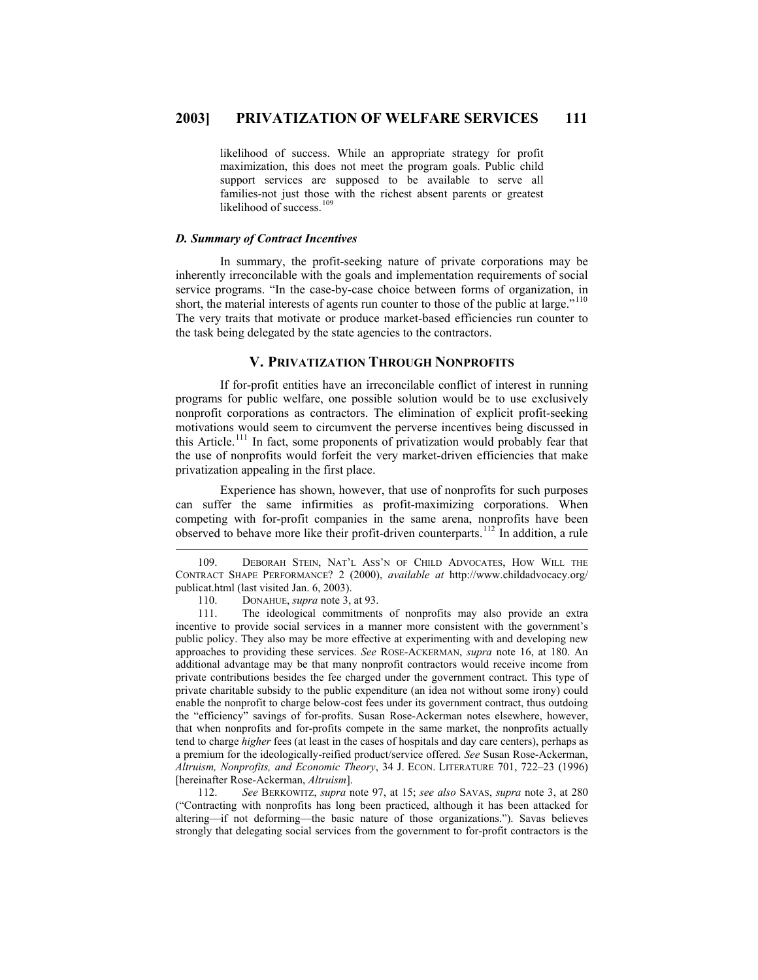likelihood of success. While an appropriate strategy for profit maximization, this does not meet the program goals. Public child support services are supposed to be available to serve all families-not just those with the richest absent parents or greatest likelihood of success.<sup>[109](#page-28-0)</sup>

### *D. Summary of Contract Incentives*

In summary, the profit-seeking nature of private corporations may be inherently irreconcilable with the goals and implementation requirements of social service programs. "In the case-by-case choice between forms of organization, in short, the material interests of agents run counter to those of the public at large."<sup>[110](#page-28-1)</sup> The very traits that motivate or produce market-based efficiencies run counter to the task being delegated by the state agencies to the contractors.

# **V. PRIVATIZATION THROUGH NONPROFITS**

If for-profit entities have an irreconcilable conflict of interest in running programs for public welfare, one possible solution would be to use exclusively nonprofit corporations as contractors. The elimination of explicit profit-seeking motivations would seem to circumvent the perverse incentives being discussed in this Article.<sup>[111](#page-28-2)</sup> In fact, some proponents of privatization would probably fear that the use of nonprofits would forfeit the very market-driven efficiencies that make privatization appealing in the first place.

Experience has shown, however, that use of nonprofits for such purposes can suffer the same infirmities as profit-maximizing corporations. When competing with for-profit companies in the same arena, nonprofits have been observed to behave more like their profit-driven counterparts.<sup>[112](#page-28-3)</sup> In addition, a rule

 $\overline{a}$ 

<span id="page-28-3"></span>112. *See* BERKOWITZ, *supra* note 97, at 15; *see also* SAVAS, *supra* note 3, at 280 ("Contracting with nonprofits has long been practiced, although it has been attacked for altering—if not deforming—the basic nature of those organizations."). Savas believes strongly that delegating social services from the government to for-profit contractors is the

<span id="page-28-0"></span><sup>109.</sup> DEBORAH STEIN, NAT'L ASS'N OF CHILD ADVOCATES, HOW WILL THE CONTRACT SHAPE PERFORMANCE? 2 (2000), *available at* http://www.childadvocacy.org/ publicat.html (last visited Jan. 6, 2003).

<sup>110.</sup> DONAHUE, *supra* note 3, at 93.

<span id="page-28-2"></span><span id="page-28-1"></span><sup>111.</sup> The ideological commitments of nonprofits may also provide an extra incentive to provide social services in a manner more consistent with the government's public policy. They also may be more effective at experimenting with and developing new approaches to providing these services. *See* ROSE-ACKERMAN, *supra* note 16, at 180. An additional advantage may be that many nonprofit contractors would receive income from private contributions besides the fee charged under the government contract. This type of private charitable subsidy to the public expenditure (an idea not without some irony) could enable the nonprofit to charge below-cost fees under its government contract, thus outdoing the "efficiency" savings of for-profits. Susan Rose-Ackerman notes elsewhere, however, that when nonprofits and for-profits compete in the same market, the nonprofits actually tend to charge *higher* fees (at least in the cases of hospitals and day care centers), perhaps as a premium for the ideologically-reified product/service offered. *See* Susan Rose-Ackerman, *Altruism, Nonprofits, and Economic Theory*, 34 J. ECON. LITERATURE 701, 722–23 (1996) [hereinafter Rose-Ackerman, *Altruism*].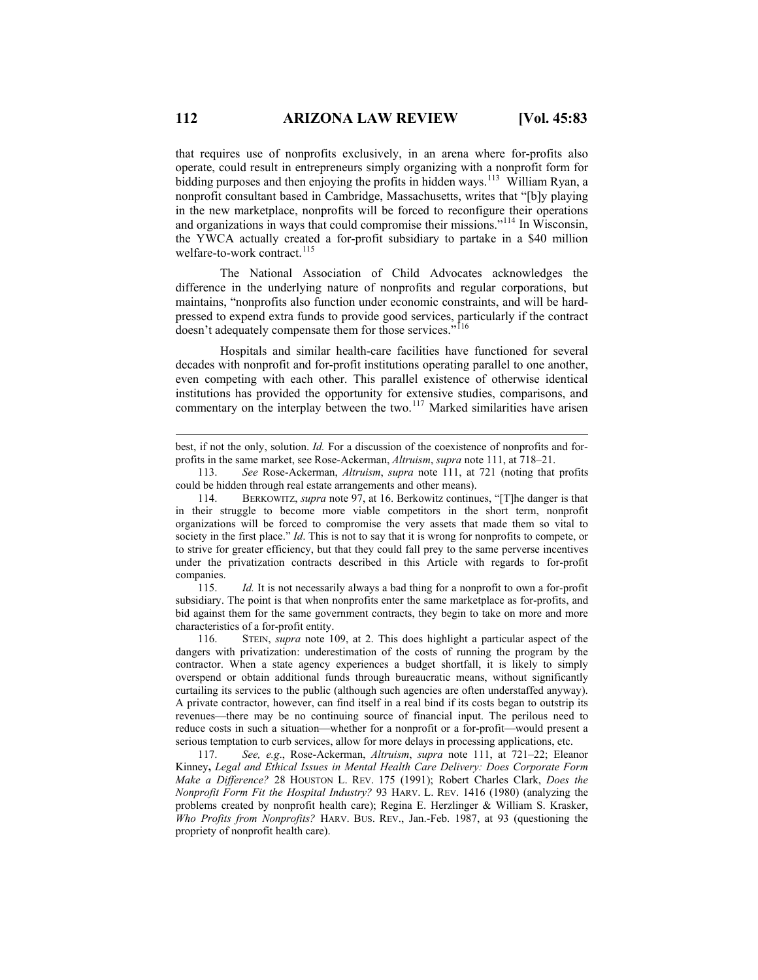that requires use of nonprofits exclusively, in an arena where for-profits also operate, could result in entrepreneurs simply organizing with a nonprofit form for bidding purposes and then enjoying the profits in hidden ways.<sup>[113](#page-29-0)</sup> William Ryan, a nonprofit consultant based in Cambridge, Massachusetts, writes that "[b]y playing in the new marketplace, nonprofits will be forced to reconfigure their operations and organizations in ways that could compromise their missions."[114](#page-29-1) In Wisconsin, the YWCA actually created a for-profit subsidiary to partake in a \$40 million welfare-to-work contract.<sup>[115](#page-29-2)</sup>

The National Association of Child Advocates acknowledges the difference in the underlying nature of nonprofits and regular corporations, but maintains, "nonprofits also function under economic constraints, and will be hardpressed to expend extra funds to provide good services, particularly if the contract doesn't adequately compensate them for those services."<sup>[116](#page-29-3)</sup>

Hospitals and similar health-care facilities have functioned for several decades with nonprofit and for-profit institutions operating parallel to one another, even competing with each other. This parallel existence of otherwise identical institutions has provided the opportunity for extensive studies, comparisons, and commentary on the interplay between the two.<sup>[117](#page-29-4)</sup> Marked similarities have arisen

<span id="page-29-2"></span>115. *Id.* It is not necessarily always a bad thing for a nonprofit to own a for-profit subsidiary. The point is that when nonprofits enter the same marketplace as for-profits, and bid against them for the same government contracts, they begin to take on more and more characteristics of a for-profit entity.

<span id="page-29-3"></span>116. STEIN, *supra* note 109, at 2. This does highlight a particular aspect of the dangers with privatization: underestimation of the costs of running the program by the contractor. When a state agency experiences a budget shortfall, it is likely to simply overspend or obtain additional funds through bureaucratic means, without significantly curtailing its services to the public (although such agencies are often understaffed anyway). A private contractor, however, can find itself in a real bind if its costs began to outstrip its revenues—there may be no continuing source of financial input. The perilous need to reduce costs in such a situation—whether for a nonprofit or a for-profit—would present a serious temptation to curb services, allow for more delays in processing applications, etc.

<span id="page-29-4"></span>117. *See, e.g*., Rose-Ackerman, *Altruism*, *supra* note 111, at 721–22; Eleanor Kinney**,** *Legal and Ethical Issues in Mental Health Care Delivery: Does Corporate Form Make a Difference?* 28 HOUSTON L. REV. 175 (1991); Robert Charles Clark, *Does the Nonprofit Form Fit the Hospital Industry?* 93 HARV. L. REV. 1416 (1980) (analyzing the problems created by nonprofit health care); Regina E. Herzlinger & William S. Krasker, *Who Profits from Nonprofits?* HARV. BUS. REV., Jan.-Feb. 1987, at 93 (questioning the propriety of nonprofit health care).

best, if not the only, solution. *Id.* For a discussion of the coexistence of nonprofits and forprofits in the same market, see Rose-Ackerman, *Altruism*, *supra* note 111, at 718–21.

<span id="page-29-0"></span><sup>113.</sup> *See* Rose-Ackerman, *Altruism*, *supra* note 111, at 721 (noting that profits could be hidden through real estate arrangements and other means).

<span id="page-29-1"></span><sup>114.</sup> BERKOWITZ, *supra* note 97, at 16. Berkowitz continues, "[T]he danger is that in their struggle to become more viable competitors in the short term, nonprofit organizations will be forced to compromise the very assets that made them so vital to society in the first place." *Id*. This is not to say that it is wrong for nonprofits to compete, or to strive for greater efficiency, but that they could fall prey to the same perverse incentives under the privatization contracts described in this Article with regards to for-profit companies.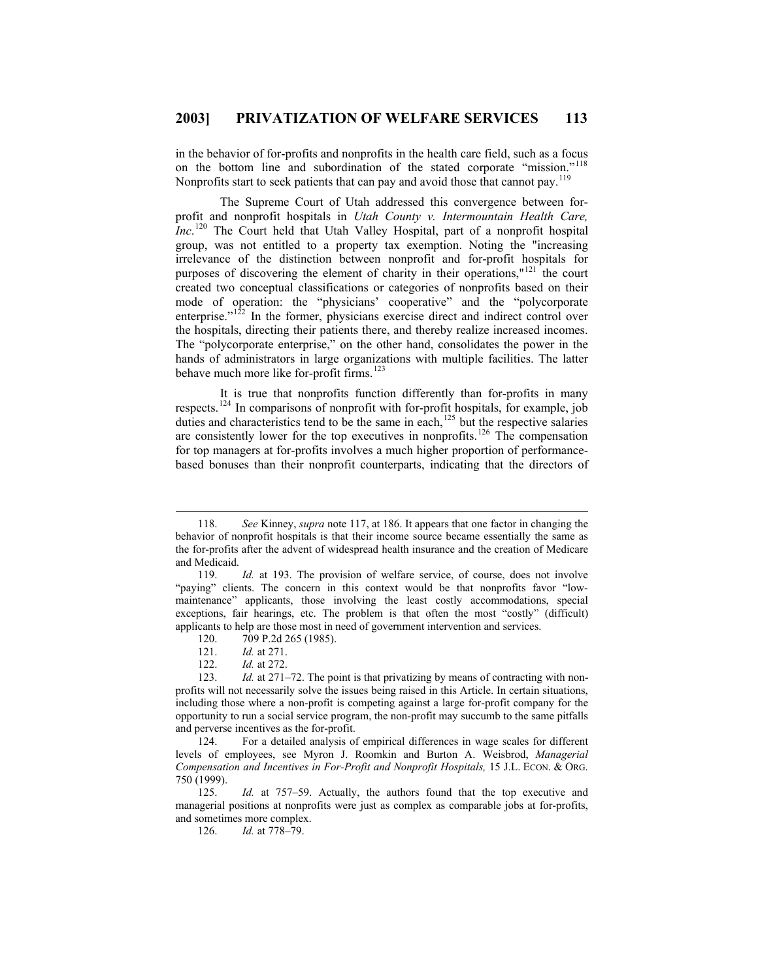in the behavior of for-profits and nonprofits in the health care field, such as a focus on the bottom line and subordination of the stated corporate "mission."<sup>[118](#page-30-0)</sup> Nonprofits start to seek patients that can pay and avoid those that cannot pay.<sup>[119](#page-30-1)</sup>

The Supreme Court of Utah addressed this convergence between forprofit and nonprofit hospitals in *Utah County v. Intermountain Health Care, Inc*. [120](#page-30-2) The Court held that Utah Valley Hospital, part of a nonprofit hospital group, was not entitled to a property tax exemption. Noting the "increasing irrelevance of the distinction between nonprofit and for-profit hospitals for purposes of discovering the element of charity in their operations," $121$  the court created two conceptual classifications or categories of nonprofits based on their mode of operation: the "physicians' cooperative" and the "polycorporate enterprise."<sup>[122](#page-30-4)</sup> In the former, physicians exercise direct and indirect control over the hospitals, directing their patients there, and thereby realize increased incomes. The "polycorporate enterprise," on the other hand, consolidates the power in the hands of administrators in large organizations with multiple facilities. The latter behave much more like for-profit firms.<sup>[123](#page-30-5)</sup>

It is true that nonprofits function differently than for-profits in many respects.[124](#page-30-6) In comparisons of nonprofit with for-profit hospitals, for example, job duties and characteristics tend to be the same in each, $125$  but the respective salaries are consistently lower for the top executives in nonprofits.<sup>[126](#page-30-8)</sup> The compensation for top managers at for-profits involves a much higher proportion of performancebased bonuses than their nonprofit counterparts, indicating that the directors of

 $\overline{a}$ 

<span id="page-30-6"></span>124. For a detailed analysis of empirical differences in wage scales for different levels of employees, see Myron J. Roomkin and Burton A. Weisbrod, *Managerial Compensation and Incentives in For-Profit and Nonprofit Hospitals,* 15 J.L. ECON. & ORG. 750 (1999).

<span id="page-30-8"></span><span id="page-30-7"></span>125. *Id.* at 757–59. Actually, the authors found that the top executive and managerial positions at nonprofits were just as complex as comparable jobs at for-profits, and sometimes more complex.

126. *Id.* at 778–79.

<span id="page-30-0"></span><sup>118.</sup> *See* Kinney, *supra* note 117, at 186. It appears that one factor in changing the behavior of nonprofit hospitals is that their income source became essentially the same as the for-profits after the advent of widespread health insurance and the creation of Medicare and Medicaid.

<span id="page-30-1"></span><sup>119.</sup> *Id.* at 193. The provision of welfare service, of course, does not involve "paying" clients. The concern in this context would be that nonprofits favor "lowmaintenance" applicants, those involving the least costly accommodations, special exceptions, fair hearings, etc. The problem is that often the most "costly" (difficult) applicants to help are those most in need of government intervention and services.

<sup>120. 709</sup> P.2d 265 (1985).

<sup>121.</sup> *Id.* at 271.

<sup>122.</sup> *Id.* at 272.

<span id="page-30-5"></span><span id="page-30-4"></span><span id="page-30-3"></span><span id="page-30-2"></span><sup>123.</sup> *Id.* at 271–72. The point is that privatizing by means of contracting with nonprofits will not necessarily solve the issues being raised in this Article. In certain situations, including those where a non-profit is competing against a large for-profit company for the opportunity to run a social service program, the non-profit may succumb to the same pitfalls and perverse incentives as the for-profit.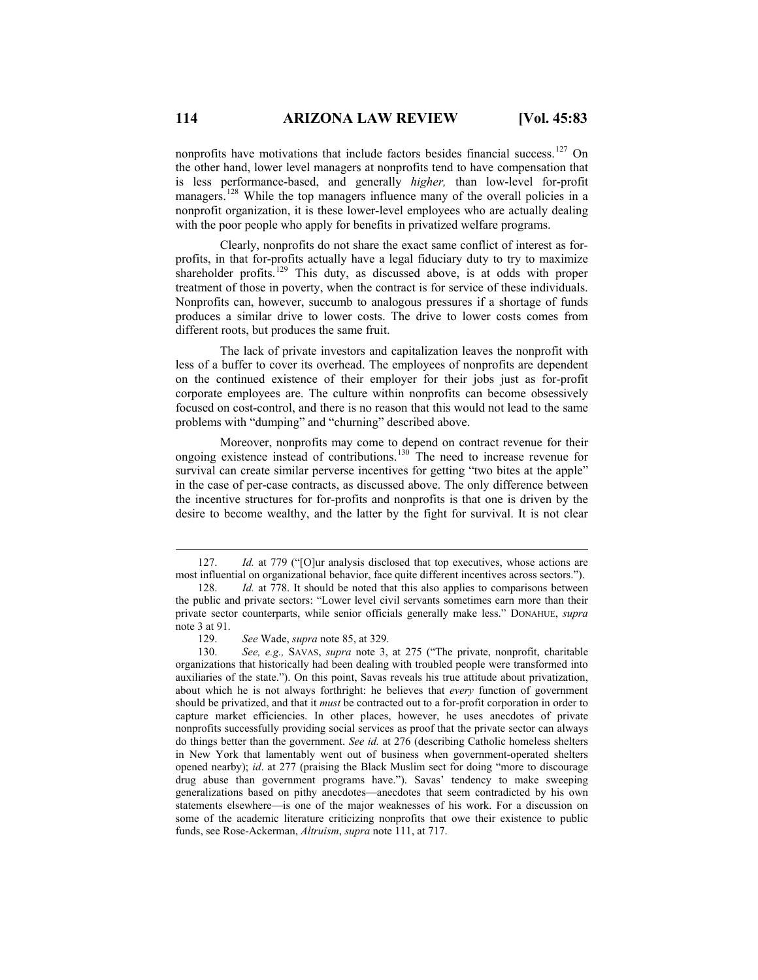nonprofits have motivations that include factors besides financial success.<sup>[127](#page-31-0)</sup> On the other hand, lower level managers at nonprofits tend to have compensation that is less performance-based, and generally *higher,* than low-level for-profit managers.<sup>[128](#page-31-1)</sup> While the top managers influence many of the overall policies in a nonprofit organization, it is these lower-level employees who are actually dealing with the poor people who apply for benefits in privatized welfare programs.

Clearly, nonprofits do not share the exact same conflict of interest as forprofits, in that for-profits actually have a legal fiduciary duty to try to maximize shareholder profits.<sup>[129](#page-31-2)</sup> This duty, as discussed above, is at odds with proper treatment of those in poverty, when the contract is for service of these individuals. Nonprofits can, however, succumb to analogous pressures if a shortage of funds produces a similar drive to lower costs. The drive to lower costs comes from different roots, but produces the same fruit.

The lack of private investors and capitalization leaves the nonprofit with less of a buffer to cover its overhead. The employees of nonprofits are dependent on the continued existence of their employer for their jobs just as for-profit corporate employees are. The culture within nonprofits can become obsessively focused on cost-control, and there is no reason that this would not lead to the same problems with "dumping" and "churning" described above.

Moreover, nonprofits may come to depend on contract revenue for their ongoing existence instead of contributions.[130](#page-31-3) The need to increase revenue for survival can create similar perverse incentives for getting "two bites at the apple" in the case of per-case contracts, as discussed above. The only difference between the incentive structures for for-profits and nonprofits is that one is driven by the desire to become wealthy, and the latter by the fight for survival. It is not clear

<span id="page-31-0"></span><sup>127.</sup> *Id.* at 779 ("[O]ur analysis disclosed that top executives, whose actions are most influential on organizational behavior, face quite different incentives across sectors.").

<span id="page-31-1"></span><sup>128.</sup> *Id.* at 778. It should be noted that this also applies to comparisons between the public and private sectors: "Lower level civil servants sometimes earn more than their private sector counterparts, while senior officials generally make less." DONAHUE, *supra* note 3 at 91.<br>129.

<sup>129.</sup> *See* Wade, *supra* note 85, at 329.

<span id="page-31-3"></span><span id="page-31-2"></span><sup>130.</sup> *See, e.g.,* SAVAS, *supra* note 3, at 275 ("The private, nonprofit, charitable organizations that historically had been dealing with troubled people were transformed into auxiliaries of the state."). On this point, Savas reveals his true attitude about privatization, about which he is not always forthright: he believes that *every* function of government should be privatized, and that it *must* be contracted out to a for-profit corporation in order to capture market efficiencies. In other places, however, he uses anecdotes of private nonprofits successfully providing social services as proof that the private sector can always do things better than the government. *See id.* at 276 (describing Catholic homeless shelters in New York that lamentably went out of business when government-operated shelters opened nearby); *id*. at 277 (praising the Black Muslim sect for doing "more to discourage drug abuse than government programs have."). Savas' tendency to make sweeping generalizations based on pithy anecdotes—anecdotes that seem contradicted by his own statements elsewhere—is one of the major weaknesses of his work. For a discussion on some of the academic literature criticizing nonprofits that owe their existence to public funds, see Rose-Ackerman, *Altruism*, *supra* note 111, at 717.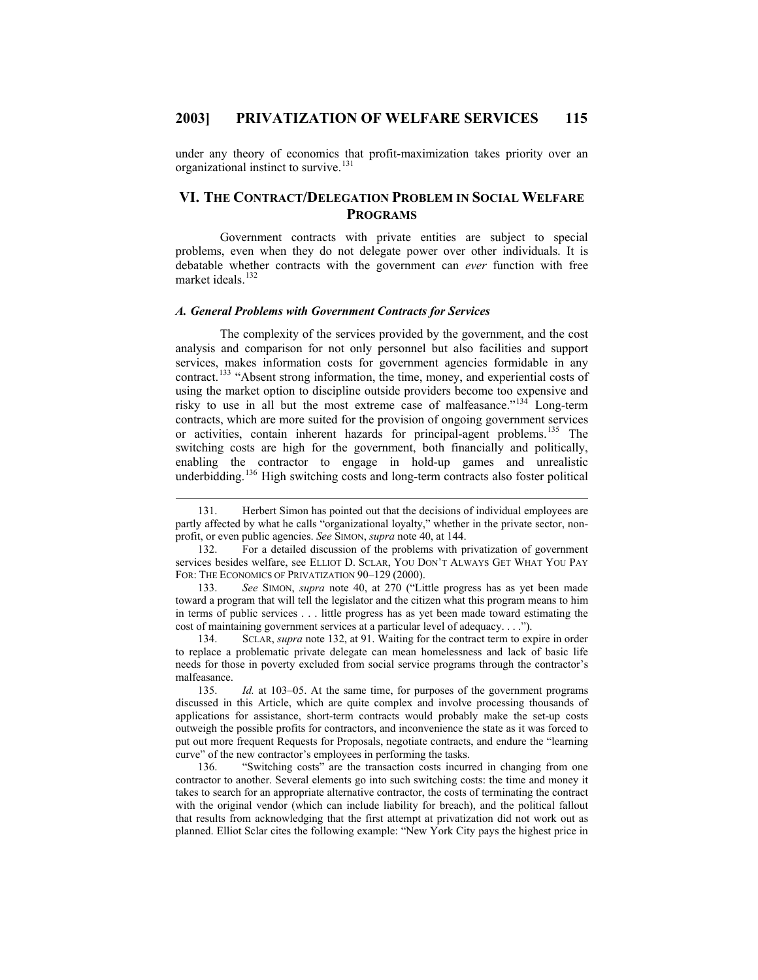under any theory of economics that profit-maximization takes priority over an organizational instinct to survive.<sup>[131](#page-32-0)</sup>

# **VI. THE CONTRACT/DELEGATION PROBLEM IN SOCIAL WELFARE PROGRAMS**

Government contracts with private entities are subject to special problems, even when they do not delegate power over other individuals. It is debatable whether contracts with the government can *ever* function with free market ideals.<sup>[132](#page-32-1)</sup>

#### *A. General Problems with Government Contracts for Services*

 $\overline{a}$ 

The complexity of the services provided by the government, and the cost analysis and comparison for not only personnel but also facilities and support services, makes information costs for government agencies formidable in any contract.<sup>[133](#page-32-2)</sup> "Absent strong information, the time, money, and experiential costs of using the market option to discipline outside providers become too expensive and risky to use in all but the most extreme case of malfeasance."<sup>[134](#page-32-3)</sup> Long-term contracts, which are more suited for the provision of ongoing government services or activities, contain inherent hazards for principal-agent problems.<sup>[135](#page-32-4)</sup> The switching costs are high for the government, both financially and politically, enabling the contractor to engage in hold-up games and unrealistic underbidding.[136](#page-32-5) High switching costs and long-term contracts also foster political

<span id="page-32-2"></span>133. *See* SIMON, *supra* note 40, at 270 ("Little progress has as yet been made toward a program that will tell the legislator and the citizen what this program means to him in terms of public services . . . little progress has as yet been made toward estimating the cost of maintaining government services at a particular level of adequacy. . . .").

<span id="page-32-0"></span><sup>131.</sup> Herbert Simon has pointed out that the decisions of individual employees are partly affected by what he calls "organizational loyalty," whether in the private sector, nonprofit, or even public agencies. *See* SIMON, *supra* note 40, at 144.

<span id="page-32-1"></span><sup>132.</sup> For a detailed discussion of the problems with privatization of government services besides welfare, see ELLIOT D. SCLAR, YOU DON'T ALWAYS GET WHAT YOU PAY FOR: THE ECONOMICS OF PRIVATIZATION 90-129 (2000).

<span id="page-32-3"></span><sup>134.</sup> SCLAR, *supra* note 132, at 91. Waiting for the contract term to expire in order to replace a problematic private delegate can mean homelessness and lack of basic life needs for those in poverty excluded from social service programs through the contractor's malfeasance.

<span id="page-32-4"></span><sup>135.</sup> *Id.* at 103–05. At the same time, for purposes of the government programs discussed in this Article, which are quite complex and involve processing thousands of applications for assistance, short-term contracts would probably make the set-up costs outweigh the possible profits for contractors, and inconvenience the state as it was forced to put out more frequent Requests for Proposals, negotiate contracts, and endure the "learning curve" of the new contractor's employees in performing the tasks.

<span id="page-32-5"></span><sup>136. &</sup>quot;Switching costs" are the transaction costs incurred in changing from one contractor to another. Several elements go into such switching costs: the time and money it takes to search for an appropriate alternative contractor, the costs of terminating the contract with the original vendor (which can include liability for breach), and the political fallout that results from acknowledging that the first attempt at privatization did not work out as planned. Elliot Sclar cites the following example: "New York City pays the highest price in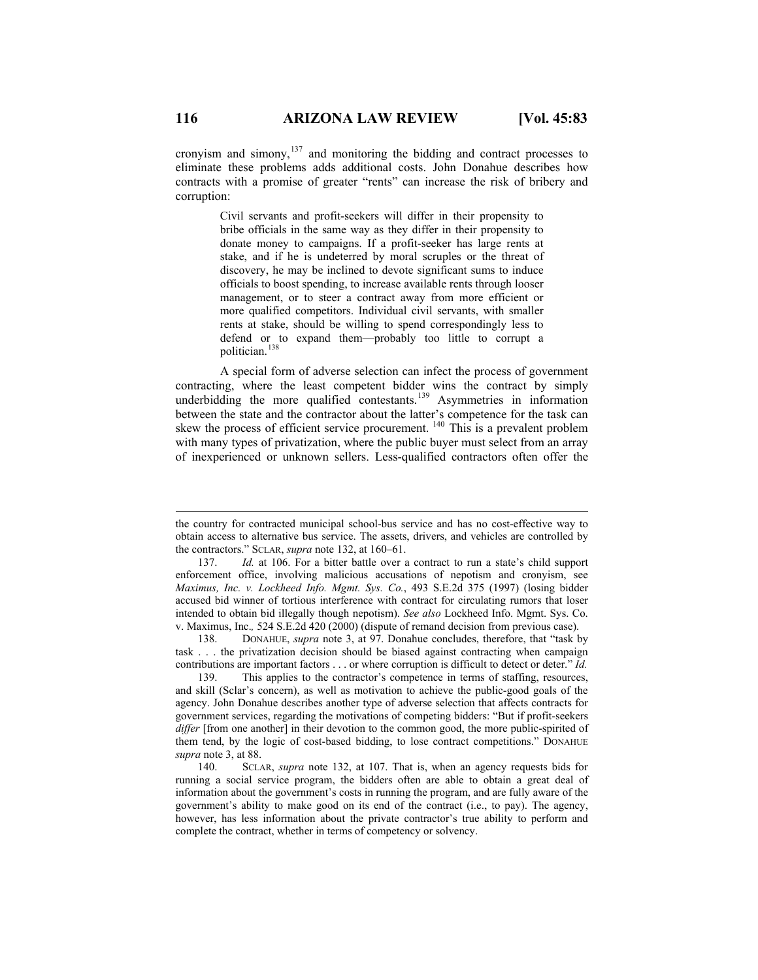cronyism and simony, $137$  and monitoring the bidding and contract processes to eliminate these problems adds additional costs. John Donahue describes how contracts with a promise of greater "rents" can increase the risk of bribery and corruption:

> Civil servants and profit-seekers will differ in their propensity to bribe officials in the same way as they differ in their propensity to donate money to campaigns. If a profit-seeker has large rents at stake, and if he is undeterred by moral scruples or the threat of discovery, he may be inclined to devote significant sums to induce officials to boost spending, to increase available rents through looser management, or to steer a contract away from more efficient or more qualified competitors. Individual civil servants, with smaller rents at stake, should be willing to spend correspondingly less to defend or to expand them—probably too little to corrupt a politician.<sup>[138](#page-33-1)</sup>

A special form of adverse selection can infect the process of government contracting, where the least competent bidder wins the contract by simply underbidding the more qualified contestants.<sup>[139](#page-33-2)</sup> Asymmetries in information between the state and the contractor about the latter's competence for the task can skew the process of efficient service procurement. [140](#page-33-3) This is a prevalent problem with many types of privatization, where the public buyer must select from an array of inexperienced or unknown sellers. Less-qualified contractors often offer the

<span id="page-33-1"></span>138. DONAHUE, *supra* note 3, at 97. Donahue concludes, therefore, that "task by task . . . the privatization decision should be biased against contracting when campaign contributions are important factors . . . or where corruption is difficult to detect or deter." *Id.*

the country for contracted municipal school-bus service and has no cost-effective way to obtain access to alternative bus service. The assets, drivers, and vehicles are controlled by the contractors." SCLAR, *supra* note 132, at 160–61.

<span id="page-33-0"></span><sup>137.</sup> *Id.* at 106. For a bitter battle over a contract to run a state's child support enforcement office, involving malicious accusations of nepotism and cronyism, see *Maximus, Inc. v. Lockheed Info. Mgmt. Sys. Co.*, 493 S.E.2d 375 (1997) (losing bidder accused bid winner of tortious interference with contract for circulating rumors that loser intended to obtain bid illegally though nepotism). *See also* Lockheed Info. Mgmt. Sys. Co. v. Maximus, Inc.*,* 524 S.E.2d 420 (2000) (dispute of remand decision from previous case).

<span id="page-33-2"></span><sup>139.</sup> This applies to the contractor's competence in terms of staffing, resources, and skill (Sclar's concern), as well as motivation to achieve the public-good goals of the agency. John Donahue describes another type of adverse selection that affects contracts for government services, regarding the motivations of competing bidders: "But if profit-seekers *differ* [from one another] in their devotion to the common good, the more public-spirited of them tend, by the logic of cost-based bidding, to lose contract competitions." DONAHUE *supra* note 3, at 88.

<span id="page-33-3"></span><sup>140.</sup> SCLAR, *supra* note 132, at 107. That is, when an agency requests bids for running a social service program, the bidders often are able to obtain a great deal of information about the government's costs in running the program, and are fully aware of the government's ability to make good on its end of the contract (i.e., to pay). The agency, however, has less information about the private contractor's true ability to perform and complete the contract, whether in terms of competency or solvency.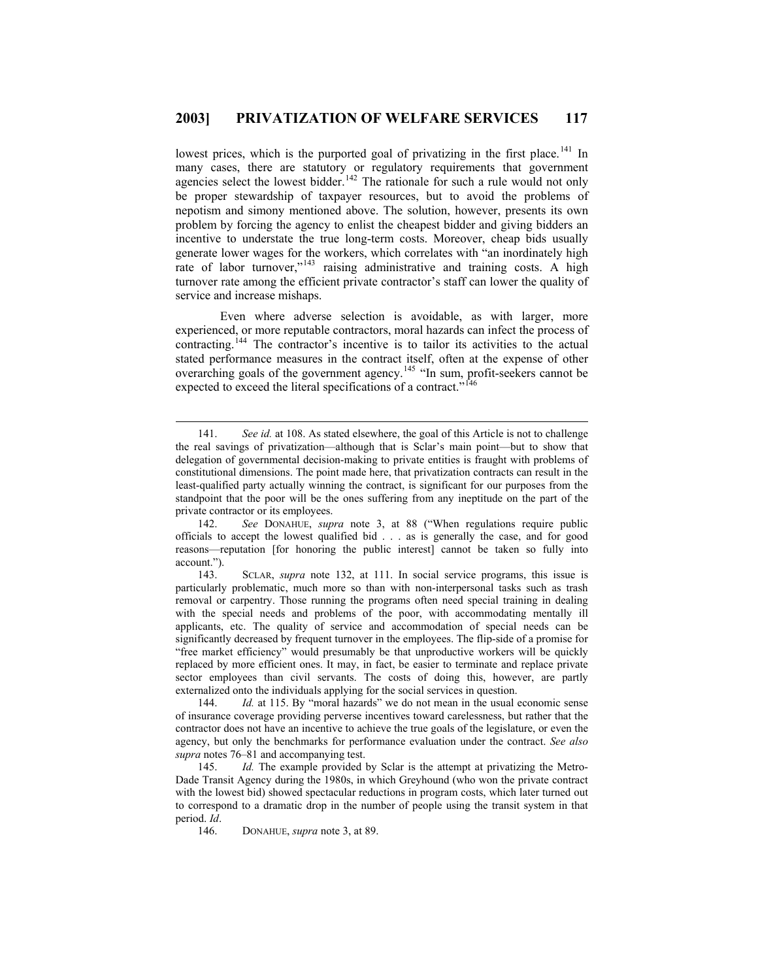lowest prices, which is the purported goal of privatizing in the first place.<sup>[141](#page-34-0)</sup> In many cases, there are statutory or regulatory requirements that government agencies select the lowest bidder.<sup>[142](#page-34-1)</sup> The rationale for such a rule would not only be proper stewardship of taxpayer resources, but to avoid the problems of nepotism and simony mentioned above. The solution, however, presents its own problem by forcing the agency to enlist the cheapest bidder and giving bidders an incentive to understate the true long-term costs. Moreover, cheap bids usually generate lower wages for the workers, which correlates with "an inordinately high rate of labor turnover," $143$  raising administrative and training costs. A high turnover rate among the efficient private contractor's staff can lower the quality of service and increase mishaps.

Even where adverse selection is avoidable, as with larger, more experienced, or more reputable contractors, moral hazards can infect the process of contracting.[144](#page-34-3) The contractor's incentive is to tailor its activities to the actual stated performance measures in the contract itself, often at the expense of other overarching goals of the government agency.[145](#page-34-4) "In sum, profit-seekers cannot be expected to exceed the literal specifications of a contract."<sup>[146](#page-34-5)</sup>

146. DONAHUE, *supra* note 3, at 89.

<span id="page-34-0"></span><sup>141.</sup> *See id.* at 108. As stated elsewhere, the goal of this Article is not to challenge the real savings of privatization—although that is Sclar's main point—but to show that delegation of governmental decision-making to private entities is fraught with problems of constitutional dimensions. The point made here, that privatization contracts can result in the least-qualified party actually winning the contract, is significant for our purposes from the standpoint that the poor will be the ones suffering from any ineptitude on the part of the private contractor or its employees.

<span id="page-34-1"></span><sup>142.</sup> *See* DONAHUE, *supra* note 3, at 88 ("When regulations require public officials to accept the lowest qualified bid . . . as is generally the case, and for good reasons—reputation [for honoring the public interest] cannot be taken so fully into account.").

<span id="page-34-2"></span><sup>143.</sup> SCLAR, *supra* note 132, at 111. In social service programs, this issue is particularly problematic, much more so than with non-interpersonal tasks such as trash removal or carpentry. Those running the programs often need special training in dealing with the special needs and problems of the poor, with accommodating mentally ill applicants, etc. The quality of service and accommodation of special needs can be significantly decreased by frequent turnover in the employees. The flip-side of a promise for "free market efficiency" would presumably be that unproductive workers will be quickly replaced by more efficient ones. It may, in fact, be easier to terminate and replace private sector employees than civil servants. The costs of doing this, however, are partly externalized onto the individuals applying for the social services in question.

<span id="page-34-3"></span><sup>144.</sup> *Id.* at 115. By "moral hazards" we do not mean in the usual economic sense of insurance coverage providing perverse incentives toward carelessness, but rather that the contractor does not have an incentive to achieve the true goals of the legislature, or even the agency, but only the benchmarks for performance evaluation under the contract. *See also supra* notes 76–81 and accompanying test.

<span id="page-34-5"></span><span id="page-34-4"></span><sup>145.</sup> *Id.* The example provided by Sclar is the attempt at privatizing the Metro-Dade Transit Agency during the 1980s, in which Greyhound (who won the private contract with the lowest bid) showed spectacular reductions in program costs, which later turned out to correspond to a dramatic drop in the number of people using the transit system in that period. *Id*.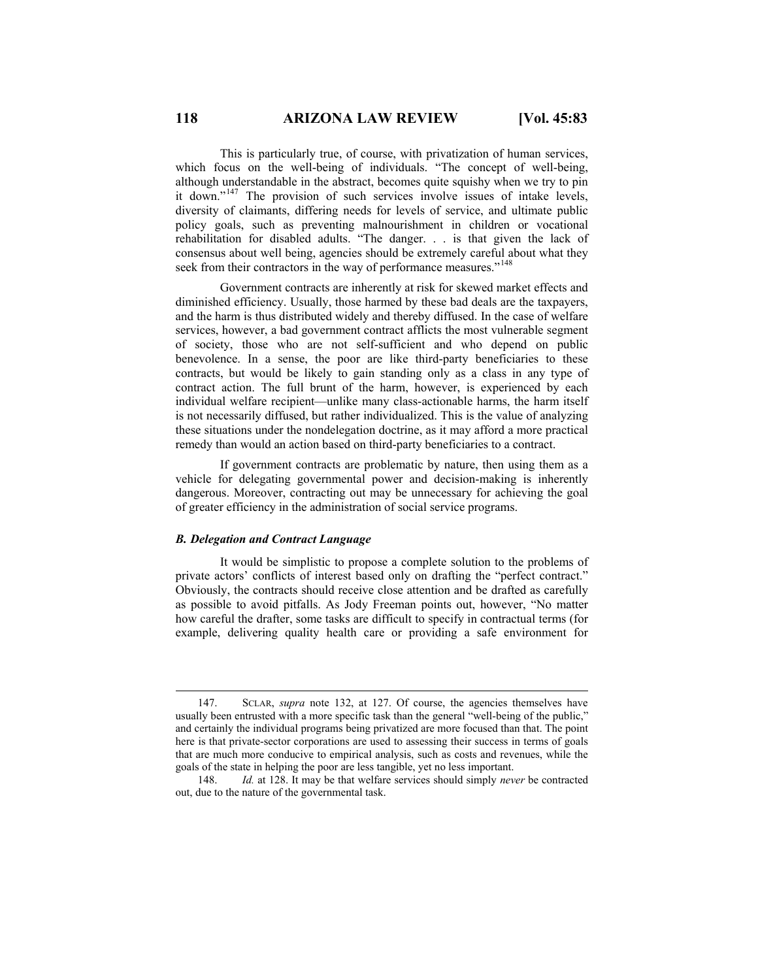This is particularly true, of course, with privatization of human services, which focus on the well-being of individuals. "The concept of well-being, although understandable in the abstract, becomes quite squishy when we try to pin it down."[147](#page-35-0) The provision of such services involve issues of intake levels, diversity of claimants, differing needs for levels of service, and ultimate public policy goals, such as preventing malnourishment in children or vocational rehabilitation for disabled adults. "The danger. . . is that given the lack of consensus about well being, agencies should be extremely careful about what they seek from their contractors in the way of performance measures."<sup>[148](#page-35-1)</sup>

Government contracts are inherently at risk for skewed market effects and diminished efficiency. Usually, those harmed by these bad deals are the taxpayers, and the harm is thus distributed widely and thereby diffused. In the case of welfare services, however, a bad government contract afflicts the most vulnerable segment of society, those who are not self-sufficient and who depend on public benevolence. In a sense, the poor are like third-party beneficiaries to these contracts, but would be likely to gain standing only as a class in any type of contract action. The full brunt of the harm, however, is experienced by each individual welfare recipient—unlike many class-actionable harms, the harm itself is not necessarily diffused, but rather individualized. This is the value of analyzing these situations under the nondelegation doctrine, as it may afford a more practical remedy than would an action based on third-party beneficiaries to a contract.

If government contracts are problematic by nature, then using them as a vehicle for delegating governmental power and decision-making is inherently dangerous. Moreover, contracting out may be unnecessary for achieving the goal of greater efficiency in the administration of social service programs.

#### *B. Delegation and Contract Language*

It would be simplistic to propose a complete solution to the problems of private actors' conflicts of interest based only on drafting the "perfect contract." Obviously, the contracts should receive close attention and be drafted as carefully as possible to avoid pitfalls. As Jody Freeman points out, however, "No matter how careful the drafter, some tasks are difficult to specify in contractual terms (for example, delivering quality health care or providing a safe environment for

<span id="page-35-0"></span><sup>147.</sup> SCLAR, *supra* note 132, at 127. Of course, the agencies themselves have usually been entrusted with a more specific task than the general "well-being of the public," and certainly the individual programs being privatized are more focused than that. The point here is that private-sector corporations are used to assessing their success in terms of goals that are much more conducive to empirical analysis, such as costs and revenues, while the goals of the state in helping the poor are less tangible, yet no less important.

<span id="page-35-1"></span><sup>148.</sup> *Id.* at 128. It may be that welfare services should simply *never* be contracted out, due to the nature of the governmental task.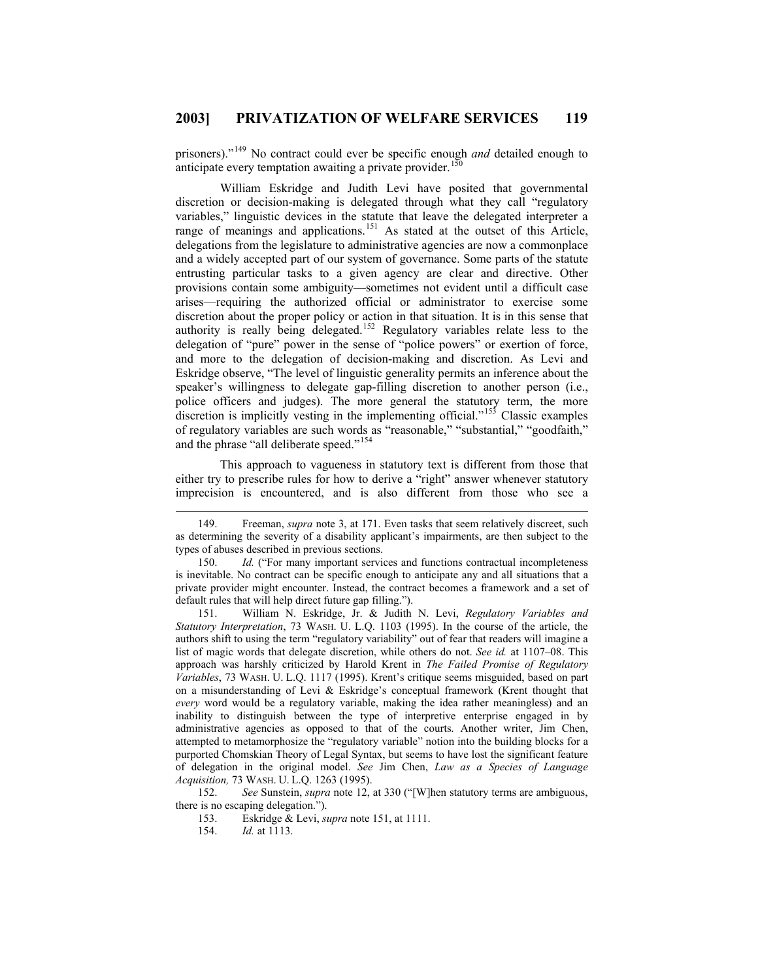prisoners)."[149](#page-36-0) No contract could ever be specific enough *and* detailed enough to anticipate every temptation awaiting a private provider.<sup>15</sup>

William Eskridge and Judith Levi have posited that governmental discretion or decision-making is delegated through what they call "regulatory variables," linguistic devices in the statute that leave the delegated interpreter a range of meanings and applications.<sup>[151](#page-36-2)</sup> As stated at the outset of this Article, delegations from the legislature to administrative agencies are now a commonplace and a widely accepted part of our system of governance. Some parts of the statute entrusting particular tasks to a given agency are clear and directive. Other provisions contain some ambiguity—sometimes not evident until a difficult case arises—requiring the authorized official or administrator to exercise some discretion about the proper policy or action in that situation. It is in this sense that authority is really being delegated.[152](#page-36-3) Regulatory variables relate less to the delegation of "pure" power in the sense of "police powers" or exertion of force, and more to the delegation of decision-making and discretion. As Levi and Eskridge observe, "The level of linguistic generality permits an inference about the speaker's willingness to delegate gap-filling discretion to another person (i.e., police officers and judges). The more general the statutory term, the more discretion is implicitly vesting in the implementing official."<sup>[153](#page-36-4)</sup> Classic examples of regulatory variables are such words as "reasonable," "substantial," "goodfaith," and the phrase "all deliberate speed."<sup>[154](#page-36-5)</sup>

This approach to vagueness in statutory text is different from those that either try to prescribe rules for how to derive a "right" answer whenever statutory imprecision is encountered, and is also different from those who see a

<span id="page-36-2"></span>151. William N. Eskridge, Jr. & Judith N. Levi, *Regulatory Variables and Statutory Interpretation*, 73 WASH. U. L.Q. 1103 (1995). In the course of the article, the authors shift to using the term "regulatory variability" out of fear that readers will imagine a list of magic words that delegate discretion, while others do not. *See id.* at 1107–08. This approach was harshly criticized by Harold Krent in *The Failed Promise of Regulatory Variables*, 73 WASH. U. L.Q. 1117 (1995). Krent's critique seems misguided, based on part on a misunderstanding of Levi  $\&$  Eskridge's conceptual framework (Krent thought that *every* word would be a regulatory variable, making the idea rather meaningless) and an inability to distinguish between the type of interpretive enterprise engaged in by administrative agencies as opposed to that of the courts. Another writer, Jim Chen, attempted to metamorphosize the "regulatory variable" notion into the building blocks for a purported Chomskian Theory of Legal Syntax, but seems to have lost the significant feature of delegation in the original model. *See* Jim Chen, *Law as a Species of Language Acquisition,* 73 WASH. U. L.Q. 1263 (1995).

<span id="page-36-5"></span><span id="page-36-4"></span><span id="page-36-3"></span>152. *See* Sunstein, *supra* note 12, at 330 ("[W]hen statutory terms are ambiguous, there is no escaping delegation.").

153. Eskridge & Levi, *supra* note 151, at 1111.

154. *Id.* at 1113.

<span id="page-36-0"></span><sup>149.</sup> Freeman, *supra* note 3, at 171. Even tasks that seem relatively discreet, such as determining the severity of a disability applicant's impairments, are then subject to the types of abuses described in previous sections.

<span id="page-36-1"></span><sup>150.</sup> *Id.* ("For many important services and functions contractual incompleteness is inevitable. No contract can be specific enough to anticipate any and all situations that a private provider might encounter. Instead, the contract becomes a framework and a set of default rules that will help direct future gap filling.").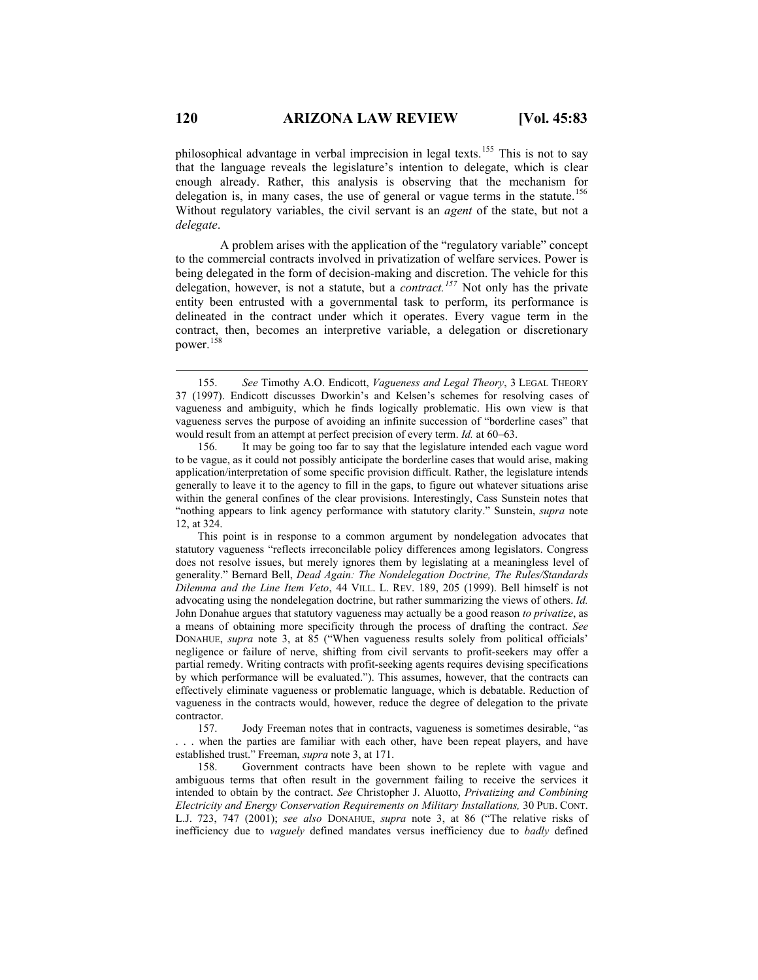philosophical advantage in verbal imprecision in legal texts.[155](#page-37-0) This is not to say that the language reveals the legislature's intention to delegate, which is clear enough already. Rather, this analysis is observing that the mechanism for delegation is, in many cases, the use of general or vague terms in the statute.<sup>[156](#page-37-1)</sup> Without regulatory variables, the civil servant is an *agent* of the state, but not a *delegate*.

A problem arises with the application of the "regulatory variable" concept to the commercial contracts involved in privatization of welfare services. Power is being delegated in the form of decision-making and discretion. The vehicle for this delegation, however, is not a statute, but a *contract.[157](#page-37-2)* Not only has the private entity been entrusted with a governmental task to perform, its performance is delineated in the contract under which it operates. Every vague term in the contract, then, becomes an interpretive variable, a delegation or discretionary power.[158](#page-37-3)

This point is in response to a common argument by nondelegation advocates that statutory vagueness "reflects irreconcilable policy differences among legislators. Congress does not resolve issues, but merely ignores them by legislating at a meaningless level of generality." Bernard Bell, *Dead Again: The Nondelegation Doctrine, The Rules/Standards Dilemma and the Line Item Veto*, 44 VILL. L. REV. 189, 205 (1999). Bell himself is not advocating using the nondelegation doctrine, but rather summarizing the views of others. *Id.* John Donahue argues that statutory vagueness may actually be a good reason *to privatize*, as a means of obtaining more specificity through the process of drafting the contract. *See*  DONAHUE, *supra* note 3, at 85 ("When vagueness results solely from political officials' negligence or failure of nerve, shifting from civil servants to profit-seekers may offer a partial remedy. Writing contracts with profit-seeking agents requires devising specifications by which performance will be evaluated."). This assumes, however, that the contracts can effectively eliminate vagueness or problematic language, which is debatable. Reduction of vagueness in the contracts would, however, reduce the degree of delegation to the private contractor.

<span id="page-37-2"></span>157. Jody Freeman notes that in contracts, vagueness is sometimes desirable, "as when the parties are familiar with each other, have been repeat players, and have established trust." Freeman, *supra* note 3, at 171.

<span id="page-37-3"></span>158. Government contracts have been shown to be replete with vague and ambiguous terms that often result in the government failing to receive the services it intended to obtain by the contract. *See* Christopher J. Aluotto, *Privatizing and Combining Electricity and Energy Conservation Requirements on Military Installations,* 30 PUB. CONT. L.J. 723, 747 (2001); *see also* DONAHUE, *supra* note 3, at 86 ("The relative risks of inefficiency due to *vaguely* defined mandates versus inefficiency due to *badly* defined

<span id="page-37-0"></span><sup>155.</sup> *See* Timothy A.O. Endicott, *Vagueness and Legal Theory*, 3 LEGAL THEORY 37 (1997). Endicott discusses Dworkin's and Kelsen's schemes for resolving cases of vagueness and ambiguity, which he finds logically problematic. His own view is that vagueness serves the purpose of avoiding an infinite succession of "borderline cases" that would result from an attempt at perfect precision of every term. *Id.* at 60–63.

<span id="page-37-1"></span><sup>156.</sup> It may be going too far to say that the legislature intended each vague word to be vague, as it could not possibly anticipate the borderline cases that would arise, making application/interpretation of some specific provision difficult. Rather, the legislature intends generally to leave it to the agency to fill in the gaps, to figure out whatever situations arise within the general confines of the clear provisions. Interestingly, Cass Sunstein notes that "nothing appears to link agency performance with statutory clarity." Sunstein, *supra* note 12, at 324.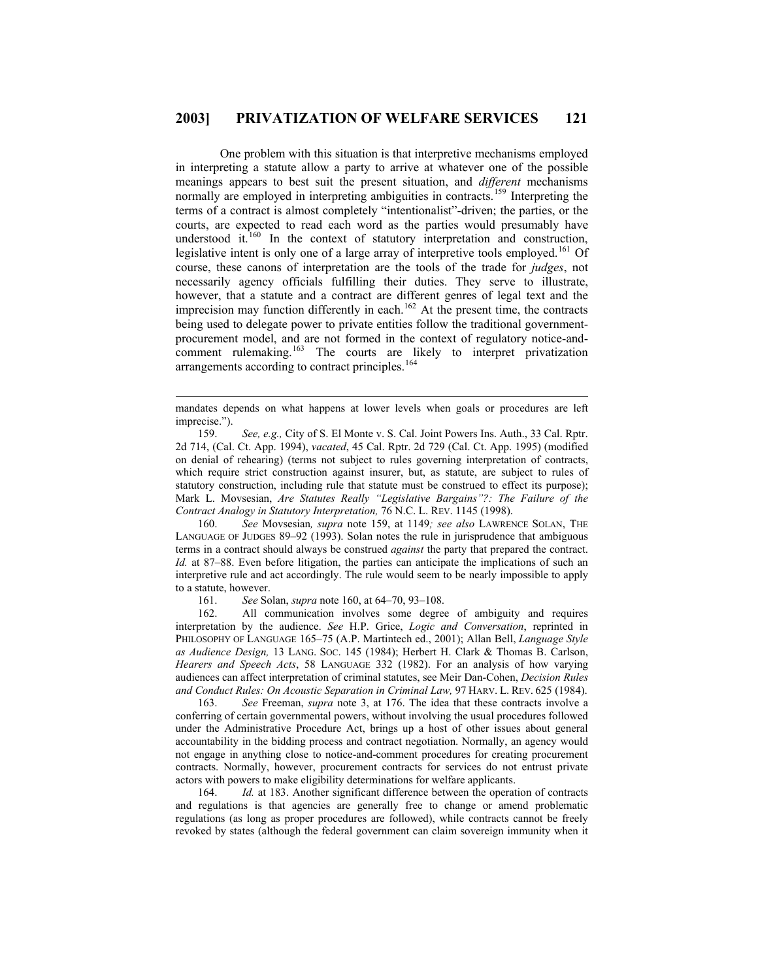One problem with this situation is that interpretive mechanisms employed in interpreting a statute allow a party to arrive at whatever one of the possible meanings appears to best suit the present situation, and *different* mechanisms normally are employed in interpreting ambiguities in contracts.<sup>[159](#page-38-0)</sup> Interpreting the terms of a contract is almost completely "intentionalist"-driven; the parties, or the courts, are expected to read each word as the parties would presumably have understood it.<sup>[160](#page-38-1)</sup> In the context of statutory interpretation and construction, legislative intent is only one of a large array of interpretive tools employed.<sup>[161](#page-38-2)</sup> Of course, these canons of interpretation are the tools of the trade for *judges*, not necessarily agency officials fulfilling their duties. They serve to illustrate, however, that a statute and a contract are different genres of legal text and the imprecision may function differently in each.<sup>[162](#page-38-3)</sup> At the present time, the contracts being used to delegate power to private entities follow the traditional governmentprocurement model, and are not formed in the context of regulatory notice-and-comment rulemaking.<sup>[163](#page-38-4)</sup> The courts are likely to interpret privatization arrangements according to contract principles.<sup>[164](#page-38-5)</sup>

<span id="page-38-1"></span>160. *See* Movsesian*, supra* note 159, at 1149*; see also* LAWRENCE SOLAN, THE LANGUAGE OF JUDGES 89–92 (1993). Solan notes the rule in jurisprudence that ambiguous terms in a contract should always be construed *against* the party that prepared the contract. *Id.* at 87–88. Even before litigation, the parties can anticipate the implications of such an interpretive rule and act accordingly. The rule would seem to be nearly impossible to apply to a statute, however.

161. *See* Solan, *supra* note 160, at 64–70, 93–108.

 $\overline{a}$ 

<span id="page-38-3"></span><span id="page-38-2"></span>162. All communication involves some degree of ambiguity and requires interpretation by the audience. *See* H.P. Grice, *Logic and Conversation*, reprinted in PHILOSOPHY OF LANGUAGE 165–75 (A.P. Martintech ed., 2001); Allan Bell, *Language Style as Audience Design,* 13 LANG. SOC. 145 (1984); Herbert H. Clark & Thomas B. Carlson, *Hearers and Speech Acts*, 58 LANGUAGE 332 (1982). For an analysis of how varying audiences can affect interpretation of criminal statutes, see Meir Dan-Cohen, *Decision Rules and Conduct Rules: On Acoustic Separation in Criminal Law,* 97 HARV. L. REV. 625 (1984).

<span id="page-38-4"></span>163. *See* Freeman, *supra* note 3, at 176. The idea that these contracts involve a conferring of certain governmental powers, without involving the usual procedures followed under the Administrative Procedure Act, brings up a host of other issues about general accountability in the bidding process and contract negotiation. Normally, an agency would not engage in anything close to notice-and-comment procedures for creating procurement contracts. Normally, however, procurement contracts for services do not entrust private actors with powers to make eligibility determinations for welfare applicants.

<span id="page-38-5"></span>164. *Id.* at 183. Another significant difference between the operation of contracts and regulations is that agencies are generally free to change or amend problematic regulations (as long as proper procedures are followed), while contracts cannot be freely revoked by states (although the federal government can claim sovereign immunity when it

mandates depends on what happens at lower levels when goals or procedures are left imprecise.").

<span id="page-38-0"></span><sup>159.</sup> *See, e.g.,* City of S. El Monte v. S. Cal. Joint Powers Ins. Auth., 33 Cal. Rptr. 2d 714, (Cal. Ct. App. 1994), *vacated*, 45 Cal. Rptr. 2d 729 (Cal. Ct. App. 1995) (modified on denial of rehearing) (terms not subject to rules governing interpretation of contracts, which require strict construction against insurer, but, as statute, are subject to rules of statutory construction, including rule that statute must be construed to effect its purpose); Mark L. Movsesian, *Are Statutes Really "Legislative Bargains"?: The Failure of the Contract Analogy in Statutory Interpretation,* 76 N.C. L. REV. 1145 (1998).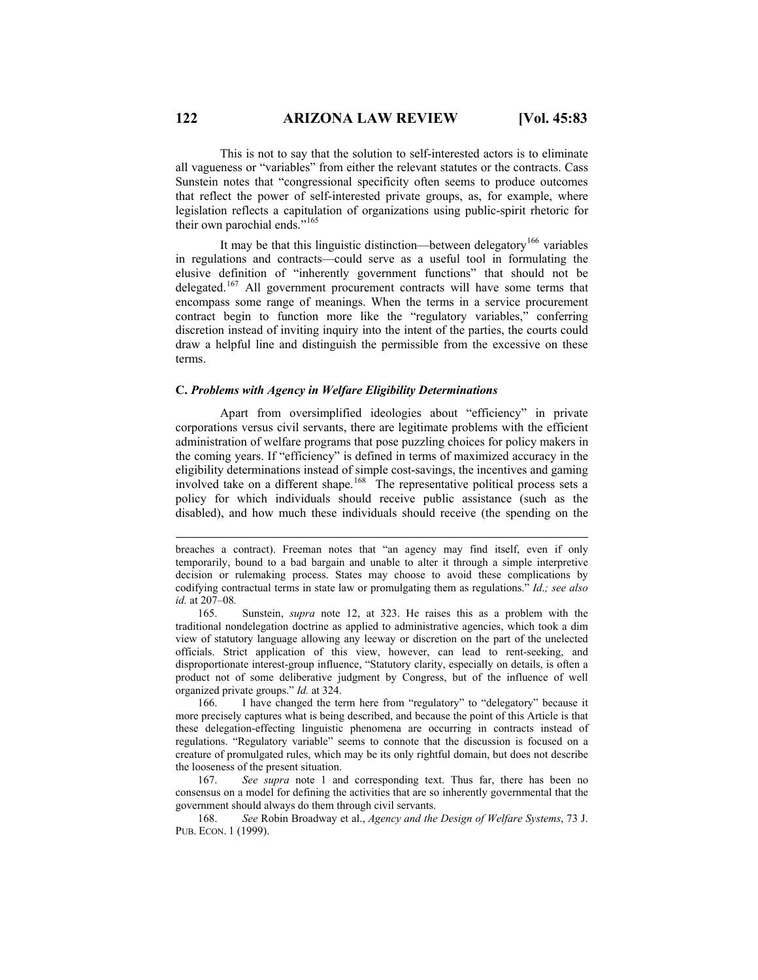This is not to say that the solution to self-interested actors is to eliminate all vagueness or "variables" from either the relevant statutes or the contracts. Cass Sunstein notes that "congressional specificity often seems to produce outcomes that reflect the power of self-interested private groups, as, for example, where legislation reflects a capitulation of organizations using public-spirit rhetoric for their own parochial ends."<sup>[165](#page-39-0)</sup>

It may be that this linguistic distinction—between delegatory<sup>[166](#page-39-1)</sup> variables in regulations and contracts—could serve as a useful tool in formulating the elusive definition of "inherently government functions" that should not be delegated.<sup>[167](#page-39-2)</sup> All government procurement contracts will have some terms that encompass some range of meanings. When the terms in a service procurement contract begin to function more like the "regulatory variables," conferring discretion instead of inviting inquiry into the intent of the parties, the courts could draw a helpful line and distinguish the permissible from the excessive on these terms.

#### **C.** *Problems with Agency in Welfare Eligibility Determinations*

Apart from oversimplified ideologies about "efficiency" in private corporations versus civil servants, there are legitimate problems with the efficient administration of welfare programs that pose puzzling choices for policy makers in the coming years. If "efficiency" is defined in terms of maximized accuracy in the eligibility determinations instead of simple cost-savings, the incentives and gaming involved take on a different shape.<sup>[168](#page-39-3)</sup> The representative political process sets a policy for which individuals should receive public assistance (such as the disabled), and how much these individuals should receive (the spending on the

<span id="page-39-1"></span>166. I have changed the term here from "regulatory" to "delegatory" because it more precisely captures what is being described, and because the point of this Article is that these delegation-effecting linguistic phenomena are occurring in contracts instead of regulations. "Regulatory variable" seems to connote that the discussion is focused on a creature of promulgated rules, which may be its only rightful domain, but does not describe the looseness of the present situation.

<span id="page-39-2"></span>167. *See supra* note 1 and corresponding text. Thus far, there has been no consensus on a model for defining the activities that are so inherently governmental that the government should always do them through civil servants.

<span id="page-39-3"></span>168. *See* Robin Broadway et al., *Agency and the Design of Welfare Systems*, 73 J. PUB. ECON. 1 (1999).

breaches a contract). Freeman notes that "an agency may find itself, even if only temporarily, bound to a bad bargain and unable to alter it through a simple interpretive decision or rulemaking process. States may choose to avoid these complications by codifying contractual terms in state law or promulgating them as regulations." *Id*.*; see also id.* at 207–08*.*

<span id="page-39-0"></span><sup>165.</sup> Sunstein, *supra* note 12, at 323. He raises this as a problem with the traditional nondelegation doctrine as applied to administrative agencies, which took a dim view of statutory language allowing any leeway or discretion on the part of the unelected officials. Strict application of this view, however, can lead to rent-seeking, and disproportionate interest-group influence, "Statutory clarity, especially on details, is often a product not of some deliberative judgment by Congress, but of the influence of well organized private groups." *Id.* at 324.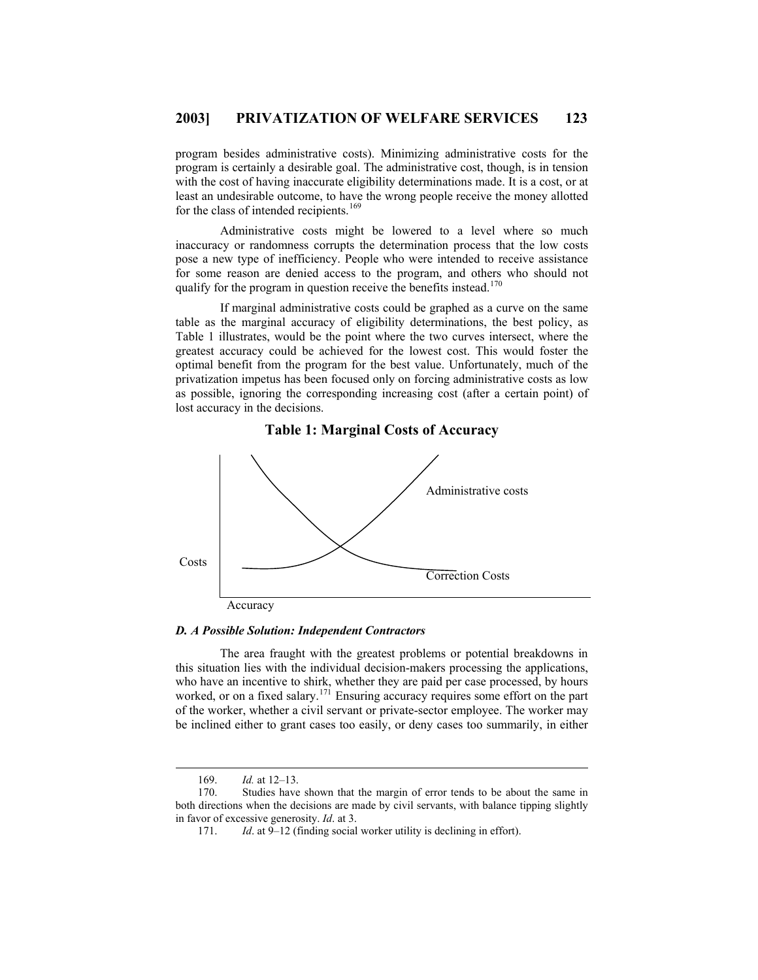program besides administrative costs). Minimizing administrative costs for the program is certainly a desirable goal. The administrative cost, though, is in tension with the cost of having inaccurate eligibility determinations made. It is a cost, or at least an undesirable outcome, to have the wrong people receive the money allotted for the class of intended recipients.<sup>[169](#page-40-0)</sup>

Administrative costs might be lowered to a level where so much inaccuracy or randomness corrupts the determination process that the low costs pose a new type of inefficiency. People who were intended to receive assistance for some reason are denied access to the program, and others who should not qualify for the program in question receive the benefits instead.<sup>[170](#page-40-1)</sup>

If marginal administrative costs could be graphed as a curve on the same table as the marginal accuracy of eligibility determinations, the best policy, as Table 1 illustrates, would be the point where the two curves intersect, where the greatest accuracy could be achieved for the lowest cost. This would foster the optimal benefit from the program for the best value. Unfortunately, much of the privatization impetus has been focused only on forcing administrative costs as low as possible, ignoring the corresponding increasing cost (after a certain point) of lost accuracy in the decisions.



# **Table 1: Marginal Costs of Accuracy**

#### *D. A Possible Solution: Independent Contractors*

The area fraught with the greatest problems or potential breakdowns in this situation lies with the individual decision-makers processing the applications, who have an incentive to shirk, whether they are paid per case processed, by hours worked, or on a fixed salary.<sup>[171](#page-40-2)</sup> Ensuring accuracy requires some effort on the part of the worker, whether a civil servant or private-sector employee. The worker may be inclined either to grant cases too easily, or deny cases too summarily, in either

<sup>169.</sup> *Id.* at 12–13.

<span id="page-40-2"></span><span id="page-40-1"></span><span id="page-40-0"></span><sup>170.</sup> Studies have shown that the margin of error tends to be about the same in both directions when the decisions are made by civil servants, with balance tipping slightly in favor of excessive generosity. *Id*. at 3.

<sup>171.</sup> *Id*. at 9–12 (finding social worker utility is declining in effort).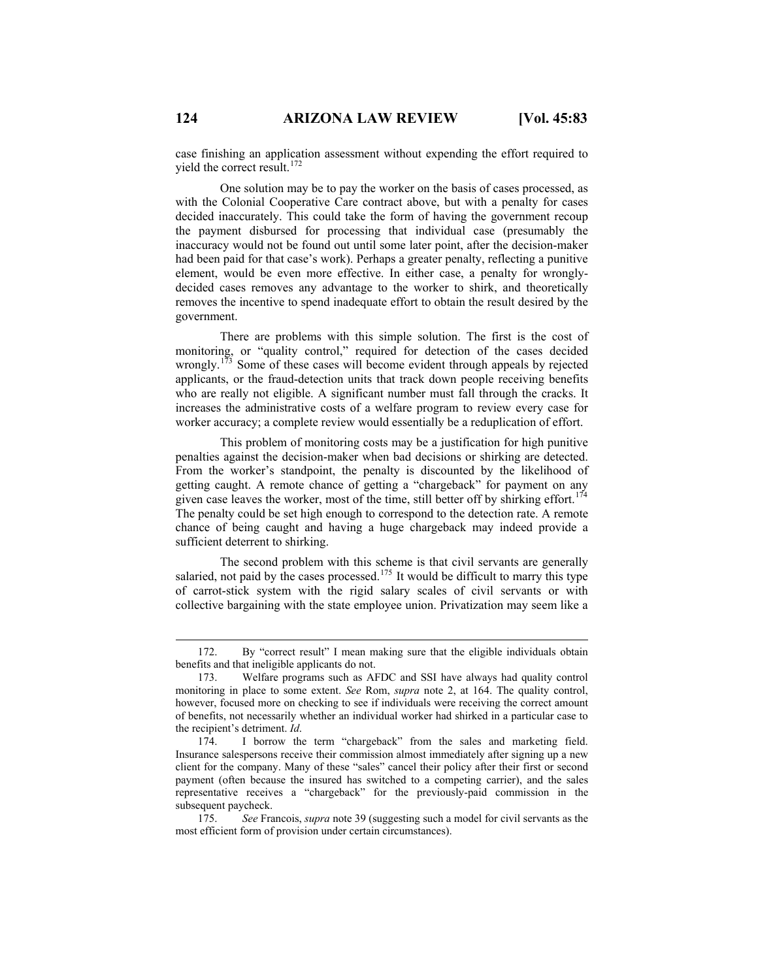case finishing an application assessment without expending the effort required to yield the correct result. $172$ 

One solution may be to pay the worker on the basis of cases processed, as with the Colonial Cooperative Care contract above, but with a penalty for cases decided inaccurately. This could take the form of having the government recoup the payment disbursed for processing that individual case (presumably the inaccuracy would not be found out until some later point, after the decision-maker had been paid for that case's work). Perhaps a greater penalty, reflecting a punitive element, would be even more effective. In either case, a penalty for wronglydecided cases removes any advantage to the worker to shirk, and theoretically removes the incentive to spend inadequate effort to obtain the result desired by the government.

There are problems with this simple solution. The first is the cost of monitoring, or "quality control," required for detection of the cases decided wrongly.<sup>[173](#page-41-1)</sup> Some of these cases will become evident through appeals by rejected applicants, or the fraud-detection units that track down people receiving benefits who are really not eligible. A significant number must fall through the cracks. It increases the administrative costs of a welfare program to review every case for worker accuracy; a complete review would essentially be a reduplication of effort.

This problem of monitoring costs may be a justification for high punitive penalties against the decision-maker when bad decisions or shirking are detected. From the worker's standpoint, the penalty is discounted by the likelihood of getting caught. A remote chance of getting a "chargeback" for payment on any given case leaves the worker, most of the time, still better off by shirking effort.<sup>[174](#page-41-2)</sup> The penalty could be set high enough to correspond to the detection rate. A remote chance of being caught and having a huge chargeback may indeed provide a sufficient deterrent to shirking.

The second problem with this scheme is that civil servants are generally salaried, not paid by the cases processed.<sup>[175](#page-41-3)</sup> It would be difficult to marry this type of carrot-stick system with the rigid salary scales of civil servants or with collective bargaining with the state employee union. Privatization may seem like a

<span id="page-41-0"></span><sup>172.</sup> By "correct result" I mean making sure that the eligible individuals obtain benefits and that ineligible applicants do not.

<span id="page-41-1"></span><sup>173.</sup> Welfare programs such as AFDC and SSI have always had quality control monitoring in place to some extent. *See* Rom, *supra* note 2, at 164. The quality control, however, focused more on checking to see if individuals were receiving the correct amount of benefits, not necessarily whether an individual worker had shirked in a particular case to the recipient's detriment. *Id*.

<span id="page-41-2"></span><sup>174.</sup> I borrow the term "chargeback" from the sales and marketing field. Insurance salespersons receive their commission almost immediately after signing up a new client for the company. Many of these "sales" cancel their policy after their first or second payment (often because the insured has switched to a competing carrier), and the sales representative receives a "chargeback" for the previously-paid commission in the subsequent paycheck.<br>175. See Fra

<span id="page-41-3"></span>See Francois, *supra* note 39 (suggesting such a model for civil servants as the most efficient form of provision under certain circumstances).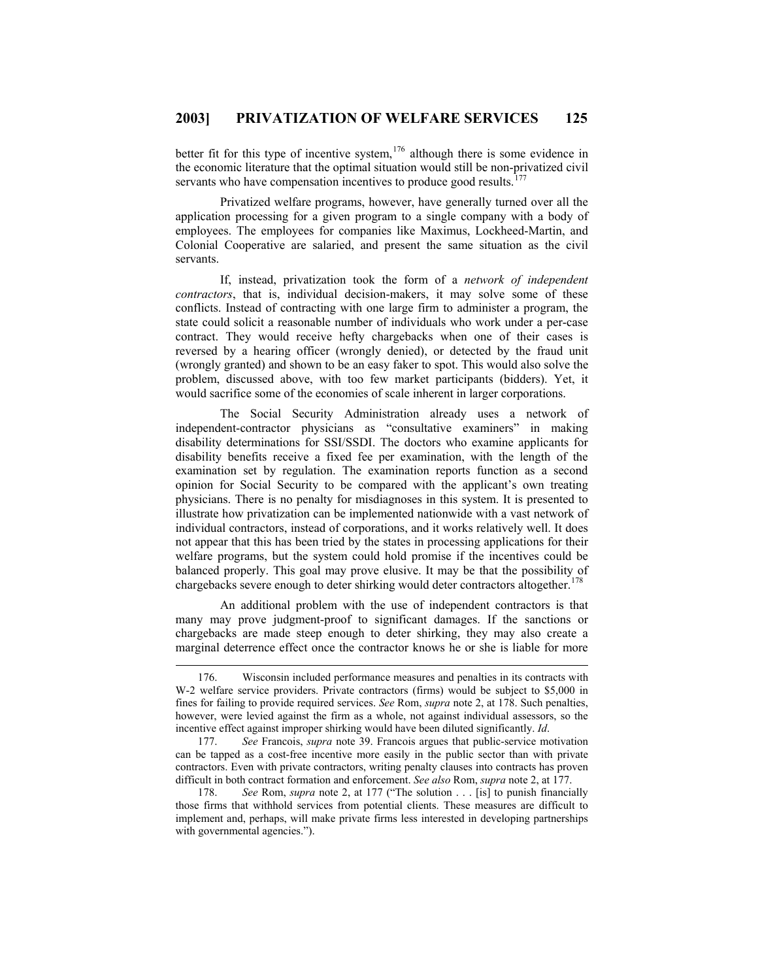better fit for this type of incentive system,  $176$  although there is some evidence in the economic literature that the optimal situation would still be non-privatized civil servants who have compensation incentives to produce good results.<sup>1</sup>

Privatized welfare programs, however, have generally turned over all the application processing for a given program to a single company with a body of employees. The employees for companies like Maximus, Lockheed-Martin, and Colonial Cooperative are salaried, and present the same situation as the civil servants.

If, instead, privatization took the form of a *network of independent contractors*, that is, individual decision-makers, it may solve some of these conflicts. Instead of contracting with one large firm to administer a program, the state could solicit a reasonable number of individuals who work under a per-case contract. They would receive hefty chargebacks when one of their cases is reversed by a hearing officer (wrongly denied), or detected by the fraud unit (wrongly granted) and shown to be an easy faker to spot. This would also solve the problem, discussed above, with too few market participants (bidders). Yet, it would sacrifice some of the economies of scale inherent in larger corporations.

The Social Security Administration already uses a network of independent-contractor physicians as "consultative examiners" in making disability determinations for SSI/SSDI. The doctors who examine applicants for disability benefits receive a fixed fee per examination, with the length of the examination set by regulation. The examination reports function as a second opinion for Social Security to be compared with the applicant's own treating physicians. There is no penalty for misdiagnoses in this system. It is presented to illustrate how privatization can be implemented nationwide with a vast network of individual contractors, instead of corporations, and it works relatively well. It does not appear that this has been tried by the states in processing applications for their welfare programs, but the system could hold promise if the incentives could be balanced properly. This goal may prove elusive. It may be that the possibility of chargebacks severe enough to deter shirking would deter contractors altogether.<sup>[178](#page-42-2)</sup>

An additional problem with the use of independent contractors is that many may prove judgment-proof to significant damages. If the sanctions or chargebacks are made steep enough to deter shirking, they may also create a marginal deterrence effect once the contractor knows he or she is liable for more

<span id="page-42-0"></span><sup>176.</sup> Wisconsin included performance measures and penalties in its contracts with W-2 welfare service providers. Private contractors (firms) would be subject to \$5,000 in fines for failing to provide required services. *See* Rom, *supra* note 2, at 178. Such penalties, however, were levied against the firm as a whole, not against individual assessors, so the incentive effect against improper shirking would have been diluted significantly. *Id*.

<span id="page-42-1"></span><sup>177.</sup> *See* Francois, *supra* note 39. Francois argues that public-service motivation can be tapped as a cost-free incentive more easily in the public sector than with private contractors. Even with private contractors, writing penalty clauses into contracts has proven difficult in both contract formation and enforcement. *See also* Rom, *supra* note 2, at 177.

<span id="page-42-2"></span><sup>178.</sup> *See* Rom, *supra* note 2, at 177 ("The solution . . . [is] to punish financially those firms that withhold services from potential clients. These measures are difficult to implement and, perhaps, will make private firms less interested in developing partnerships with governmental agencies.").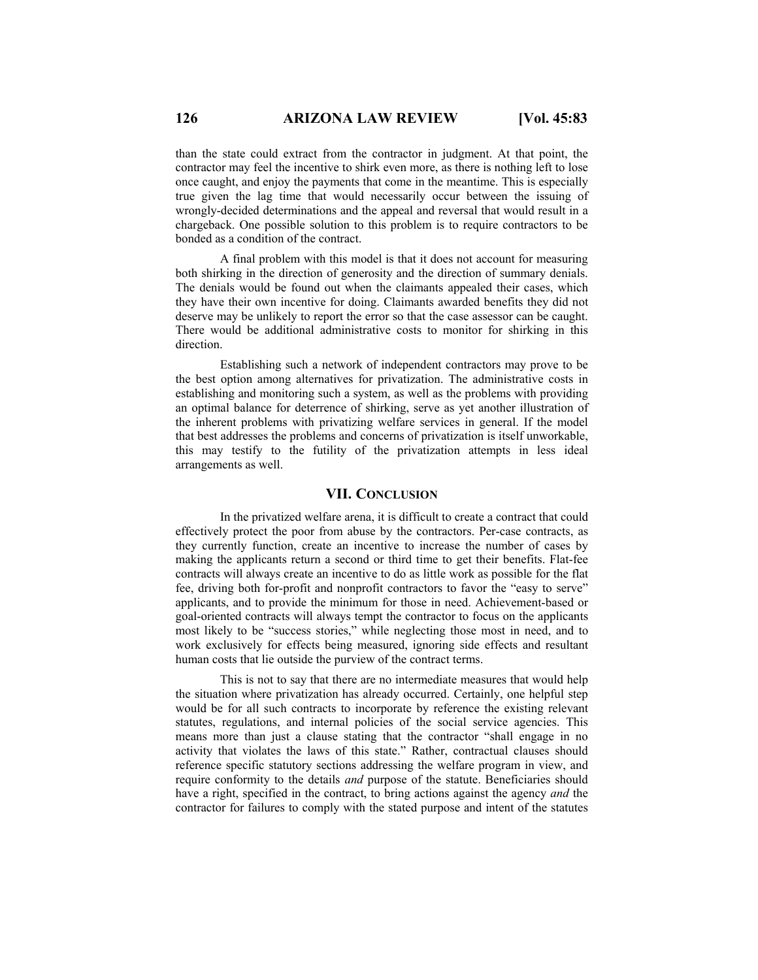than the state could extract from the contractor in judgment. At that point, the contractor may feel the incentive to shirk even more, as there is nothing left to lose once caught, and enjoy the payments that come in the meantime. This is especially true given the lag time that would necessarily occur between the issuing of wrongly-decided determinations and the appeal and reversal that would result in a chargeback. One possible solution to this problem is to require contractors to be bonded as a condition of the contract.

A final problem with this model is that it does not account for measuring both shirking in the direction of generosity and the direction of summary denials. The denials would be found out when the claimants appealed their cases, which they have their own incentive for doing. Claimants awarded benefits they did not deserve may be unlikely to report the error so that the case assessor can be caught. There would be additional administrative costs to monitor for shirking in this direction.

Establishing such a network of independent contractors may prove to be the best option among alternatives for privatization. The administrative costs in establishing and monitoring such a system, as well as the problems with providing an optimal balance for deterrence of shirking, serve as yet another illustration of the inherent problems with privatizing welfare services in general. If the model that best addresses the problems and concerns of privatization is itself unworkable, this may testify to the futility of the privatization attempts in less ideal arrangements as well.

## **VII. CONCLUSION**

In the privatized welfare arena, it is difficult to create a contract that could effectively protect the poor from abuse by the contractors. Per-case contracts, as they currently function, create an incentive to increase the number of cases by making the applicants return a second or third time to get their benefits. Flat-fee contracts will always create an incentive to do as little work as possible for the flat fee, driving both for-profit and nonprofit contractors to favor the "easy to serve" applicants, and to provide the minimum for those in need. Achievement-based or goal-oriented contracts will always tempt the contractor to focus on the applicants most likely to be "success stories," while neglecting those most in need, and to work exclusively for effects being measured, ignoring side effects and resultant human costs that lie outside the purview of the contract terms.

This is not to say that there are no intermediate measures that would help the situation where privatization has already occurred. Certainly, one helpful step would be for all such contracts to incorporate by reference the existing relevant statutes, regulations, and internal policies of the social service agencies. This means more than just a clause stating that the contractor "shall engage in no activity that violates the laws of this state." Rather, contractual clauses should reference specific statutory sections addressing the welfare program in view, and require conformity to the details *and* purpose of the statute. Beneficiaries should have a right, specified in the contract, to bring actions against the agency *and* the contractor for failures to comply with the stated purpose and intent of the statutes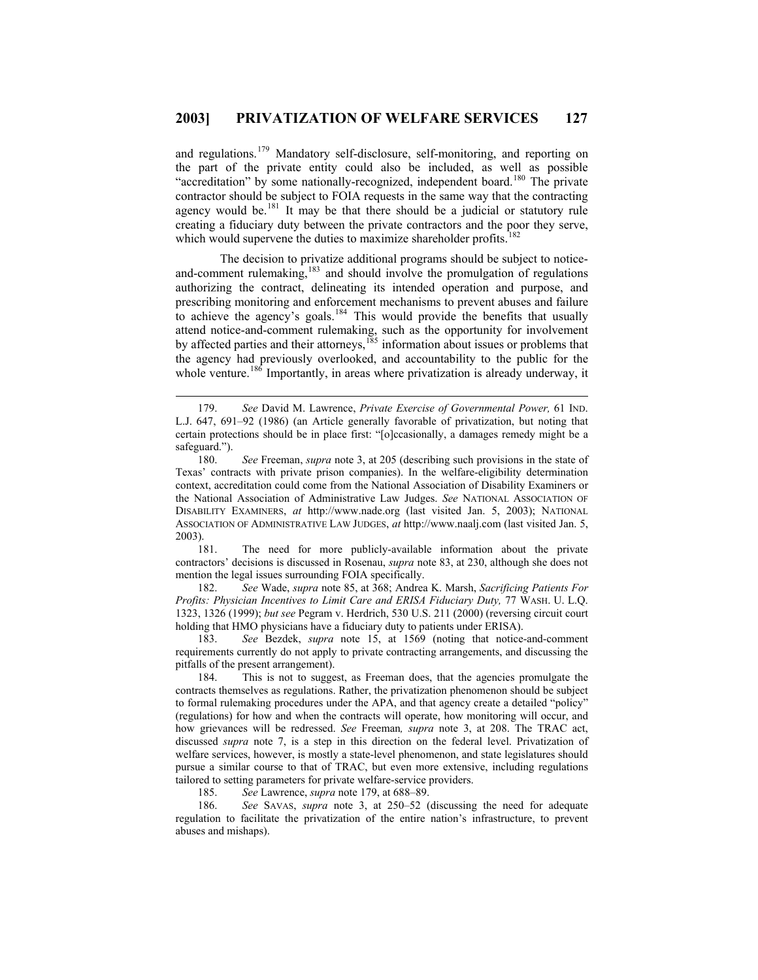and regulations.[179](#page-44-0) Mandatory self-disclosure, self-monitoring, and reporting on the part of the private entity could also be included, as well as possible "accreditation" by some nationally-recognized, independent board.<sup>[180](#page-44-1)</sup> The private contractor should be subject to FOIA requests in the same way that the contracting agency would be.<sup>[181](#page-44-2)</sup> It may be that there should be a judicial or statutory rule creating a fiduciary duty between the private contractors and the poor they serve, which would supervene the duties to maximize shareholder profits.<sup>[182](#page-44-3)</sup>

The decision to privatize additional programs should be subject to notice-and-comment rulemaking,<sup>[183](#page-44-4)</sup> and should involve the promulgation of regulations authorizing the contract, delineating its intended operation and purpose, and prescribing monitoring and enforcement mechanisms to prevent abuses and failure to achieve the agency's goals.[184](#page-44-5) This would provide the benefits that usually attend notice-and-comment rulemaking, such as the opportunity for involvement by affected parties and their attorneys, $185$  information about issues or problems that the agency had previously overlooked, and accountability to the public for the whole venture.<sup>[186](#page-44-7)</sup> Importantly, in areas where privatization is already underway, it

 $\overline{\phantom{a}}$ 

<span id="page-44-2"></span>181. The need for more publicly-available information about the private contractors' decisions is discussed in Rosenau, *supra* note 83, at 230, although she does not mention the legal issues surrounding FOIA specifically.

<span id="page-44-3"></span>182. *See* Wade, *supra* note 85, at 368; Andrea K. Marsh, *Sacrificing Patients For Profits: Physician Incentives to Limit Care and ERISA Fiduciary Duty, 77 WASH. U. L.Q.* 1323, 1326 (1999); *but see* Pegram v. Herdrich, 530 U.S. 211 (2000) (reversing circuit court holding that HMO physicians have a fiduciary duty to patients under ERISA).

<span id="page-44-4"></span>183. *See* Bezdek, *supra* note 15, at 1569 (noting that notice-and-comment requirements currently do not apply to private contracting arrangements, and discussing the pitfalls of the present arrangement).

<span id="page-44-5"></span>184. This is not to suggest, as Freeman does, that the agencies promulgate the contracts themselves as regulations. Rather, the privatization phenomenon should be subject to formal rulemaking procedures under the APA, and that agency create a detailed "policy" (regulations) for how and when the contracts will operate, how monitoring will occur, and how grievances will be redressed. *See* Freeman*, supra* note 3, at 208. The TRAC act, discussed *supra* note 7, is a step in this direction on the federal level. Privatization of welfare services, however, is mostly a state-level phenomenon, and state legislatures should pursue a similar course to that of TRAC, but even more extensive, including regulations tailored to setting parameters for private welfare-service providers.

185. *See* Lawrence, *supra* note 179, at 688–89.

<span id="page-44-7"></span><span id="page-44-6"></span>186. *See* SAVAS, *supra* note 3, at 250–52 (discussing the need for adequate regulation to facilitate the privatization of the entire nation's infrastructure, to prevent abuses and mishaps).

<span id="page-44-0"></span><sup>179.</sup> *See* David M. Lawrence, *Private Exercise of Governmental Power,* 61 IND. L.J. 647, 691–92 (1986) (an Article generally favorable of privatization, but noting that certain protections should be in place first: "[o]ccasionally, a damages remedy might be a safeguard.").

<span id="page-44-1"></span><sup>180.</sup> *See* Freeman, *supra* note 3, at 205 (describing such provisions in the state of Texas' contracts with private prison companies). In the welfare-eligibility determination context, accreditation could come from the National Association of Disability Examiners or the National Association of Administrative Law Judges. *See* NATIONAL ASSOCIATION OF DISABILITY EXAMINERS, *at* http://www.nade.org (last visited Jan. 5, 2003); NATIONAL ASSOCIATION OF ADMINISTRATIVE LAW JUDGES, *at* http://www.naalj.com (last visited Jan. 5, 2003).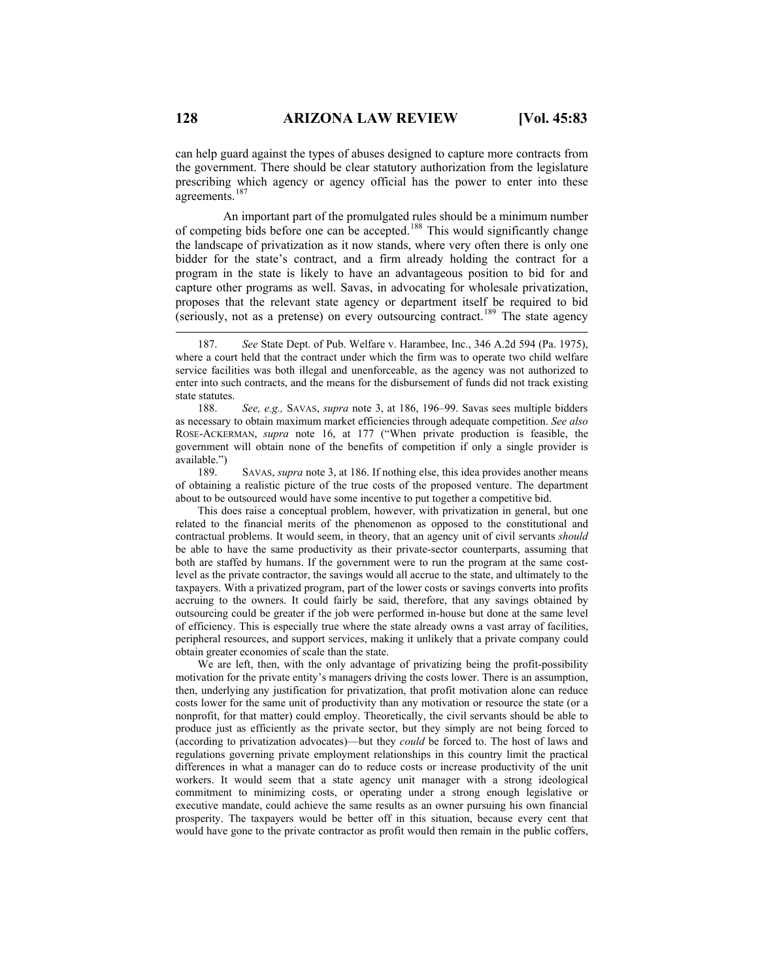can help guard against the types of abuses designed to capture more contracts from the government. There should be clear statutory authorization from the legislature prescribing which agency or agency official has the power to enter into these agreements.[187](#page-45-0)

 An important part of the promulgated rules should be a minimum number of competing bids before one can be accepted.<sup>[188](#page-45-1)</sup> This would significantly change the landscape of privatization as it now stands, where very often there is only one bidder for the state's contract, and a firm already holding the contract for a program in the state is likely to have an advantageous position to bid for and capture other programs as well. Savas, in advocating for wholesale privatization, proposes that the relevant state agency or department itself be required to bid (seriously, not as a pretense) on every outsourcing contract.<sup>[189](#page-45-2)</sup> The state agency

<span id="page-45-1"></span>188. *See, e.g.,* SAVAS, *supra* note 3, at 186, 196–99. Savas sees multiple bidders as necessary to obtain maximum market efficiencies through adequate competition. *See also*  ROSE-ACKERMAN, *supra* note 16, at 177 ("When private production is feasible, the government will obtain none of the benefits of competition if only a single provider is available.")

<span id="page-45-2"></span>189. SAVAS, *supra* note 3, at 186. If nothing else, this idea provides another means of obtaining a realistic picture of the true costs of the proposed venture. The department about to be outsourced would have some incentive to put together a competitive bid.

This does raise a conceptual problem, however, with privatization in general, but one related to the financial merits of the phenomenon as opposed to the constitutional and contractual problems. It would seem, in theory, that an agency unit of civil servants *should* be able to have the same productivity as their private-sector counterparts, assuming that both are staffed by humans. If the government were to run the program at the same costlevel as the private contractor, the savings would all accrue to the state, and ultimately to the taxpayers. With a privatized program, part of the lower costs or savings converts into profits accruing to the owners. It could fairly be said, therefore, that any savings obtained by outsourcing could be greater if the job were performed in-house but done at the same level of efficiency. This is especially true where the state already owns a vast array of facilities, peripheral resources, and support services, making it unlikely that a private company could obtain greater economies of scale than the state.

We are left, then, with the only advantage of privatizing being the profit-possibility motivation for the private entity's managers driving the costs lower. There is an assumption, then, underlying any justification for privatization, that profit motivation alone can reduce costs lower for the same unit of productivity than any motivation or resource the state (or a nonprofit, for that matter) could employ. Theoretically, the civil servants should be able to produce just as efficiently as the private sector, but they simply are not being forced to (according to privatization advocates)—but they *could* be forced to. The host of laws and regulations governing private employment relationships in this country limit the practical differences in what a manager can do to reduce costs or increase productivity of the unit workers. It would seem that a state agency unit manager with a strong ideological commitment to minimizing costs, or operating under a strong enough legislative or executive mandate, could achieve the same results as an owner pursuing his own financial prosperity. The taxpayers would be better off in this situation, because every cent that would have gone to the private contractor as profit would then remain in the public coffers,

<span id="page-45-0"></span><sup>187.</sup> *See* State Dept. of Pub. Welfare v. Harambee, Inc., 346 A.2d 594 (Pa. 1975), where a court held that the contract under which the firm was to operate two child welfare service facilities was both illegal and unenforceable, as the agency was not authorized to enter into such contracts, and the means for the disbursement of funds did not track existing state statutes.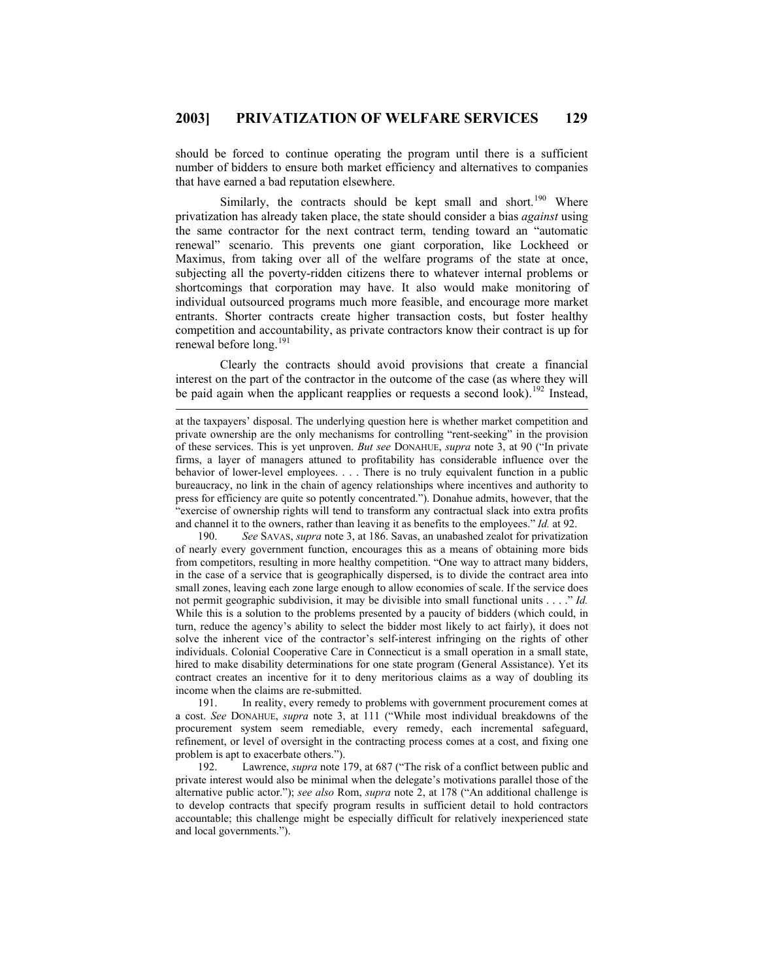should be forced to continue operating the program until there is a sufficient number of bidders to ensure both market efficiency and alternatives to companies that have earned a bad reputation elsewhere.

Similarly, the contracts should be kept small and short.<sup>[190](#page-46-0)</sup> Where privatization has already taken place, the state should consider a bias *against* using the same contractor for the next contract term, tending toward an "automatic renewal" scenario. This prevents one giant corporation, like Lockheed or Maximus, from taking over all of the welfare programs of the state at once, subjecting all the poverty-ridden citizens there to whatever internal problems or shortcomings that corporation may have. It also would make monitoring of individual outsourced programs much more feasible, and encourage more market entrants. Shorter contracts create higher transaction costs, but foster healthy competition and accountability, as private contractors know their contract is up for renewal before long.<sup>[191](#page-46-1)</sup>

Clearly the contracts should avoid provisions that create a financial interest on the part of the contractor in the outcome of the case (as where they will be paid again when the applicant reapplies or requests a second look).<sup>[192](#page-46-2)</sup> Instead,

 $\overline{\phantom{a}}$ 

<span id="page-46-0"></span>190. *See* SAVAS, *supra* note 3, at 186. Savas, an unabashed zealot for privatization of nearly every government function, encourages this as a means of obtaining more bids from competitors, resulting in more healthy competition. "One way to attract many bidders, in the case of a service that is geographically dispersed, is to divide the contract area into small zones, leaving each zone large enough to allow economies of scale. If the service does not permit geographic subdivision, it may be divisible into small functional units . . . ." *Id.*  While this is a solution to the problems presented by a paucity of bidders (which could, in turn, reduce the agency's ability to select the bidder most likely to act fairly), it does not solve the inherent vice of the contractor's self-interest infringing on the rights of other individuals. Colonial Cooperative Care in Connecticut is a small operation in a small state, hired to make disability determinations for one state program (General Assistance). Yet its contract creates an incentive for it to deny meritorious claims as a way of doubling its income when the claims are re-submitted.

<span id="page-46-1"></span>191. In reality, every remedy to problems with government procurement comes at a cost. *See* DONAHUE, *supra* note 3, at 111 ("While most individual breakdowns of the procurement system seem remediable, every remedy, each incremental safeguard, refinement, or level of oversight in the contracting process comes at a cost, and fixing one problem is apt to exacerbate others.").

<span id="page-46-2"></span>192. Lawrence, *supra* note 179, at 687 ("The risk of a conflict between public and private interest would also be minimal when the delegate's motivations parallel those of the alternative public actor."); *see also* Rom, *supra* note 2, at 178 ("An additional challenge is to develop contracts that specify program results in sufficient detail to hold contractors accountable; this challenge might be especially difficult for relatively inexperienced state and local governments.").

at the taxpayers' disposal. The underlying question here is whether market competition and private ownership are the only mechanisms for controlling "rent-seeking" in the provision of these services. This is yet unproven. *But see* DONAHUE, *supra* note 3, at 90 ("In private firms, a layer of managers attuned to profitability has considerable influence over the behavior of lower-level employees. . . . There is no truly equivalent function in a public bureaucracy, no link in the chain of agency relationships where incentives and authority to press for efficiency are quite so potently concentrated."). Donahue admits, however, that the exercise of ownership rights will tend to transform any contractual slack into extra profits and channel it to the owners, rather than leaving it as benefits to the employees." *Id.* at 92.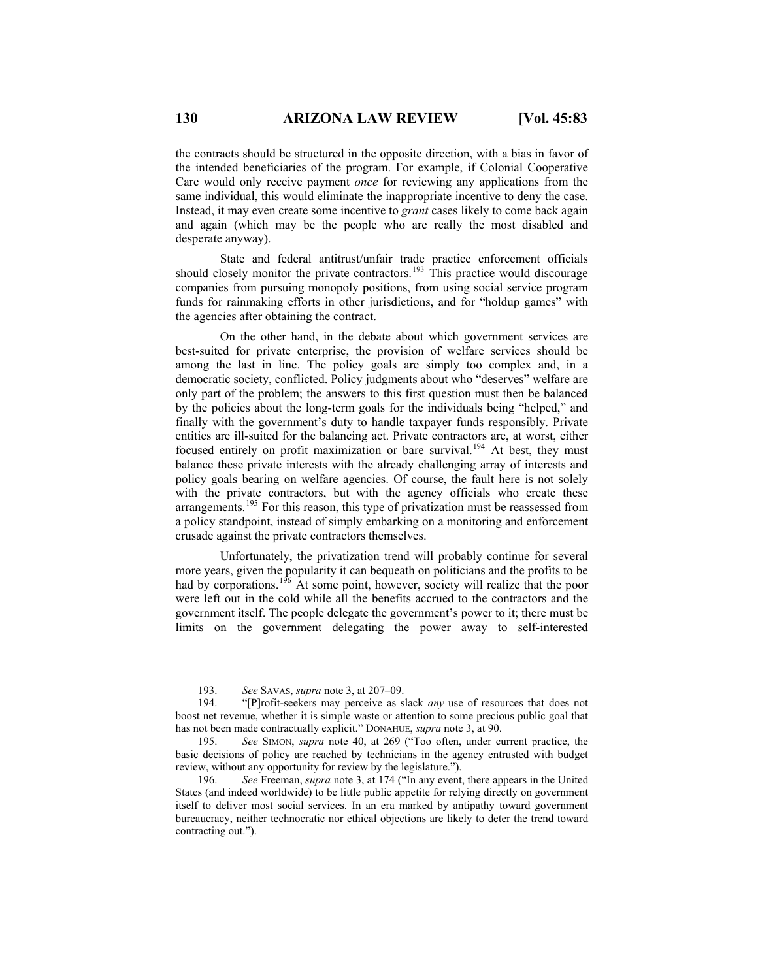the contracts should be structured in the opposite direction, with a bias in favor of the intended beneficiaries of the program. For example, if Colonial Cooperative Care would only receive payment *once* for reviewing any applications from the same individual, this would eliminate the inappropriate incentive to deny the case. Instead, it may even create some incentive to *grant* cases likely to come back again and again (which may be the people who are really the most disabled and desperate anyway).

State and federal antitrust/unfair trade practice enforcement officials should closely monitor the private contractors.<sup>[193](#page-47-0)</sup> This practice would discourage companies from pursuing monopoly positions, from using social service program funds for rainmaking efforts in other jurisdictions, and for "holdup games" with the agencies after obtaining the contract.

On the other hand, in the debate about which government services are best-suited for private enterprise, the provision of welfare services should be among the last in line. The policy goals are simply too complex and, in a democratic society, conflicted. Policy judgments about who "deserves" welfare are only part of the problem; the answers to this first question must then be balanced by the policies about the long-term goals for the individuals being "helped," and finally with the government's duty to handle taxpayer funds responsibly. Private entities are ill-suited for the balancing act. Private contractors are, at worst, either focused entirely on profit maximization or bare survival.<sup>[194](#page-47-1)</sup> At best, they must balance these private interests with the already challenging array of interests and policy goals bearing on welfare agencies. Of course, the fault here is not solely with the private contractors, but with the agency officials who create these arrangements.<sup>[195](#page-47-2)</sup> For this reason, this type of privatization must be reassessed from a policy standpoint, instead of simply embarking on a monitoring and enforcement crusade against the private contractors themselves.

Unfortunately, the privatization trend will probably continue for several more years, given the popularity it can bequeath on politicians and the profits to be had by corporations.<sup>[196](#page-47-3)</sup> At some point, however, society will realize that the poor were left out in the cold while all the benefits accrued to the contractors and the government itself. The people delegate the government's power to it; there must be limits on the government delegating the power away to self-interested

<sup>193.</sup> *See* SAVAS, *supra* note 3, at 207–09.

<span id="page-47-1"></span><span id="page-47-0"></span><sup>194. &</sup>quot;[P]rofit-seekers may perceive as slack *any* use of resources that does not boost net revenue, whether it is simple waste or attention to some precious public goal that has not been made contractually explicit." DONAHUE, *supra* note 3, at 90.

<span id="page-47-2"></span><sup>195.</sup> *See* SIMON, *supra* note 40, at 269 ("Too often, under current practice, the basic decisions of policy are reached by technicians in the agency entrusted with budget review, without any opportunity for review by the legislature.").

<span id="page-47-3"></span><sup>196.</sup> *See* Freeman, *supra* note 3, at 174 ("In any event, there appears in the United States (and indeed worldwide) to be little public appetite for relying directly on government itself to deliver most social services. In an era marked by antipathy toward government bureaucracy, neither technocratic nor ethical objections are likely to deter the trend toward contracting out.").